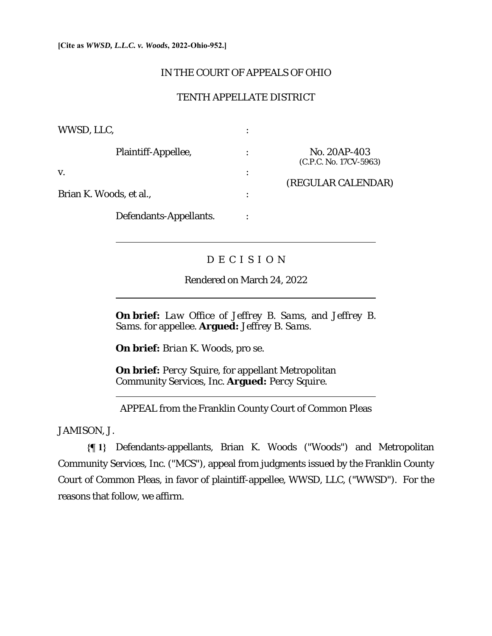$\overline{a}$ 

 $\overline{a}$ 

 $\overline{a}$ 

## IN THE COURT OF APPEALS OF OHIO

## TENTH APPELLATE DISTRICT

| WWSD, LLC,              |   |                                        |
|-------------------------|---|----------------------------------------|
| Plaintiff-Appellee,     | ٠ | No. 20AP-403<br>(C.P.C. No. 17CV-5963) |
| V.                      | ٠ | (REGULAR CALENDAR)                     |
| Brian K. Woods, et al., | ٠ |                                        |
| Defendants-Appellants.  |   |                                        |

# D E C I S I O N

Rendered on March 24, 2022

**On brief:** *Law Office of Jeffrey B. Sams,* and *Jeffrey B. Sams*. for appellee. **Argued:** *Jeffrey B. Sams.* 

**On brief:** *Brian K. Woods*, pro se.

**On brief:** *Percy Squire*, for appellant Metropolitan Community Services, Inc. **Argued:** *Percy Squire.* 

APPEAL from the Franklin County Court of Common Pleas

JAMISON, J.

**{¶ 1}** Defendants-appellants, Brian K. Woods ("Woods") and Metropolitan Community Services, Inc. ("MCS"), appeal from judgments issued by the Franklin County Court of Common Pleas, in favor of plaintiff-appellee, WWSD, LLC, ("WWSD"). For the reasons that follow, we affirm.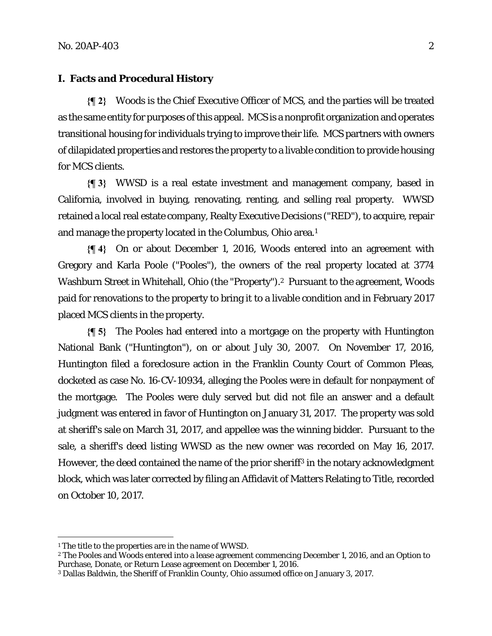#### **I. Facts and Procedural History**

**{¶ 2}** Woods is the Chief Executive Officer of MCS, and the parties will be treated as the same entity for purposes of this appeal. MCS is a nonprofit organization and operates transitional housing for individuals trying to improve their life. MCS partners with owners of dilapidated properties and restores the property to a livable condition to provide housing for MCS clients.

**{¶ 3}** WWSD is a real estate investment and management company, based in California, involved in buying, renovating, renting, and selling real property. WWSD retained a local real estate company, Realty Executive Decisions ("RED"), to acquire, repair and manage the property located in the Columbus, Ohio area.1

**{¶ 4}** On or about December 1, 2016, Woods entered into an agreement with Gregory and Karla Poole ("Pooles"), the owners of the real property located at 3774 Washburn Street in Whitehall, Ohio (the "Property").<sup>2</sup> Pursuant to the agreement, Woods paid for renovations to the property to bring it to a livable condition and in February 2017 placed MCS clients in the property.

**{¶ 5}** The Pooles had entered into a mortgage on the property with Huntington National Bank ("Huntington"), on or about July 30, 2007. On November 17, 2016, Huntington filed a foreclosure action in the Franklin County Court of Common Pleas, docketed as case No. 16-CV-10934, alleging the Pooles were in default for nonpayment of the mortgage. The Pooles were duly served but did not file an answer and a default judgment was entered in favor of Huntington on January 31, 2017. The property was sold at sheriff's sale on March 31, 2017, and appellee was the winning bidder. Pursuant to the sale, a sheriff's deed listing WWSD as the new owner was recorded on May 16, 2017. However, the deed contained the name of the prior sheriff<sup>3</sup> in the notary acknowledgment block, which was later corrected by filing an Affidavit of Matters Relating to Title, recorded on October 10, 2017.

<sup>1</sup> The title to the properties are in the name of WWSD.

<sup>2</sup> The Pooles and Woods entered into a lease agreement commencing December 1, 2016, and an Option to Purchase, Donate, or Return Lease agreement on December 1, 2016.

<sup>3</sup> Dallas Baldwin, the Sheriff of Franklin County, Ohio assumed office on January 3, 2017.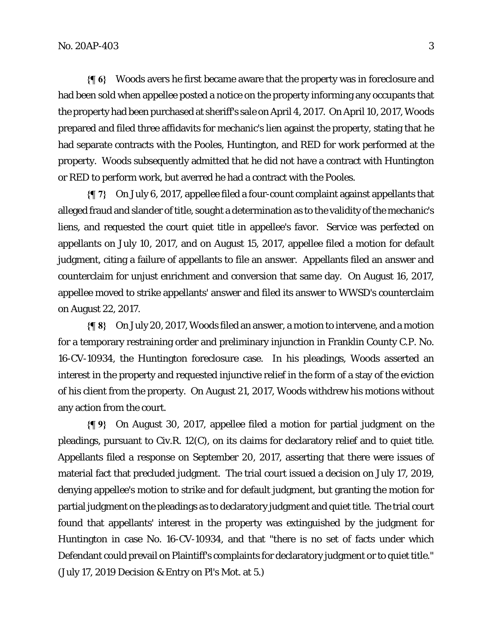**{¶ 6}** Woods avers he first became aware that the property was in foreclosure and had been sold when appellee posted a notice on the property informing any occupants that the property had been purchased at sheriff's sale on April 4, 2017. On April 10, 2017, Woods prepared and filed three affidavits for mechanic's lien against the property, stating that he had separate contracts with the Pooles, Huntington, and RED for work performed at the property. Woods subsequently admitted that he did not have a contract with Huntington or RED to perform work, but averred he had a contract with the Pooles.

**{¶ 7}** On July 6, 2017, appellee filed a four-count complaint against appellants that alleged fraud and slander of title, sought a determination as to the validity of the mechanic's liens, and requested the court quiet title in appellee's favor. Service was perfected on appellants on July 10, 2017, and on August 15, 2017, appellee filed a motion for default judgment, citing a failure of appellants to file an answer. Appellants filed an answer and counterclaim for unjust enrichment and conversion that same day. On August 16, 2017, appellee moved to strike appellants' answer and filed its answer to WWSD's counterclaim on August 22, 2017.

**{¶ 8}** On July 20, 2017, Woods filed an answer, a motion to intervene, and a motion for a temporary restraining order and preliminary injunction in Franklin County C.P. No. 16-CV-10934, the Huntington foreclosure case. In his pleadings, Woods asserted an interest in the property and requested injunctive relief in the form of a stay of the eviction of his client from the property. On August 21, 2017, Woods withdrew his motions without any action from the court.

**{¶ 9}** On August 30, 2017, appellee filed a motion for partial judgment on the pleadings, pursuant to Civ.R. 12(C), on its claims for declaratory relief and to quiet title. Appellants filed a response on September 20, 2017, asserting that there were issues of material fact that precluded judgment. The trial court issued a decision on July 17, 2019, denying appellee's motion to strike and for default judgment, but granting the motion for partial judgment on the pleadings as to declaratory judgment and quiet title. The trial court found that appellants' interest in the property was extinguished by the judgment for Huntington in case No. 16-CV-10934, and that "there is no set of facts under which Defendant could prevail on Plaintiff's complaints for declaratory judgment or to quiet title." (July 17, 2019 Decision & Entry on Pl's Mot. at 5.)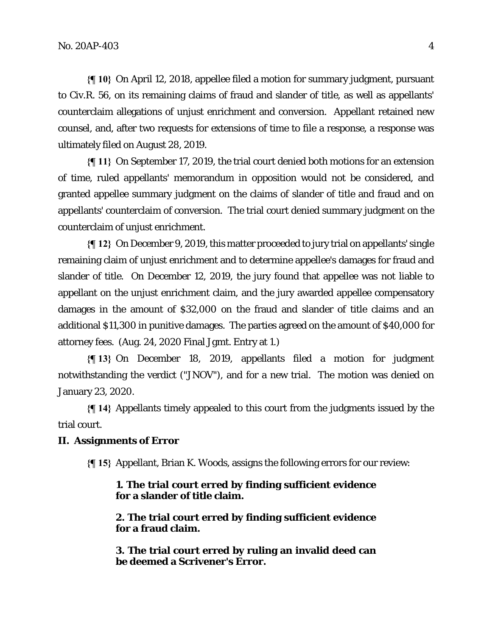**{¶ 10}** On April 12, 2018, appellee filed a motion for summary judgment, pursuant to Civ.R. 56, on its remaining claims of fraud and slander of title, as well as appellants' counterclaim allegations of unjust enrichment and conversion. Appellant retained new counsel, and, after two requests for extensions of time to file a response, a response was ultimately filed on August 28, 2019.

**{¶ 11}** On September 17, 2019, the trial court denied both motions for an extension of time, ruled appellants' memorandum in opposition would not be considered, and granted appellee summary judgment on the claims of slander of title and fraud and on appellants' counterclaim of conversion. The trial court denied summary judgment on the counterclaim of unjust enrichment.

**{¶ 12}** On December 9, 2019, this matter proceeded to jury trial on appellants' single remaining claim of unjust enrichment and to determine appellee's damages for fraud and slander of title. On December 12, 2019, the jury found that appellee was not liable to appellant on the unjust enrichment claim, and the jury awarded appellee compensatory damages in the amount of \$32,000 on the fraud and slander of title claims and an additional \$11,300 in punitive damages. The parties agreed on the amount of \$40,000 for attorney fees. (Aug. 24, 2020 Final Jgmt. Entry at 1.)

**{¶ 13}** On December 18, 2019, appellants filed a motion for judgment notwithstanding the verdict ("JNOV"), and for a new trial. The motion was denied on January 23, 2020.

**{¶ 14}** Appellants timely appealed to this court from the judgments issued by the trial court.

#### **II. Assignments of Error**

**{¶ 15}** Appellant, Brian K. Woods, assigns the following errors for our review:

## **1. The trial court erred by finding sufficient evidence for a slander of title claim.**

**2. The trial court erred by finding sufficient evidence for a fraud claim.** 

**3. The trial court erred by ruling an invalid deed can be deemed a Scrivener's Error.**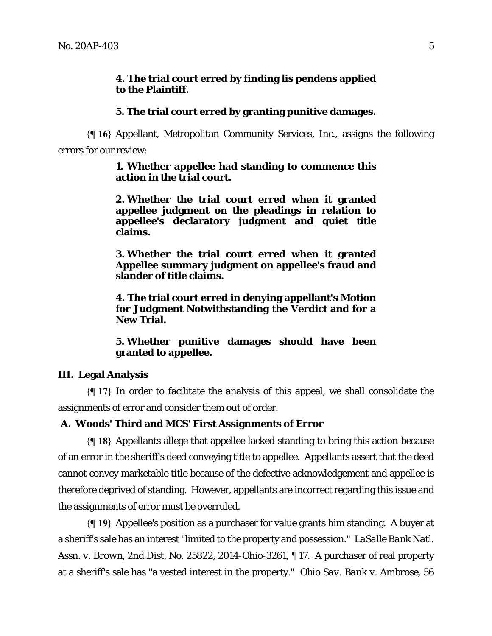## **4. The trial court erred by finding lis pendens applied to the Plaintiff.**

## **5. The trial court erred by granting punitive damages.**

**{¶ 16}** Appellant, Metropolitan Community Services, Inc., assigns the following errors for our review:

#### **1. Whether appellee had standing to commence this action in the trial court.**

**2. Whether the trial court erred when it granted appellee judgment on the pleadings in relation to appellee's declaratory judgment and quiet title claims.** 

**3. Whether the trial court erred when it granted Appellee summary judgment on appellee's fraud and slander of title claims.** 

**4. The trial court erred in denying appellant's Motion for Judgment Notwithstanding the Verdict and for a New Trial.** 

**5. Whether punitive damages should have been granted to appellee.** 

## **III. Legal Analysis**

**{¶ 17}** In order to facilitate the analysis of this appeal, we shall consolidate the assignments of error and consider them out of order.

### **A. Woods' Third and MCS' First Assignments of Error**

**{¶ 18}** Appellants allege that appellee lacked standing to bring this action because of an error in the sheriff's deed conveying title to appellee. Appellants assert that the deed cannot convey marketable title because of the defective acknowledgement and appellee is therefore deprived of standing. However, appellants are incorrect regarding this issue and the assignments of error must be overruled.

**{¶ 19}** Appellee's position as a purchaser for value grants him standing. A buyer at a sheriff's sale has an interest "limited to the property and possession." *LaSalle Bank Natl. Assn. v. Brown*, 2nd Dist. No. 25822, 2014-Ohio-3261, ¶ 17. A purchaser of real property at a sheriff's sale has "a vested interest in the property." *Ohio Sav. Bank v. Ambrose,* 56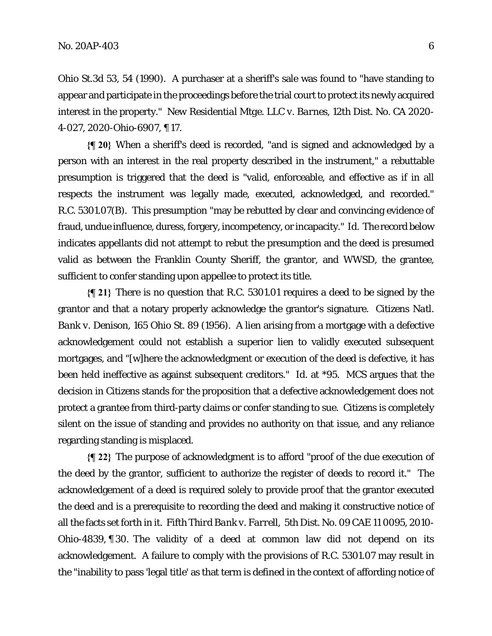Ohio St.3d 53, 54 (1990). A purchaser at a sheriff's sale was found to "have standing to appear and participate in the proceedings before the trial court to protect its newly acquired interest in the property." *New Residential Mtge. LLC v. Barnes,* 12th Dist. No. CA 2020- 4-027, 2020-Ohio-6907, ¶ 17.

**{¶ 20}** When a sheriff's deed is recorded, "and is signed and acknowledged by a person with an interest in the real property described in the instrument," a rebuttable presumption is triggered that the deed is "valid, enforceable, and effective as if in all respects the instrument was legally made, executed, acknowledged, and recorded." R.C. 5301.07(B).This presumption "may be rebutted by clear and convincing evidence of fraud, undue influence, duress, forgery, incompetency, or incapacity." *Id.* The record below indicates appellants did not attempt to rebut the presumption and the deed is presumed valid as between the Franklin County Sheriff, the grantor, and WWSD, the grantee, sufficient to confer standing upon appellee to protect its title.

**{¶ 21}** There is no question that R.C. 5301.01 requires a deed to be signed by the grantor and that a notary properly acknowledge the grantor's signature. *Citizens Natl. Bank v. Denison,* 165 Ohio St. 89 (1956). A lien arising from a mortgage with a defective acknowledgement could not establish a superior lien to validly executed subsequent mortgages, and "[w]here the acknowledgment or execution of the deed is defective, it has been held ineffective as against subsequent creditors." *Id.* at \*95*.* MCS argues that the decision in *Citizens* stands for the proposition that a defective acknowledgement does not protect a grantee from third-party claims or confer standing to sue. *Citizens* is completely silent on the issue of standing and provides no authority on that issue, and any reliance regarding standing is misplaced.

**{¶ 22}** The purpose of acknowledgment is to afford "proof of the due execution of the deed by the grantor, sufficient to authorize the register of deeds to record it." The acknowledgement of a deed is required solely to provide proof that the grantor executed the deed and is a prerequisite to recording the deed and making it constructive notice of all the facts set forth in it. *Fifth Third Bank v. Farrell,* 5th Dist. No. 09 CAE 11 0095, 2010- Ohio-4839, ¶ 30. The validity of a deed at common law did not depend on its acknowledgement. A failure to comply with the provisions of R.C. 5301.07 may result in the "inability to pass 'legal title' as that term is defined in the context of affording notice of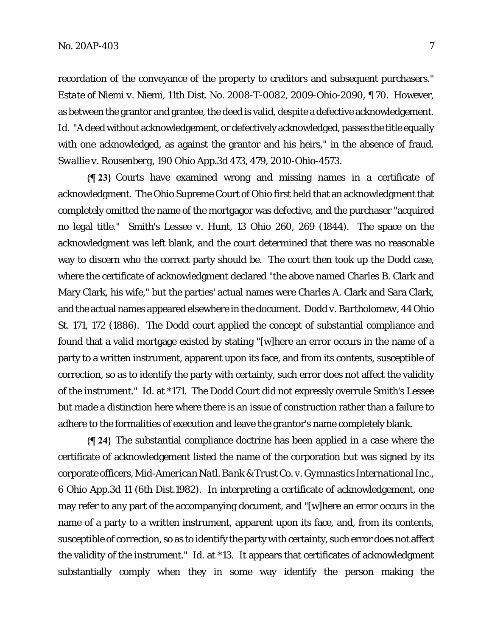recordation of the conveyance of the property to creditors and subsequent purchasers." *Estate of Niemi v. Niemi,* 11th Dist. No. 2008-T-0082, 2009-Ohio-2090, ¶ 70. However, as between the grantor and grantee, the deed is valid, despite a defective acknowledgement. Id. "A deed without acknowledgement, or defectively acknowledged, passes the title equally with one acknowledged, as against the grantor and his heirs," in the absence of fraud. *Swallie v. Rousenberg,* 190 Ohio App.3d 473, 479, 2010-Ohio-4573.

**{¶ 23}** Courts have examined wrong and missing names in a certificate of acknowledgment. The Ohio Supreme Court of Ohio first held that an acknowledgment that completely omitted the name of the mortgagor was defective, and the purchaser "acquired no legal title." *Smith's Lessee v. Hunt*, 13 Ohio 260, 269 (1844). The space on the acknowledgment was left blank, and the court determined that there was no reasonable way to discern who the correct party should be. The court then took up the *Dodd* case, where the certificate of acknowledgment declared "the above named Charles B. Clark and Mary Clark, his wife," but the parties' actual names were Charles A. Clark and Sara Clark, and the actual names appeared elsewhere in the document. *Dodd v. Bartholomew*, 44 Ohio St. 171, 172 (1886). The *Dodd* court applied the concept of substantial compliance and found that a valid mortgage existed by stating "[w]here an error occurs in the name of a party to a written instrument, apparent upon its face, and from its contents, susceptible of correction, so as to identify the party with certainty, such error does not affect the validity of the instrument." *Id.* at \*171. The *Dodd* Court did not expressly overrule *Smith's Lessee* but made a distinction here where there is an issue of construction rather than a failure to adhere to the formalities of execution and leave the grantor's name completely blank.

**{¶ 24}** The substantial compliance doctrine has been applied in a case where the certificate of acknowledgement listed the name of the corporation but was signed by its corporate officers, *Mid-American Natl. Bank & Trust Co. v. Gymnastics International Inc.*, 6 Ohio App.3d 11 (6th Dist.1982). In interpreting a certificate of acknowledgement, one may refer to any part of the accompanying document, and "[w]here an error occurs in the name of a party to a written instrument, apparent upon its face, and, from its contents, susceptible of correction, so as to identify the party with certainty, such error does not affect the validity of the instrument." *Id.* at \*13. It appears that certificates of acknowledgment substantially comply when they in some way identify the person making the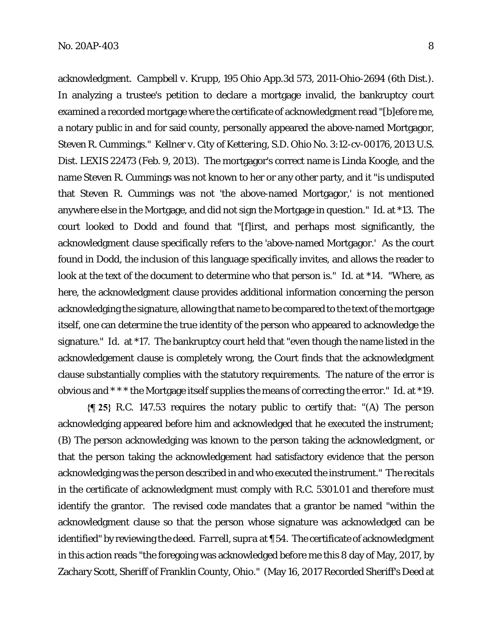acknowledgment. *Campbell v. Krupp*, 195 Ohio App.3d 573, 2011-Ohio-2694 (6th Dist.). In analyzing a trustee's petition to declare a mortgage invalid, the bankruptcy court examined a recorded mortgage where the certificate of acknowledgment read "[b]efore me, a notary public in and for said county, personally appeared the above-named Mortgagor, Steven R. Cummings." *Kellner v. City of Kettering,* S.D. Ohio No. 3:12-cv-00176, 2013 U.S. Dist. LEXIS 22473 (Feb. 9, 2013). The mortgagor's correct name is Linda Koogle, and the name Steven R. Cummings was not known to her or any other party, and it "is undisputed that Steven R. Cummings was not 'the above-named Mortgagor,' is not mentioned anywhere else in the Mortgage, and did not sign the Mortgage in question." *Id.* at \*13. The court looked to *Dodd* and found that "[f]irst, and perhaps most significantly, the acknowledgment clause specifically refers to the 'above-named Mortgagor.' As the court found in *Dodd,* the inclusion of this language specifically invites, and allows the reader to look at the text of the document to determine who that person is." *Id.* at \*14. "Where, as here, the acknowledgment clause provides additional information concerning the person acknowledging the signature, allowing that name to be compared to the text of the mortgage itself, one can determine the true identity of the person who appeared to acknowledge the signature." *Id.* at \*17. The bankruptcy court held that "even though the name listed in the acknowledgement clause is completely wrong, the Court finds that the acknowledgment clause substantially complies with the statutory requirements. The nature of the error is obvious and \* \* \* the Mortgage itself supplies the means of correcting the error." *Id.* at \*19.

**{¶ 25}** R.C. 147.53 requires the notary public to certify that: "(A) The person acknowledging appeared before him and acknowledged that he executed the instrument; (B) The person acknowledging was known to the person taking the acknowledgment, or that the person taking the acknowledgement had satisfactory evidence that the person acknowledging was the person described in and who executed the instrument." The recitals in the certificate of acknowledgment must comply with R.C. 5301.01 and therefore must identify the grantor. The revised code mandates that a grantor be named "within the acknowledgment clause so that the person whose signature was acknowledged can be identified" by reviewing the deed. *Farrell, supra* at ¶ 54. The certificate of acknowledgment in this action reads "the foregoing was acknowledged before me this 8 day of May, 2017, by Zachary Scott, Sheriff of Franklin County, Ohio." (May 16, 2017 Recorded Sheriff's Deed at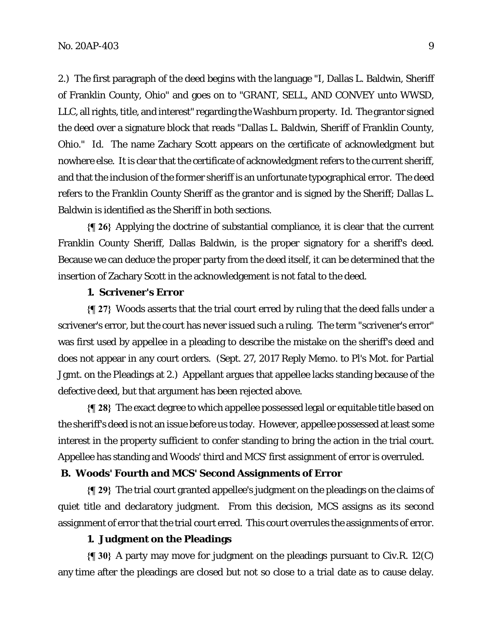2.) The first paragraph of the deed begins with the language "I, Dallas L. Baldwin, Sheriff of Franklin County, Ohio" and goes on to "GRANT, SELL, AND CONVEY unto WWSD, LLC, all rights, title, and interest" regarding the Washburn property. *Id.* The grantor signed the deed over a signature block that reads "Dallas L. Baldwin, Sheriff of Franklin County, Ohio." *Id.* The name Zachary Scott appears on the certificate of acknowledgment but nowhere else. It is clear that the certificate of acknowledgment refers to the current sheriff, and that the inclusion of the former sheriff is an unfortunate typographical error. The deed refers to the Franklin County Sheriff as the grantor and is signed by the Sheriff; Dallas L. Baldwin is identified as the Sheriff in both sections.

**{¶ 26}** Applying the doctrine of substantial compliance, it is clear that the current Franklin County Sheriff, Dallas Baldwin, is the proper signatory for a sheriff's deed. Because we can deduce the proper party from the deed itself, it can be determined that the insertion of Zachary Scott in the acknowledgement is not fatal to the deed.

### **1. Scrivener's Error**

**{¶ 27}** Woods asserts that the trial court erred by ruling that the deed falls under a scrivener's error, but the court has never issued such a ruling. The term "scrivener's error" was first used by appellee in a pleading to describe the mistake on the sheriff's deed and does not appear in any court orders. (Sept. 27, 2017 Reply Memo. to Pl's Mot. for Partial Jgmt. on the Pleadings at 2.) Appellant argues that appellee lacks standing because of the defective deed, but that argument has been rejected above.

**{¶ 28}** The exact degree to which appellee possessed legal or equitable title based on the sheriff's deed is not an issue before us today. However, appellee possessed at least some interest in the property sufficient to confer standing to bring the action in the trial court. Appellee has standing and Woods' third and MCS' first assignment of error is overruled.

### **B. Woods' Fourth and MCS' Second Assignments of Error**

**{¶ 29}** The trial court granted appellee's judgment on the pleadings on the claims of quiet title and declaratory judgment. From this decision, MCS assigns as its second assignment of error that the trial court erred. This court overrules the assignments of error.

## **1. Judgment on the Pleadings**

**{¶ 30}** A party may move for judgment on the pleadings pursuant to Civ.R. 12(C) any time after the pleadings are closed but not so close to a trial date as to cause delay.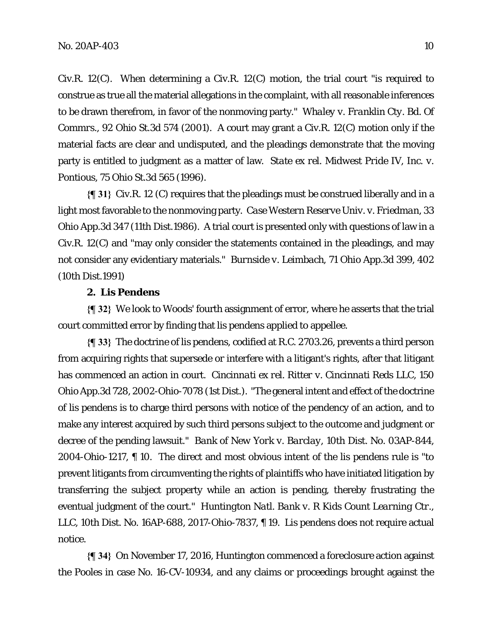Civ.R. 12(C). When determining a Civ.R. 12(C) motion, the trial court "is required to construe as true all the material allegations in the complaint, with all reasonable inferences to be drawn therefrom, in favor of the nonmoving party." *Whaley v. Franklin Cty. Bd. Of Commrs.,* 92 Ohio St.3d 574 (2001). A court may grant a Civ.R. 12(C) motion only if the material facts are clear and undisputed, and the pleadings demonstrate that the moving party is entitled to judgment as a matter of law. *State ex rel. Midwest Pride IV, Inc. v. Pontious,* 75 Ohio St.3d 565 (1996).

**{¶ 31}** Civ.R. 12 (C) requires that the pleadings must be construed liberally and in a light most favorable to the nonmoving party. *Case Western Reserve Univ. v. Friedman*, 33 Ohio App.3d 347 (11th Dist.1986). A trial court is presented only with questions of law in a Civ.R. 12(C) and "may only consider the statements contained in the pleadings, and may not consider any evidentiary materials." *Burnside v. Leimbach,* 71 Ohio App.3d 399, 402 (10th Dist.1991)

#### **2. Lis Pendens**

**{¶ 32}** We look to Woods' fourth assignment of error, where he asserts that the trial court committed error by finding that lis pendens applied to appellee.

**{¶ 33}** The doctrine of lis pendens, codified at R.C. 2703.26, prevents a third person from acquiring rights that supersede or interfere with a litigant's rights, after that litigant has commenced an action in court. *Cincinnati ex rel. Ritter v. Cincinnati Reds LLC*, 150 Ohio App.3d 728, 2002-Ohio-7078 (1st Dist.). "The general intent and effect of the doctrine of lis pendens is to charge third persons with notice of the pendency of an action, and to make any interest acquired by such third persons subject to the outcome and judgment or decree of the pending lawsuit." *Bank of New York v. Barclay,* 10th Dist. No. 03AP-844, 2004-Ohio-1217, ¶ 10. The direct and most obvious intent of the lis pendens rule is "to prevent litigants from circumventing the rights of plaintiffs who have initiated litigation by transferring the subject property while an action is pending, thereby frustrating the eventual judgment of the court." *Huntington Natl. Bank v. R Kids Count Learning Ctr., LLC,* 10th Dist. No. 16AP-688, 2017-Ohio-7837, ¶ 19. Lis pendens does not require actual notice.

**{¶ 34}** On November 17, 2016, Huntington commenced a foreclosure action against the Pooles in case No. 16-CV-10934, and any claims or proceedings brought against the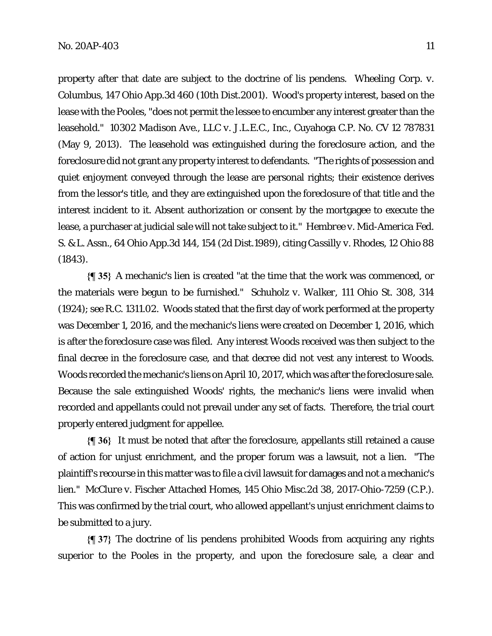property after that date are subject to the doctrine of lis pendens. *Wheeling Corp. v. Columbus,* 147 Ohio App.3d 460 (10th Dist.2001). Wood's property interest, based on the lease with the Pooles, "does not permit the lessee to encumber any interest greater than the leasehold." *10302 Madison Ave., LLC v. J.L.E.C., Inc.*, Cuyahoga C.P. No. CV 12 787831 (May 9, 2013). The leasehold was extinguished during the foreclosure action, and the foreclosure did not grant any property interest to defendants. "The rights of possession and quiet enjoyment conveyed through the lease are personal rights; their existence derives from the lessor's title, and they are extinguished upon the foreclosure of that title and the interest incident to it. Absent authorization or consent by the mortgagee to execute the lease, a purchaser at judicial sale will not take subject to it." *Hembree v. Mid-America Fed. S. & L. Assn.,* 64 Ohio App.3d 144, 154 (2d Dist.1989), citing *Cassilly v. Rhodes,* 12 Ohio 88 (1843).

**{¶ 35}** A mechanic's lien is created "at the time that the work was commenced, or the materials were begun to be furnished." *Schuholz v. Walker,* 111 Ohio St. 308, 314 (1924); *see* R.C. 1311.02. Woods stated that the first day of work performed at the property was December 1, 2016, and the mechanic's liens were created on December 1, 2016, which is after the foreclosure case was filed. Any interest Woods received was then subject to the final decree in the foreclosure case, and that decree did not vest any interest to Woods. Woods recorded the mechanic's liens on April 10, 2017, which was after the foreclosure sale. Because the sale extinguished Woods' rights, the mechanic's liens were invalid when recorded and appellants could not prevail under any set of facts. Therefore, the trial court properly entered judgment for appellee.

**{¶ 36}** It must be noted that after the foreclosure, appellants still retained a cause of action for unjust enrichment, and the proper forum was a lawsuit, not a lien. "The plaintiff's recourse in this matter was to file a civil lawsuit for damages and not a mechanic's lien." *McClure v. Fischer Attached Homes,* 145 Ohio Misc.2d 38, 2017-Ohio-7259 (C.P.). This was confirmed by the trial court, who allowed appellant's unjust enrichment claims to be submitted to a jury.

**{¶ 37}** The doctrine of lis pendens prohibited Woods from acquiring any rights superior to the Pooles in the property, and upon the foreclosure sale, a clear and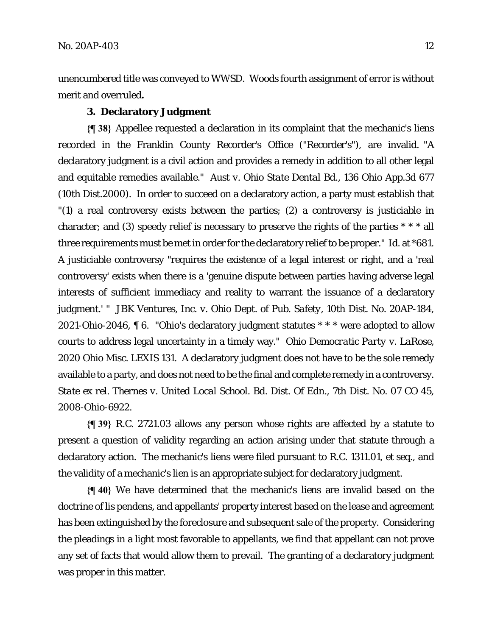unencumbered title was conveyed to WWSD. Woods fourth assignment of error is without merit and overruled**.** 

## **3. Declaratory Judgment**

**{¶ 38}** Appellee requested a declaration in its complaint that the mechanic's liens recorded in the Franklin County Recorder's Office ("Recorder's"), are invalid. "A declaratory judgment is a civil action and provides a remedy in addition to all other legal and equitable remedies available." *Aust v. Ohio State Dental Bd.,* 136 Ohio App.3d 677 (10th Dist.2000). In order to succeed on a declaratory action, a party must establish that "(1) a real controversy exists between the parties; (2) a controversy is justiciable in character; and (3) speedy relief is necessary to preserve the rights of the parties \* \* \* all three requirements must be met in order for the declaratory relief to be proper." *Id.* at \*681. A justiciable controversy "requires the existence of a legal interest or right, and a 'real controversy' exists when there is a 'genuine dispute between parties having adverse legal interests of sufficient immediacy and reality to warrant the issuance of a declaratory judgment.' " *JBK Ventures, Inc. v. Ohio Dept. of Pub. Safety,* 10th Dist. No. 20AP-184, 2021-Ohio-2046, ¶ 6. "Ohio's declaratory judgment statutes \* \* \* were adopted to allow courts to address legal uncertainty in a timely way." *Ohio Democratic Party v. LaRose*, 2020 Ohio Misc. LEXIS 131. A declaratory judgment does not have to be the sole remedy available to a party, and does not need to be the final and complete remedy in a controversy. *State ex rel. Thernes v. United Local School. Bd. Dist. Of Edn.*, 7th Dist. No. 07 CO 45, 2008-Ohio-6922.

**{¶ 39}** R.C. 2721.03 allows any person whose rights are affected by a statute to present a question of validity regarding an action arising under that statute through a declaratory action. The mechanic's liens were filed pursuant to R.C. 1311.01, *et seq*., and the validity of a mechanic's lien is an appropriate subject for declaratory judgment.

**{¶ 40}** We have determined that the mechanic's liens are invalid based on the doctrine of lis pendens, and appellants' property interest based on the lease and agreement has been extinguished by the foreclosure and subsequent sale of the property. Considering the pleadings in a light most favorable to appellants, we find that appellant can not prove any set of facts that would allow them to prevail. The granting of a declaratory judgment was proper in this matter.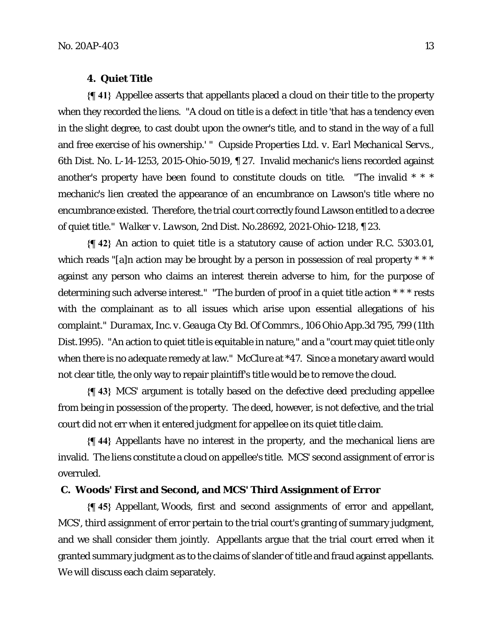#### **4. Quiet Title**

**{¶ 41}** Appellee asserts that appellants placed a cloud on their title to the property when they recorded the liens. "A cloud on title is a defect in title 'that has a tendency even in the slight degree, to cast doubt upon the owner's title, and to stand in the way of a full and free exercise of his ownership.' " *Cupside Properties Ltd. v. Earl Mechanical Servs.,*  6th Dist. No. L-14-1253, 2015-Ohio-5019, ¶ 27. Invalid mechanic's liens recorded against another's property have been found to constitute clouds on title. "The invalid \* \* \* mechanic's lien created the appearance of an encumbrance on Lawson's title where no encumbrance existed. Therefore, the trial court correctly found Lawson entitled to a decree of quiet title." *Walker v. Lawson*, 2nd Dist. No.28692, 2021-Ohio-1218, ¶ 23.

**{¶ 42}** An action to quiet title is a statutory cause of action under R.C. 5303.01, which reads "[a]n action may be brought by a person in possession of real property \* \* \* against any person who claims an interest therein adverse to him, for the purpose of determining such adverse interest." "The burden of proof in a quiet title action \* \* \* rests with the complainant as to all issues which arise upon essential allegations of his complaint." *Duramax, Inc. v. Geauga Cty Bd. Of Commrs.*, 106 Ohio App.3d 795, 799 (11th Dist.1995). "An action to quiet title is equitable in nature," and a "court may quiet title only when there is no adequate remedy at law." *McClure* at \*47. Since a monetary award would not clear title, the only way to repair plaintiff's title would be to remove the cloud.

**{¶ 43}** MCS' argument is totally based on the defective deed precluding appellee from being in possession of the property. The deed, however, is not defective, and the trial court did not err when it entered judgment for appellee on its quiet title claim.

**{¶ 44}** Appellants have no interest in the property, and the mechanical liens are invalid. The liens constitute a cloud on appellee's title. MCS' second assignment of error is overruled.

## **C. Woods' First and Second, and MCS' Third Assignment of Error**

**{¶ 45}** Appellant, Woods, first and second assignments of error and appellant, MCS', third assignment of error pertain to the trial court's granting of summary judgment, and we shall consider them jointly. Appellants argue that the trial court erred when it granted summary judgment as to the claims of slander of title and fraud against appellants. We will discuss each claim separately.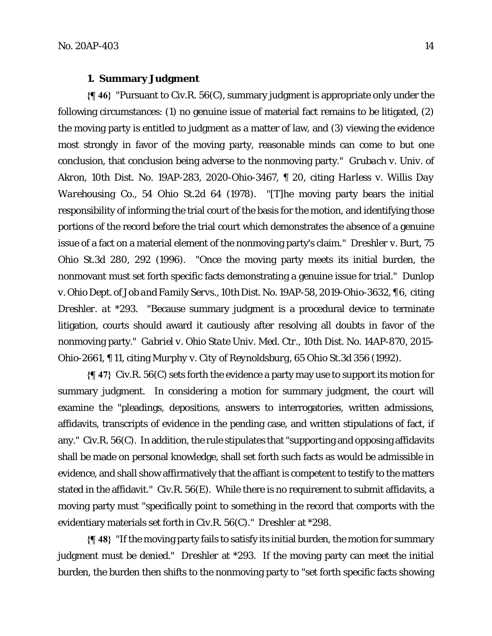#### **1. Summary Judgment**

**{¶ 46}** "Pursuant to Civ.R. 56(C), summary judgment is appropriate only under the following circumstances: (1) no genuine issue of material fact remains to be litigated, (2) the moving party is entitled to judgment as a matter of law, and (3) viewing the evidence most strongly in favor of the moving party, reasonable minds can come to but one conclusion, that conclusion being adverse to the nonmoving party." *Grubach v. Univ. of Akron,* 10th Dist. No. 19AP-283, 2020-Ohio-3467, ¶ 20, citing *Harless v. Willis Day Warehousing Co.*, 54 Ohio St.2d 64 (1978). "[T]he moving party bears the initial responsibility of informing the trial court of the basis for the motion, and identifying those portions of the record before the trial court which demonstrates the absence of a genuine issue of a fact on a material element of the nonmoving party's claim." *Dreshler v. Burt*, 75 Ohio St.3d 280, 292 (1996). "Once the moving party meets its initial burden, the nonmovant must set forth specific facts demonstrating a genuine issue for trial." *Dunlop v. Ohio Dept. of Job and Family Servs.,* 10th Dist. No. 19AP-58, 2019-Ohio-3632, ¶ 6,citing *Dreshler. at* \*293. "Because summary judgment is a procedural device to terminate litigation, courts should award it cautiously after resolving all doubts in favor of the nonmoving party." *Gabriel v. Ohio State Univ. Med. Ctr.,* 10th Dist. No. 14AP-870, 2015- Ohio-2661, ¶ 11, citing *Murphy v. City of Reynoldsburg*, 65 Ohio St.3d 356 (1992).

**{¶ 47}** Civ.R. 56(C) sets forth the evidence a party may use to support its motion for summary judgment. In considering a motion for summary judgment, the court will examine the "pleadings, depositions, answers to interrogatories, written admissions, affidavits, transcripts of evidence in the pending case, and written stipulations of fact, if any." Civ.R. 56(C). In addition, the rule stipulates that "supporting and opposing affidavits shall be made on personal knowledge, shall set forth such facts as would be admissible in evidence, and shall show affirmatively that the affiant is competent to testify to the matters stated in the affidavit." Civ.R. 56(E). While there is no requirement to submit affidavits, a moving party must "specifically point to something in the record that comports with the evidentiary materials set forth in Civ.R. 56(C)." *Dreshler* at \*298.

**{¶ 48}** "If the moving party fails to satisfy its initial burden, the motion for summary judgment must be denied." *Dreshler* at \*293. If the moving party can meet the initial burden, the burden then shifts to the nonmoving party to "set forth specific facts showing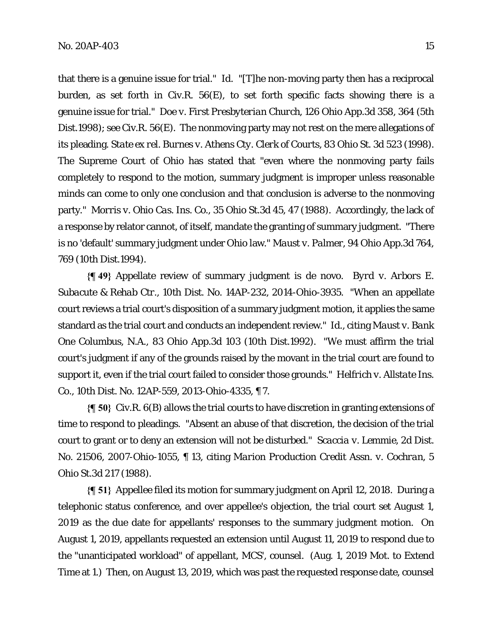that there is a genuine issue for trial." *Id.* "[T]he non-moving party then has a reciprocal burden, as set forth in Civ.R. 56(E), to set forth specific facts showing there is a genuine issue for trial." *Doe v. First Presbyterian Church*, 126 Ohio App.3d 358, 364 (5th Dist.1998); *see* Civ.R. 56(E). The nonmoving party may not rest on the mere allegations of its pleading. *State ex rel. Burnes v. Athens Cty. Clerk of Courts*, 83 Ohio St. 3d 523 (1998). The Supreme Court of Ohio has stated that "even where the nonmoving party fails completely to respond to the motion, summary judgment is improper unless reasonable minds can come to only one conclusion and that conclusion is adverse to the nonmoving party." *Morris v. Ohio Cas. Ins. Co.,* 35 Ohio St.3d 45, 47 (1988). Accordingly, the lack of a response by relator cannot, of itself, mandate the granting of summary judgment. "There is no 'default' summary judgment under Ohio law." *Maust v. Palmer*, 94 Ohio App.3d 764, 769 (10th Dist.1994).

**{¶ 49}** Appellate review of summary judgment is de novo. *Byrd v. Arbors E. Subacute & Rehab Ctr.*, 10th Dist. No. 14AP-232, 2014-Ohio-3935. "When an appellate court reviews a trial court's disposition of a summary judgment motion, it applies the same standard as the trial court and conducts an independent review." *Id.,* citing *Maust v. Bank One Columbus, N.A.,* 83 Ohio App.3d 103 (10th Dist.1992). "We must affirm the trial court's judgment if any of the grounds raised by the movant in the trial court are found to support it, even if the trial court failed to consider those grounds." *Helfrich v. Allstate Ins. Co.*, 10th Dist. No. 12AP-559, 2013-Ohio-4335, ¶ 7.

**{¶ 50}** Civ.R. 6(B) allows the trial courts to have discretion in granting extensions of time to respond to pleadings."Absent an abuse of that discretion, the decision of the trial court to grant or to deny an extension will not be disturbed." *Scaccia v. Lemmie,* 2d Dist. No. 21506, 2007-Ohio-1055, ¶ 13, citing *Marion Production Credit Assn. v. Cochran*, 5 Ohio St.3d 217 (1988).

**{¶ 51}** Appellee filed its motion for summary judgment on April 12, 2018. During a telephonic status conference, and over appellee's objection, the trial court set August 1, 2019 as the due date for appellants' responses to the summary judgment motion. On August 1, 2019, appellants requested an extension until August 11, 2019 to respond due to the "unanticipated workload" of appellant, MCS', counsel. (Aug. 1, 2019 Mot. to Extend Time at 1.) Then, on August 13, 2019, which was past the requested response date, counsel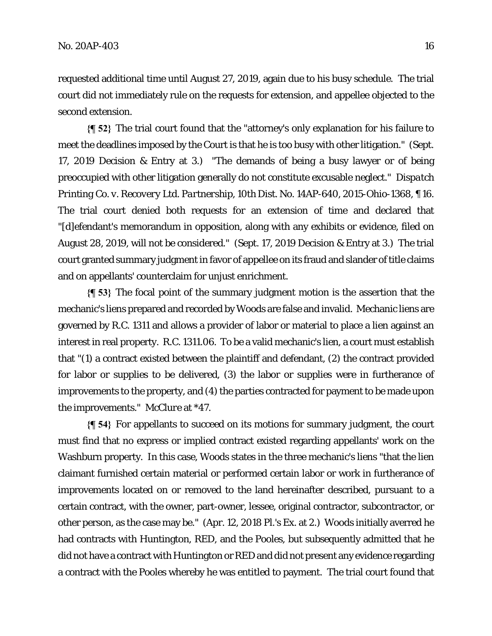requested additional time until August 27, 2019, again due to his busy schedule. The trial court did not immediately rule on the requests for extension, and appellee objected to the second extension.

**{¶ 52}** The trial court found that the "attorney's only explanation for his failure to meet the deadlines imposed by the Court is that he is too busy with other litigation." (Sept. 17, 2019 Decision & Entry at 3.) "The demands of being a busy lawyer or of being preoccupied with other litigation generally do not constitute excusable neglect." *Dispatch Printing Co. v. Recovery Ltd. Partnership,* 10th Dist. No. 14AP-640, 2015-Ohio-1368, ¶ 16. The trial court denied both requests for an extension of time and declared that "[d]efendant's memorandum in opposition, along with any exhibits or evidence, filed on August 28, 2019, will not be considered." (Sept. 17, 2019 Decision & Entry at 3.) The trial court granted summary judgment in favor of appellee on its fraud and slander of title claims and on appellants' counterclaim for unjust enrichment.

**{¶ 53}** The focal point of the summary judgment motion is the assertion that the mechanic's liens prepared and recorded by Woods are false and invalid. Mechanic liens are governed by R.C. 1311 and allows a provider of labor or material to place a lien against an interest in real property. R.C. 1311.06. To be a valid mechanic's lien, a court must establish that "(1) a contract existed between the plaintiff and defendant, (2) the contract provided for labor or supplies to be delivered, (3) the labor or supplies were in furtherance of improvements to the property, and (4) the parties contracted for payment to be made upon the improvements." *McClure* at \*47.

**{¶ 54}** For appellants to succeed on its motions for summary judgment, the court must find that no express or implied contract existed regarding appellants' work on the Washburn property. In this case, Woods states in the three mechanic's liens "that the lien claimant furnished certain material or performed certain labor or work in furtherance of improvements located on or removed to the land hereinafter described, pursuant to a certain contract, with the owner, part-owner, lessee, original contractor, subcontractor, or other person, as the case may be." (Apr. 12, 2018 Pl.'s Ex. at 2.) Woods initially averred he had contracts with Huntington, RED, and the Pooles, but subsequently admitted that he did not have a contract with Huntington or RED and did not present any evidence regarding a contract with the Pooles whereby he was entitled to payment. The trial court found that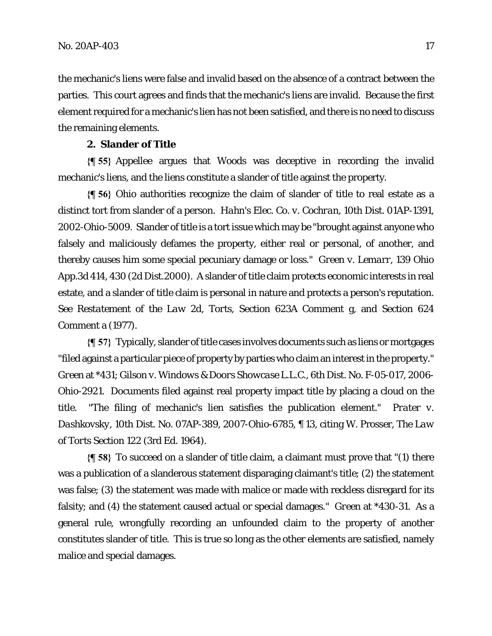the mechanic's liens were false and invalid based on the absence of a contract between the parties. This court agrees and finds that the mechanic's liens are invalid. Because the first element required for a mechanic's lien has not been satisfied, and there is no need to discuss the remaining elements.

#### **2. Slander of Title**

**{¶ 55}** Appellee argues that Woods was deceptive in recording the invalid mechanic's liens, and the liens constitute a slander of title against the property.

**{¶ 56}** Ohio authorities recognize the claim of slander of title to real estate as a distinct tort from slander of a person. *Hahn's Elec. Co. v. Cochran*, 10th Dist. 01AP-1391, 2002-Ohio-5009. Slander of title is a tort issue which may be "brought against anyone who falsely and maliciously defames the property, either real or personal, of another, and thereby causes him some special pecuniary damage or loss." *Green v. Lemarr,* 139 Ohio App.3d 414, 430 (2d Dist.2000). A slander of title claim protects economic interests in real estate, and a slander of title claim is personal in nature and protects a person's reputation. *See Restatement of the Law 2d, Torts,* Section 623A Comment g, and Section 624 Comment a (1977).

**{¶ 57}** Typically, slander of title cases involves documents such as liens or mortgages "filed against a particular piece of property by parties who claim an interest in the property." *Green* at \*431; *Gilson v. Windows & Doors Showcase L.L.C.,* 6th Dist. No. F-05-017, 2006- Ohio-2921. Documents filed against real property impact title by placing a cloud on the title. "The filing of mechanic's lien satisfies the publication element." *Prater v. Dashkovsky*, 10th Dist. No. 07AP-389, 2007-Ohio-6785, ¶ 13, citing W. Prosser, *The Law of Torts* Section 122 (3rd Ed. 1964).

**{¶ 58}** To succeed on a slander of title claim, a claimant must prove that "(1) there was a publication of a slanderous statement disparaging claimant's title; (2) the statement was false; (3) the statement was made with malice or made with reckless disregard for its falsity; and (4) the statement caused actual or special damages." *Green* at \*430-31*.* As a general rule, wrongfully recording an unfounded claim to the property of another constitutes slander of title. This is true so long as the other elements are satisfied, namely malice and special damages.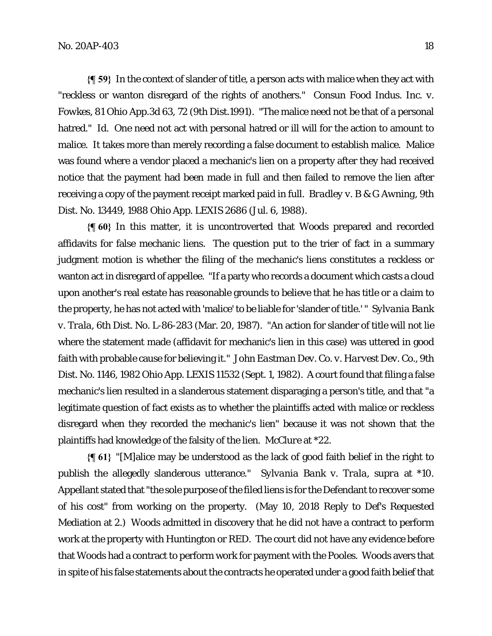**{¶ 59}** In the context of slander of title, a person acts with malice when they act with "reckless or wanton disregard of the rights of anothers." *Consun Food Indus. Inc. v. Fowkes,* 81 Ohio App.3d 63, 72 (9th Dist.1991). "The malice need not be that of a personal hatred." *Id.* One need not act with personal hatred or ill will for the action to amount to malice. It takes more than merely recording a false document to establish malice. Malice was found where a vendor placed a mechanic's lien on a property after they had received notice that the payment had been made in full and then failed to remove the lien after receiving a copy of the payment receipt marked paid in full. *Bradley v. B & G Awning*, 9th Dist. No. 13449, 1988 Ohio App. LEXIS 2686 (Jul. 6, 1988).

**{¶ 60}** In this matter, it is uncontroverted that Woods prepared and recorded affidavits for false mechanic liens. The question put to the trier of fact in a summary judgment motion is whether the filing of the mechanic's liens constitutes a reckless or wanton act in disregard of appellee. "If a party who records a document which casts a cloud upon another's real estate has reasonable grounds to believe that he has title or a claim to the property, he has not acted with 'malice' to be liable for 'slander of title.' " *Sylvania Bank v. Trala*, 6th Dist. No. L-86-283 (Mar. 20, 1987). "An action for slander of title will not lie where the statement made (affidavit for mechanic's lien in this case) was uttered in good faith with probable cause for believing it." *John Eastman Dev. Co. v. Harvest Dev. Co.*, 9th Dist. No. 1146, 1982 Ohio App. LEXIS 11532 (Sept. 1, 1982). A court found that filing a false mechanic's lien resulted in a slanderous statement disparaging a person's title, and that "a legitimate question of fact exists as to whether the plaintiffs acted with malice or reckless disregard when they recorded the mechanic's lien" because it was not shown that the plaintiffs had knowledge of the falsity of the lien. *McClure* at \*22.

**{¶ 61}** "[M]alice may be understood as the lack of good faith belief in the right to publish the allegedly slanderous utterance." *Sylvania Bank v. Trala*, *supra* at \*10*.* Appellant stated that "the sole purpose of the filed liens is for the Defendant to recover some of his cost" from working on the property. (May 10, 2018 Reply to Def's Requested Mediation at 2.) Woods admitted in discovery that he did not have a contract to perform work at the property with Huntington or RED. The court did not have any evidence before that Woods had a contract to perform work for payment with the Pooles. Woods avers that in spite of his false statements about the contracts he operated under a good faith belief that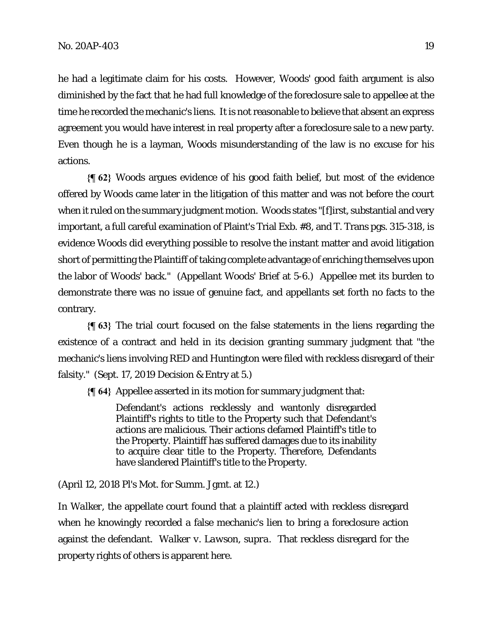he had a legitimate claim for his costs. However, Woods' good faith argument is also diminished by the fact that he had full knowledge of the foreclosure sale to appellee at the time he recorded the mechanic's liens. It is not reasonable to believe that absent an express agreement you would have interest in real property after a foreclosure sale to a new party. Even though he is a layman, Woods misunderstanding of the law is no excuse for his actions.

**{¶ 62}** Woods argues evidence of his good faith belief, but most of the evidence offered by Woods came later in the litigation of this matter and was not before the court when it ruled on the summary judgment motion. Woods states "[f]irst, substantial and very important, a full careful examination of Plaint's Trial Exb. #8, and T. Trans pgs. 315-318, is evidence Woods did everything possible to resolve the instant matter and avoid litigation short of permitting the Plaintiff of taking complete advantage of enriching themselves upon the labor of Woods' back." (Appellant Woods' Brief at 5-6.) Appellee met its burden to demonstrate there was no issue of genuine fact, and appellants set forth no facts to the contrary.

**{¶ 63}** The trial court focused on the false statements in the liens regarding the existence of a contract and held in its decision granting summary judgment that "the mechanic's liens involving RED and Huntington were filed with reckless disregard of their falsity." (Sept. 17, 2019 Decision & Entry at 5.)

**{¶ 64}** Appellee asserted in its motion for summary judgment that:

Defendant's actions recklessly and wantonly disregarded Plaintiff's rights to title to the Property such that Defendant's actions are malicious. Their actions defamed Plaintiff's title to the Property. Plaintiff has suffered damages due to its inability to acquire clear title to the Property. Therefore, Defendants have slandered Plaintiff's title to the Property.

(April 12, 2018 Pl's Mot. for Summ. Jgmt. at 12.)

In *Walker*, the appellate court found that a plaintiff acted with reckless disregard when he knowingly recorded a false mechanic's lien to bring a foreclosure action against the defendant. *Walker v. Lawson*, *supra.* That reckless disregard for the property rights of others is apparent here*.*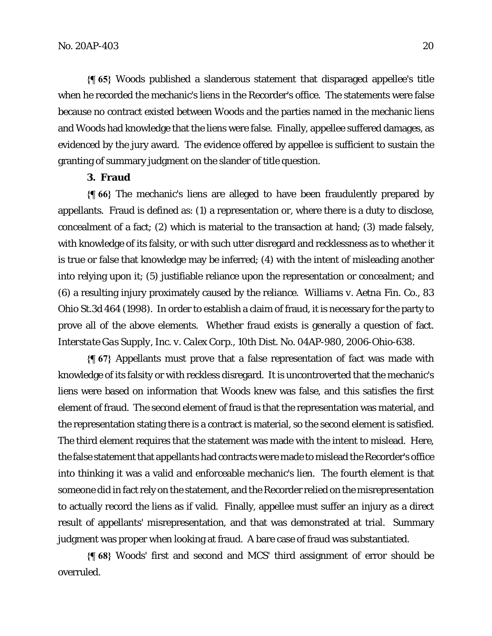**{¶ 65}** Woods published a slanderous statement that disparaged appellee's title when he recorded the mechanic's liens in the Recorder's office. The statements were false because no contract existed between Woods and the parties named in the mechanic liens and Woods had knowledge that the liens were false. Finally, appellee suffered damages, as evidenced by the jury award. The evidence offered by appellee is sufficient to sustain the granting of summary judgment on the slander of title question.

# **3. Fraud**

**{¶ 66}** The mechanic's liens are alleged to have been fraudulently prepared by appellants. Fraud is defined as: (1) a representation or, where there is a duty to disclose, concealment of a fact; (2) which is material to the transaction at hand; (3) made falsely, with knowledge of its falsity, or with such utter disregard and recklessness as to whether it is true or false that knowledge may be inferred; (4) with the intent of misleading another into relying upon it; (5) justifiable reliance upon the representation or concealment; and (6) a resulting injury proximately caused by the reliance. *Williams v. Aetna Fin. Co.*, 83 Ohio St.3d 464 (1998). In order to establish a claim of fraud, it is necessary for the party to prove all of the above elements. Whether fraud exists is generally a question of fact. *Interstate Gas Supply, Inc. v. Calex Corp.,* 10th Dist. No. 04AP-980, 2006-Ohio-638.

**{¶ 67}** Appellants must prove that a false representation of fact was made with knowledge of its falsity or with reckless disregard. It is uncontroverted that the mechanic's liens were based on information that Woods knew was false, and this satisfies the first element of fraud. The second element of fraud is that the representation was material, and the representation stating there is a contract is material, so the second element is satisfied. The third element requires that the statement was made with the intent to mislead. Here, the false statement that appellants had contracts were made to mislead the Recorder's office into thinking it was a valid and enforceable mechanic's lien. The fourth element is that someone did in fact rely on the statement, and the Recorder relied on the misrepresentation to actually record the liens as if valid. Finally, appellee must suffer an injury as a direct result of appellants' misrepresentation, and that was demonstrated at trial. Summary judgment was proper when looking at fraud. A bare case of fraud was substantiated.

**{¶ 68}** Woods' first and second and MCS' third assignment of error should be overruled.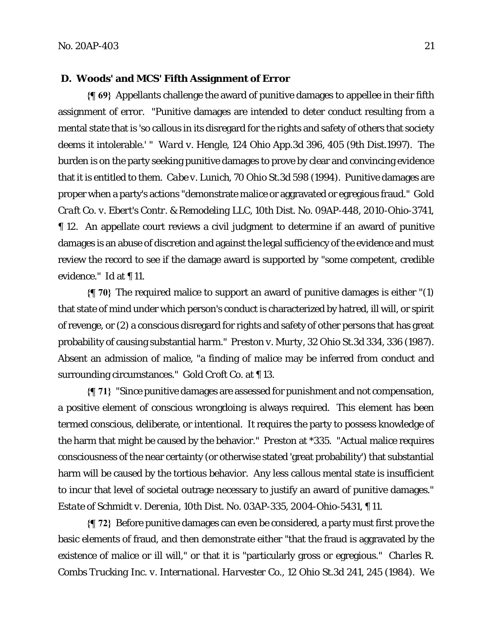#### **D. Woods' and MCS' Fifth Assignment of Error**

**{¶ 69}** Appellants challenge the award of punitive damages to appellee in their fifth assignment of error. "Punitive damages are intended to deter conduct resulting from a mental state that is 'so callous in its disregard for the rights and safety of others that society deems it intolerable.' " *Ward v. Hengle*, 124 Ohio App.3d 396, 405 (9th Dist.1997). The burden is on the party seeking punitive damages to prove by clear and convincing evidence that it is entitled to them. *Cabe v. Lunich*, 70 Ohio St.3d 598 (1994). Punitive damages are proper when a party's actions "demonstrate malice or aggravated or egregious fraud." *Gold Craft Co. v. Ebert's Contr. & Remodeling LLC,* 10th Dist. No. 09AP-448, 2010-Ohio-3741, ¶ 12. An appellate court reviews a civil judgment to determine if an award of punitive damages is an abuse of discretion and against the legal sufficiency of the evidence and must review the record to see if the damage award is supported by "some competent, credible evidence." *Id* at ¶ 11.

**{¶ 70}** The required malice to support an award of punitive damages is either "(1) that state of mind under which person's conduct is characterized by hatred, ill will, or spirit of revenge, or (2) a conscious disregard for rights and safety of other persons that has great probability of causing substantial harm." *Preston v. Murty*, 32 Ohio St.3d 334, 336 (1987). Absent an admission of malice, "a finding of malice may be inferred from conduct and surrounding circumstances." *Gold Croft Co.* at ¶ 13.

**{¶ 71}** "Since punitive damages are assessed for punishment and not compensation, a positive element of conscious wrongdoing is always required. This element has been termed conscious, deliberate, or intentional. It requires the party to possess knowledge of the harm that might be caused by the behavior." *Preston* at \*335. "Actual malice requires consciousness of the near certainty (or otherwise stated 'great probability') that substantial harm will be caused by the tortious behavior. Any less callous mental state is insufficient to incur that level of societal outrage necessary to justify an award of punitive damages." *Estate of Schmidt v. Derenia,* 10th Dist. No. 03AP-335, 2004-Ohio-5431, ¶ 11.

**{¶ 72}** Before punitive damages can even be considered, a party must first prove the basic elements of fraud, and then demonstrate either "that the fraud is aggravated by the existence of malice or ill will," or that it is "particularly gross or egregious." *Charles R. Combs Trucking Inc. v. International. Harvester Co.*, 12 Ohio St.3d 241, 245 (1984). We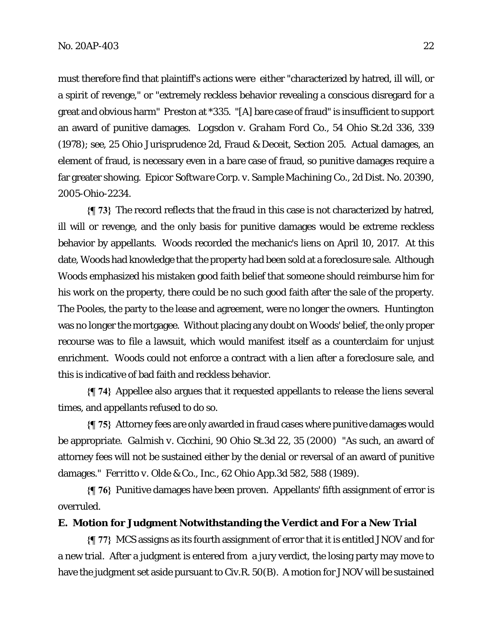must therefore find that plaintiff's actions were either "characterized by hatred, ill will, or a spirit of revenge," or "extremely reckless behavior revealing a conscious disregard for a great and obvious harm" *Preston* at \*335*.* "[A] bare case of fraud" is insufficient to support an award of punitive damages. *Logsdon v. Graham Ford Co.*, 54 Ohio St.2d 336, 339 (1978); *see*, 25 Ohio Jurisprudence 2d, Fraud & Deceit, Section 205. Actual damages, an element of fraud, is necessary even in a bare case of fraud, so punitive damages require a far greater showing. *Epicor Software Corp. v. Sample Machining Co.,* 2d Dist. No. 20390, 2005-Ohio-2234.

**{¶ 73}** The record reflects that the fraud in this case is not characterized by hatred, ill will or revenge, and the only basis for punitive damages would be extreme reckless behavior by appellants. Woods recorded the mechanic's liens on April 10, 2017. At this date, Woods had knowledge that the property had been sold at a foreclosure sale. Although Woods emphasized his mistaken good faith belief that someone should reimburse him for his work on the property, there could be no such good faith after the sale of the property. The Pooles, the party to the lease and agreement, were no longer the owners. Huntington was no longer the mortgagee. Without placing any doubt on Woods' belief, the only proper recourse was to file a lawsuit, which would manifest itself as a counterclaim for unjust enrichment. Woods could not enforce a contract with a lien after a foreclosure sale, and this is indicative of bad faith and reckless behavior.

**{¶ 74}** Appellee also argues that it requested appellants to release the liens several times, and appellants refused to do so.

**{¶ 75}** Attorney fees are only awarded in fraud cases where punitive damages would be appropriate. *Galmish v. Cicchini,* 90 Ohio St.3d 22, 35 (2000) "As such, an award of attorney fees will not be sustained either by the denial or reversal of an award of punitive damages." *Ferritto v. Olde & Co., Inc.*, 62 Ohio App.3d 582, 588 (1989).

**{¶ 76}** Punitive damages have been proven. Appellants' fifth assignment of error is overruled.

## **E. Motion for Judgment Notwithstanding the Verdict and For a New Trial**

**{¶ 77}** MCS assigns as its fourth assignment of error that it is entitled JNOV and for a new trial. After a judgment is entered from a jury verdict, the losing party may move to have the judgment set aside pursuant to Civ.R. 50(B). A motion for JNOV will be sustained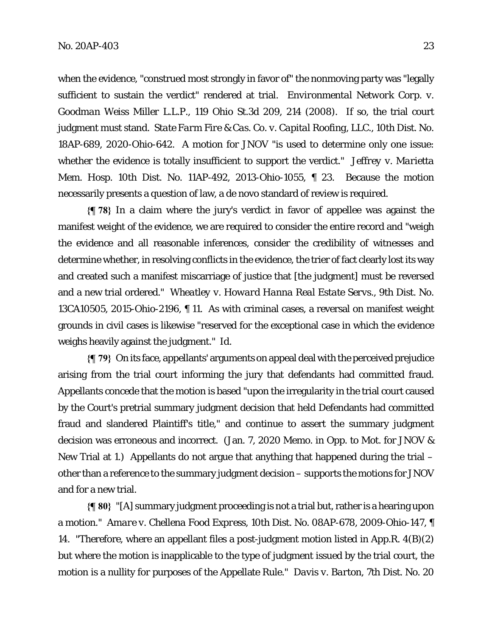when the evidence, "construed most strongly in favor of" the nonmoving party was "legally sufficient to sustain the verdict" rendered at trial. *Environmental Network Corp. v. Goodman Weiss Miller L.L.P.*, 119 Ohio St.3d 209, 214 (2008). If so, the trial court judgment must stand. *State Farm Fire & Cas. Co. v. Capital Roofing, LLC.*, 10th Dist. No. 18AP-689, 2020-Ohio-642. A motion for JNOV "is used to determine only one issue: whether the evidence is totally insufficient to support the verdict." *Jeffrey v. Marietta Mem. Hosp.* 10th Dist. No. 11AP-492, 2013-Ohio-1055, ¶ 23. Because the motion necessarily presents a question of law, a de novo standard of review is required.

**{¶ 78}** In a claim where the jury's verdict in favor of appellee was against the manifest weight of the evidence, we are required to consider the entire record and "weigh the evidence and all reasonable inferences, consider the credibility of witnesses and determine whether, in resolving conflicts in the evidence, the trier of fact clearly lost its way and created such a manifest miscarriage of justice that [the judgment] must be reversed and a new trial ordered." *Wheatley v. Howard Hanna Real Estate Servs.,* 9th Dist. No. 13CA10505, 2015-Ohio-2196, ¶ 11. As with criminal cases, a reversal on manifest weight grounds in civil cases is likewise "reserved for the exceptional case in which the evidence weighs heavily against the judgment." *Id.*

**{¶ 79}** On its face, appellants' arguments on appeal deal with the perceived prejudice arising from the trial court informing the jury that defendants had committed fraud. Appellants concede that the motion is based "upon the irregularity in the trial court caused by the Court's pretrial summary judgment decision that held Defendants had committed fraud and slandered Plaintiff's title," and continue to assert the summary judgment decision was erroneous and incorrect. (Jan. 7, 2020 Memo. in Opp. to Mot. for JNOV & New Trial at 1.) Appellants do not argue that anything that happened during the trial – other than a reference to the summary judgment decision – supports the motions for JNOV and for a new trial.

**{¶ 80}** "[A] summary judgment proceeding is not a trial but, rather is a hearing upon a motion." *Amare v. Chellena Food Express,* 10th Dist. No. 08AP-678, 2009-Ohio-147, ¶ 14. "Therefore, where an appellant files a post-judgment motion listed in App.R. 4(B)(2) but where the motion is inapplicable to the type of judgment issued by the trial court, the motion is a nullity for purposes of the Appellate Rule." *Davis v. Barton,* 7th Dist. No. 20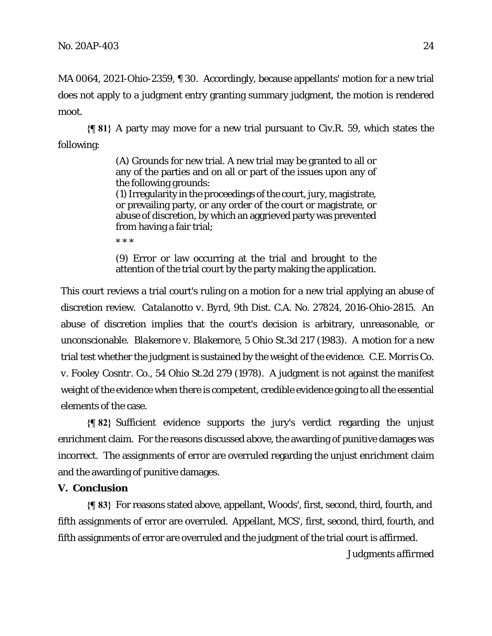MA 0064, 2021-Ohio-2359, ¶ 30. Accordingly, because appellants' motion for a new trial does not apply to a judgment entry granting summary judgment, the motion is rendered moot.

**{¶ 81}** A party may move for a new trial pursuant to Civ.R. 59, which states the following:

> (A) Grounds for new trial. A new trial may be granted to all or any of the parties and on all or part of the issues upon any of the following grounds:

> (1) Irregularity in the proceedings of the court, jury, magistrate, or prevailing party, or any order of the court or magistrate, or abuse of discretion, by which an aggrieved party was prevented from having a fair trial;

\* \* \*

(9) Error or law occurring at the trial and brought to the attention of the trial court by the party making the application.

This court reviews a trial court's ruling on a motion for a new trial applying an abuse of discretion review. *Catalanotto v. Byrd,* 9th Dist. C.A. No. 27824, 2016-Ohio-2815. An abuse of discretion implies that the court's decision is arbitrary, unreasonable, or unconscionable. *Blakemore v. Blakemore*, 5 Ohio St.3d 217 (1983). A motion for a new trial test whether the judgment is sustained by the weight of the evidence. *C.E. Morris Co. v. Fooley Cosntr. Co.*, 54 Ohio St.2d 279 (1978). A judgment is not against the manifest weight of the evidence when there is competent, credible evidence going to all the essential elements of the case.

**{¶ 82}** Sufficient evidence supports the jury's verdict regarding the unjust enrichment claim. For the reasons discussed above, the awarding of punitive damages was incorrect. The assignments of error are overruled regarding the unjust enrichment claim and the awarding of punitive damages.

# **V. Conclusion**

**{¶ 83}** For reasons stated above, appellant, Woods', first, second, third, fourth, and fifth assignments of error are overruled. Appellant, MCS', first, second, third, fourth, and fifth assignments of error are overruled and the judgment of the trial court is affirmed.

*Judgments affirmed*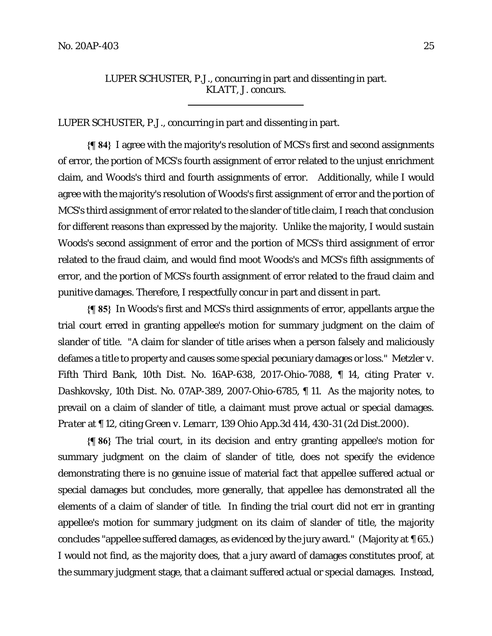# LUPER SCHUSTER, P.J., concurring in part and dissenting in part. KLATT, J. concurs.

LUPER SCHUSTER, P.J., concurring in part and dissenting in part.

 $\overline{a}$ 

**{¶ 84}** I agree with the majority's resolution of MCS's first and second assignments of error, the portion of MCS's fourth assignment of error related to the unjust enrichment claim, and Woods's third and fourth assignments of error. Additionally, while I would agree with the majority's resolution of Woods's first assignment of error and the portion of MCS's third assignment of error related to the slander of title claim, I reach that conclusion for different reasons than expressed by the majority. Unlike the majority, I would sustain Woods's second assignment of error and the portion of MCS's third assignment of error related to the fraud claim, and would find moot Woods's and MCS's fifth assignments of error, and the portion of MCS's fourth assignment of error related to the fraud claim and punitive damages. Therefore, I respectfully concur in part and dissent in part.

**{¶ 85}** In Woods's first and MCS's third assignments of error, appellants argue the trial court erred in granting appellee's motion for summary judgment on the claim of slander of title. "A claim for slander of title arises when a person falsely and maliciously defames a title to property and causes some special pecuniary damages or loss." *Metzler v. Fifth Third Bank*, 10th Dist. No. 16AP-638, 2017-Ohio-7088, ¶ 14, citing *Prater v. Dashkovsky*, 10th Dist. No. 07AP-389, 2007-Ohio-6785, ¶ 11. As the majority notes, to prevail on a claim of slander of title, a claimant must prove actual or special damages. *Prater* at ¶ 12, citing *Green v. Lemarr*, 139 Ohio App.3d 414, 430-31 (2d Dist.2000).

**{¶ 86}** The trial court, in its decision and entry granting appellee's motion for summary judgment on the claim of slander of title, does not specify the evidence demonstrating there is no genuine issue of material fact that appellee suffered actual or special damages but concludes, more generally, that appellee has demonstrated all the elements of a claim of slander of title. In finding the trial court did not err in granting appellee's motion for summary judgment on its claim of slander of title, the majority concludes "appellee suffered damages, as evidenced by the jury award." (Majority at ¶ 65.) I would not find, as the majority does, that a jury award of damages constitutes proof, at the summary judgment stage, that a claimant suffered actual or special damages. Instead,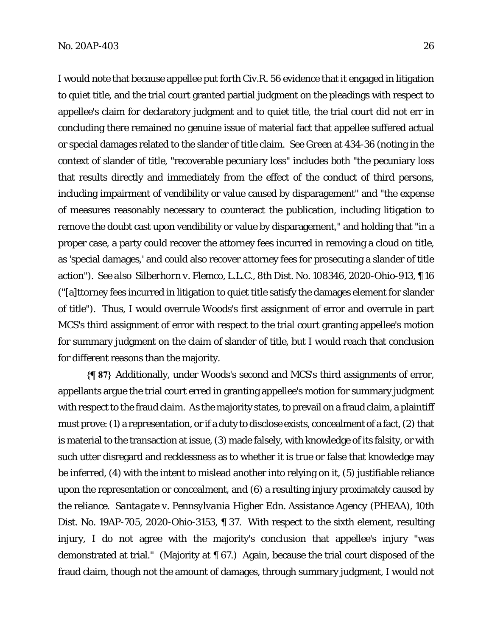I would note that because appellee put forth Civ.R. 56 evidence that it engaged in litigation to quiet title, and the trial court granted partial judgment on the pleadings with respect to appellee's claim for declaratory judgment and to quiet title, the trial court did not err in concluding there remained no genuine issue of material fact that appellee suffered actual or special damages related to the slander of title claim. *See Green* at 434-36 (noting in the context of slander of title, "recoverable pecuniary loss" includes both "the pecuniary loss that results directly and immediately from the effect of the conduct of third persons, including impairment of vendibility or value caused by disparagement" and "the expense of measures reasonably necessary to counteract the publication, including litigation to remove the doubt cast upon vendibility or value by disparagement," and holding that "in a proper case, a party could recover the attorney fees incurred in removing a cloud on title, as 'special damages,' and could also recover attorney fees for prosecuting a slander of title action"). *See also Silberhorn v. Flemco, L.L.C.*, 8th Dist. No. 108346, 2020-Ohio-913, ¶ 16 ("[a]ttorney fees incurred in litigation to quiet title satisfy the damages element for slander of title"). Thus, I would overrule Woods's first assignment of error and overrule in part MCS's third assignment of error with respect to the trial court granting appellee's motion for summary judgment on the claim of slander of title, but I would reach that conclusion for different reasons than the majority.

**{¶ 87}** Additionally, under Woods's second and MCS's third assignments of error, appellants argue the trial court erred in granting appellee's motion for summary judgment with respect to the fraud claim. As the majority states, to prevail on a fraud claim, a plaintiff must prove: (1) a representation, or if a duty to disclose exists, concealment of a fact, (2) that is material to the transaction at issue, (3) made falsely, with knowledge of its falsity, or with such utter disregard and recklessness as to whether it is true or false that knowledge may be inferred, (4) with the intent to mislead another into relying on it, (5) justifiable reliance upon the representation or concealment, and (6) a resulting injury proximately caused by the reliance. *Santagate v. Pennsylvania Higher Edn. Assistance Agency (PHEAA)*, 10th Dist. No. 19AP-705, 2020-Ohio-3153, ¶ 37. With respect to the sixth element, resulting injury, I do not agree with the majority's conclusion that appellee's injury "was demonstrated at trial." (Majority at ¶ 67.) Again, because the trial court disposed of the fraud claim, though not the amount of damages, through summary judgment, I would not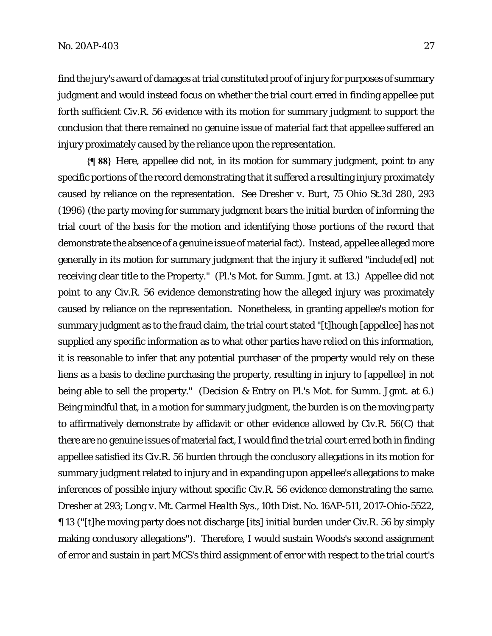find the jury's award of damages at trial constituted proof of injury for purposes of summary judgment and would instead focus on whether the trial court erred in finding appellee put forth sufficient Civ.R. 56 evidence with its motion for summary judgment to support the conclusion that there remained no genuine issue of material fact that appellee suffered an injury proximately caused by the reliance upon the representation.

**{¶ 88}** Here, appellee did not, in its motion for summary judgment, point to any specific portions of the record demonstrating that it suffered a resulting injury proximately caused by reliance on the representation. *See Dresher v. Burt*, 75 Ohio St.3d 280, 293 (1996) (the party moving for summary judgment bears the initial burden of informing the trial court of the basis for the motion and identifying those portions of the record that demonstrate the absence of a genuine issue of material fact). Instead, appellee alleged more generally in its motion for summary judgment that the injury it suffered "include[ed] not receiving clear title to the Property." (Pl.'s Mot. for Summ. Jgmt. at 13.) Appellee did not point to any Civ.R. 56 evidence demonstrating how the alleged injury was proximately caused by reliance on the representation. Nonetheless, in granting appellee's motion for summary judgment as to the fraud claim, the trial court stated "[t]hough [appellee] has not supplied any specific information as to what other parties have relied on this information, it is reasonable to infer that any potential purchaser of the property would rely on these liens as a basis to decline purchasing the property, resulting in injury to [appellee] in not being able to sell the property." (Decision & Entry on Pl.'s Mot. for Summ. Jgmt. at 6.) Being mindful that, in a motion for summary judgment, the burden is on the moving party to affirmatively demonstrate by affidavit or other evidence allowed by Civ.R. 56(C) that there are no genuine issues of material fact, I would find the trial court erred both in finding appellee satisfied its Civ.R. 56 burden through the conclusory allegations in its motion for summary judgment related to injury and in expanding upon appellee's allegations to make inferences of possible injury without specific Civ.R. 56 evidence demonstrating the same. *Dresher* at 293; *Long v. Mt. Carmel Health Sys*., 10th Dist. No. 16AP-511, 2017-Ohio-5522, ¶ 13 ("[t]he moving party does not discharge [its] initial burden under Civ.R. 56 by simply making conclusory allegations"). Therefore, I would sustain Woods's second assignment of error and sustain in part MCS's third assignment of error with respect to the trial court's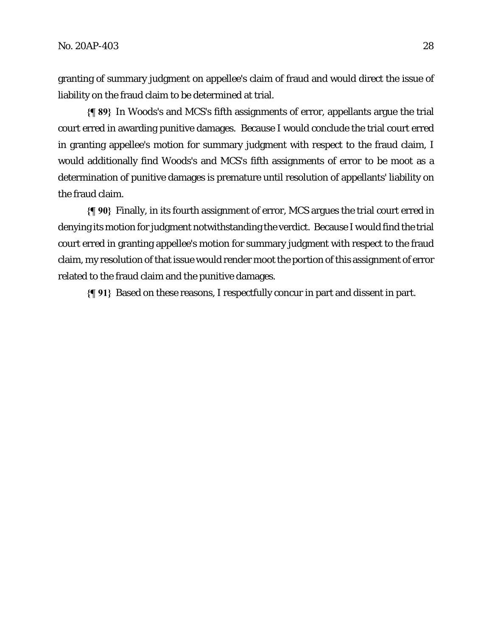granting of summary judgment on appellee's claim of fraud and would direct the issue of liability on the fraud claim to be determined at trial.

**{¶ 89}** In Woods's and MCS's fifth assignments of error, appellants argue the trial court erred in awarding punitive damages. Because I would conclude the trial court erred in granting appellee's motion for summary judgment with respect to the fraud claim, I would additionally find Woods's and MCS's fifth assignments of error to be moot as a determination of punitive damages is premature until resolution of appellants' liability on the fraud claim.

**{¶ 90}** Finally, in its fourth assignment of error, MCS argues the trial court erred in denying its motion for judgment notwithstanding the verdict. Because I would find the trial court erred in granting appellee's motion for summary judgment with respect to the fraud claim, my resolution of that issue would render moot the portion of this assignment of error related to the fraud claim and the punitive damages.

**{¶ 91}** Based on these reasons, I respectfully concur in part and dissent in part.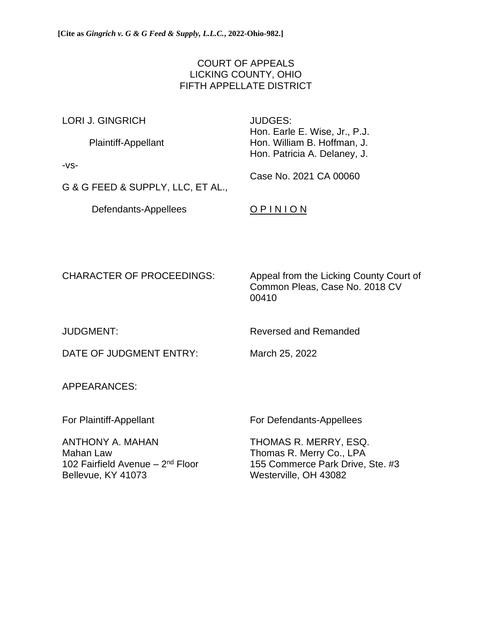# COURT OF APPEALS LICKING COUNTY, OHIO FIFTH APPELLATE DISTRICT

| <b>LORI J. GINGRICH</b>           | JUDGES:<br>Hon. Earle E. Wise, Jr., P.J.<br>Hon. William B. Hoffman, J.<br>Hon. Patricia A. Delaney, J. |  |
|-----------------------------------|---------------------------------------------------------------------------------------------------------|--|
| Plaintiff-Appellant               |                                                                                                         |  |
| $-VS-$                            | Case No. 2021 CA 00060                                                                                  |  |
| G & G FEED & SUPPLY, LLC, ET AL., |                                                                                                         |  |

Defendants-Appellees **O P I N I O N** 

CHARACTER OF PROCEEDINGS: Appeal from the Licking County Court of Common Pleas, Case No. 2018 CV 00410

JUDGMENT: Reversed and Remanded

DATE OF JUDGMENT ENTRY: March 25, 2022

APPEARANCES:

For Plaintiff-Appellant For Defendants-Appellees

ANTHONY A. MAHAN THOMAS R. MERRY, ESQ. Mahan Law **Thomas R. Merry Co., LPA** 102 Fairfield Avenue - 2<sup>nd</sup> Floor Bellevue, KY 41073 Westerville, OH 43082

155 Commerce Park Drive, Ste. #3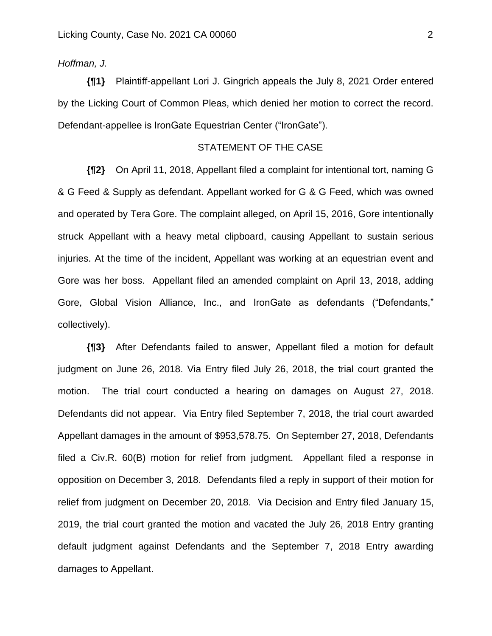# *Hoffman, J.*

**{¶1}** Plaintiff-appellant Lori J. Gingrich appeals the July 8, 2021 Order entered by the Licking Court of Common Pleas, which denied her motion to correct the record. Defendant-appellee is IronGate Equestrian Center ("IronGate").

### STATEMENT OF THE CASE

**{¶2}** On April 11, 2018, Appellant filed a complaint for intentional tort, naming G & G Feed & Supply as defendant. Appellant worked for G & G Feed, which was owned and operated by Tera Gore. The complaint alleged, on April 15, 2016, Gore intentionally struck Appellant with a heavy metal clipboard, causing Appellant to sustain serious injuries. At the time of the incident, Appellant was working at an equestrian event and Gore was her boss. Appellant filed an amended complaint on April 13, 2018, adding Gore, Global Vision Alliance, Inc., and IronGate as defendants ("Defendants," collectively).

**{¶3}** After Defendants failed to answer, Appellant filed a motion for default judgment on June 26, 2018. Via Entry filed July 26, 2018, the trial court granted the motion. The trial court conducted a hearing on damages on August 27, 2018. Defendants did not appear. Via Entry filed September 7, 2018, the trial court awarded Appellant damages in the amount of \$953,578.75. On September 27, 2018, Defendants filed a Civ.R. 60(B) motion for relief from judgment. Appellant filed a response in opposition on December 3, 2018. Defendants filed a reply in support of their motion for relief from judgment on December 20, 2018. Via Decision and Entry filed January 15, 2019, the trial court granted the motion and vacated the July 26, 2018 Entry granting default judgment against Defendants and the September 7, 2018 Entry awarding damages to Appellant.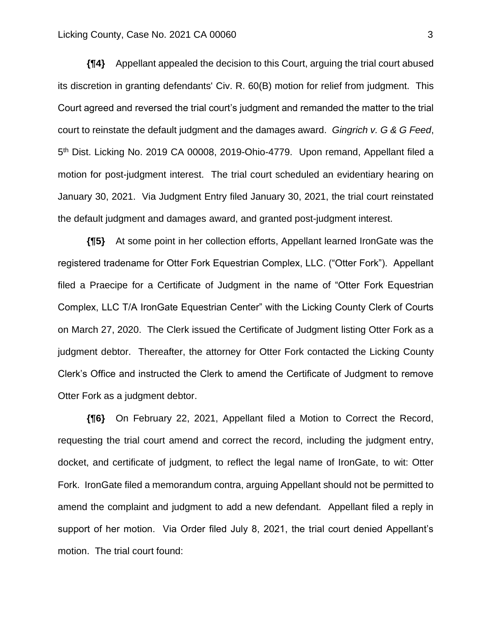#### Licking County, Case No. 2021 CA 00060 3

**{¶4}** Appellant appealed the decision to this Court, arguing the trial court abused its discretion in granting defendants' Civ. R. 60(B) motion for relief from judgment. This Court agreed and reversed the trial court's judgment and remanded the matter to the trial court to reinstate the default judgment and the damages award. *Gingrich v. G & G Feed*, 5<sup>th</sup> Dist. Licking No. 2019 CA 00008, 2019-Ohio-4779. Upon remand, Appellant filed a motion for post-judgment interest. The trial court scheduled an evidentiary hearing on January 30, 2021. Via Judgment Entry filed January 30, 2021, the trial court reinstated the default judgment and damages award, and granted post-judgment interest.

**{¶5}** At some point in her collection efforts, Appellant learned IronGate was the registered tradename for Otter Fork Equestrian Complex, LLC. ("Otter Fork"). Appellant filed a Praecipe for a Certificate of Judgment in the name of "Otter Fork Equestrian Complex, LLC T/A IronGate Equestrian Center" with the Licking County Clerk of Courts on March 27, 2020. The Clerk issued the Certificate of Judgment listing Otter Fork as a judgment debtor. Thereafter, the attorney for Otter Fork contacted the Licking County Clerk's Office and instructed the Clerk to amend the Certificate of Judgment to remove Otter Fork as a judgment debtor.

**{¶6}** On February 22, 2021, Appellant filed a Motion to Correct the Record, requesting the trial court amend and correct the record, including the judgment entry, docket, and certificate of judgment, to reflect the legal name of IronGate, to wit: Otter Fork. IronGate filed a memorandum contra, arguing Appellant should not be permitted to amend the complaint and judgment to add a new defendant. Appellant filed a reply in support of her motion. Via Order filed July 8, 2021, the trial court denied Appellant's motion. The trial court found: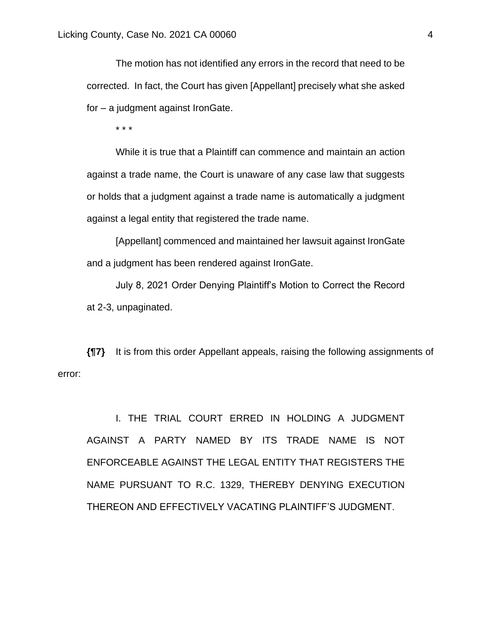The motion has not identified any errors in the record that need to be corrected. In fact, the Court has given [Appellant] precisely what she asked for – a judgment against IronGate.

\* \* \*

While it is true that a Plaintiff can commence and maintain an action against a trade name, the Court is unaware of any case law that suggests or holds that a judgment against a trade name is automatically a judgment against a legal entity that registered the trade name.

[Appellant] commenced and maintained her lawsuit against IronGate and a judgment has been rendered against IronGate.

July 8, 2021 Order Denying Plaintiff's Motion to Correct the Record at 2-3, unpaginated.

**{¶7}** It is from this order Appellant appeals, raising the following assignments of error:

I. THE TRIAL COURT ERRED IN HOLDING A JUDGMENT AGAINST A PARTY NAMED BY ITS TRADE NAME IS NOT ENFORCEABLE AGAINST THE LEGAL ENTITY THAT REGISTERS THE NAME PURSUANT TO R.C. 1329, THEREBY DENYING EXECUTION THEREON AND EFFECTIVELY VACATING PLAINTIFF'S JUDGMENT.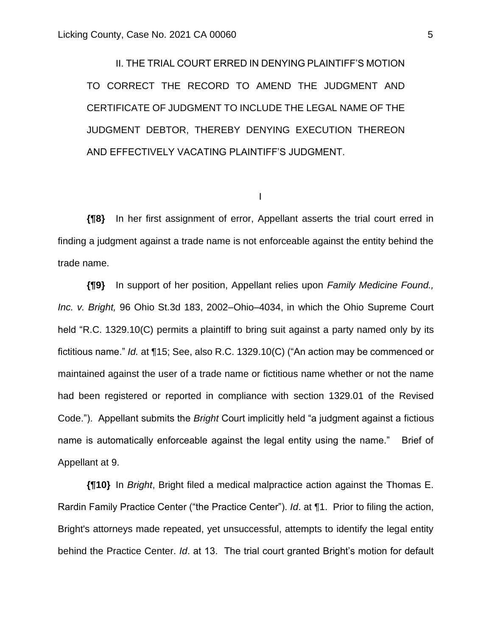II. THE TRIAL COURT ERRED IN DENYING PLAINTIFF'S MOTION TO CORRECT THE RECORD TO AMEND THE JUDGMENT AND CERTIFICATE OF JUDGMENT TO INCLUDE THE LEGAL NAME OF THE JUDGMENT DEBTOR, THEREBY DENYING EXECUTION THEREON AND EFFECTIVELY VACATING PLAINTIFF'S JUDGMENT.

I

**{¶8}** In her first assignment of error, Appellant asserts the trial court erred in finding a judgment against a trade name is not enforceable against the entity behind the trade name.

**{¶9}** In support of her position, Appellant relies upon *Family Medicine Found., Inc. v. Bright,* 96 Ohio St.3d 183, 2002–Ohio–4034, in which the Ohio Supreme Court held "R.C. 1329.10(C) permits a plaintiff to bring suit against a party named only by its fictitious name." *Id.* at ¶15; See, also R.C. 1329.10(C) ("An action may be commenced or maintained against the user of a trade name or fictitious name whether or not the name had been registered or reported in compliance with section 1329.01 of the Revised Code."). Appellant submits the *Bright* Court implicitly held "a judgment against a fictious name is automatically enforceable against the legal entity using the name." Brief of Appellant at 9.

**{¶10}** In *Bright*, Bright filed a medical malpractice action against the Thomas E. Rardin Family Practice Center ("the Practice Center"). *Id*. at ¶1. Prior to filing the action, Bright's attorneys made repeated, yet unsuccessful, attempts to identify the legal entity behind the Practice Center. *Id*. at 13. The trial court granted Bright's motion for default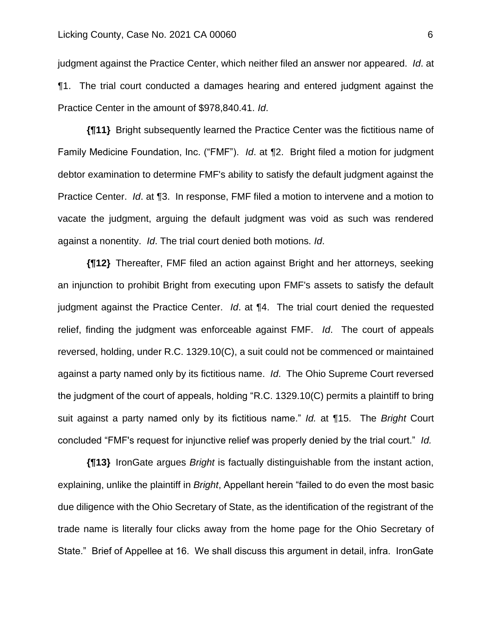judgment against the Practice Center, which neither filed an answer nor appeared. *Id*. at ¶1. The trial court conducted a damages hearing and entered judgment against the Practice Center in the amount of \$978,840.41. *Id*.

**{¶11}** Bright subsequently learned the Practice Center was the fictitious name of Family Medicine Foundation, Inc. ("FMF"). *Id*. at ¶2. Bright filed a motion for judgment debtor examination to determine FMF's ability to satisfy the default judgment against the Practice Center. *Id*. at ¶3. In response, FMF filed a motion to intervene and a motion to vacate the judgment, arguing the default judgment was void as such was rendered against a nonentity. *Id*. The trial court denied both motions. *Id*.

**{¶12}** Thereafter, FMF filed an action against Bright and her attorneys, seeking an injunction to prohibit Bright from executing upon FMF's assets to satisfy the default judgment against the Practice Center. *Id*. at ¶4. The trial court denied the requested relief, finding the judgment was enforceable against FMF. *Id*. The court of appeals reversed, holding, under R.C. 1329.10(C), a suit could not be commenced or maintained against a party named only by its fictitious name. *Id*. The Ohio Supreme Court reversed the judgment of the court of appeals, holding "R.C. 1329.10(C) permits a plaintiff to bring suit against a party named only by its fictitious name." *Id.* at ¶15. The *Bright* Court concluded "FMF's request for injunctive relief was properly denied by the trial court." *Id.*

**{¶13}** IronGate argues *Bright* is factually distinguishable from the instant action, explaining, unlike the plaintiff in *Bright*, Appellant herein "failed to do even the most basic due diligence with the Ohio Secretary of State, as the identification of the registrant of the trade name is literally four clicks away from the home page for the Ohio Secretary of State." Brief of Appellee at 16. We shall discuss this argument in detail, infra. IronGate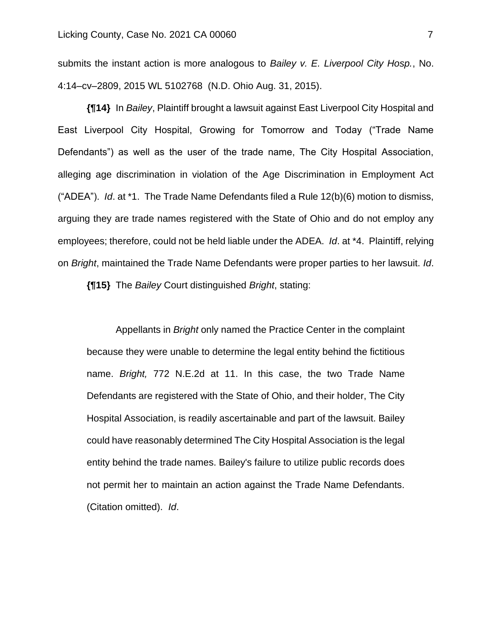submits the instant action is more analogous to *Bailey v. E. Liverpool City Hosp.*, No. 4:14–cv–2809, 2015 WL 5102768 (N.D. Ohio Aug. 31, 2015).

**{¶14}** In *Bailey*, Plaintiff brought a lawsuit against East Liverpool City Hospital and East Liverpool City Hospital, Growing for Tomorrow and Today ("Trade Name Defendants") as well as the user of the trade name, The City Hospital Association, alleging age discrimination in violation of the Age Discrimination in Employment Act ("ADEA"). *Id*. at \*1. The Trade Name Defendants filed a Rule 12(b)(6) motion to dismiss, arguing they are trade names registered with the State of Ohio and do not employ any employees; therefore, could not be held liable under the ADEA. *Id*. at \*4. Plaintiff, relying on *Bright*, maintained the Trade Name Defendants were proper parties to her lawsuit. *Id*.

**{¶15}** The *Bailey* Court distinguished *Bright*, stating:

Appellants in *Bright* only named the Practice Center in the complaint because they were unable to determine the legal entity behind the fictitious name. *Bright,* 772 N.E.2d at 11. In this case, the two Trade Name Defendants are registered with the State of Ohio, and their holder, The City Hospital Association, is readily ascertainable and part of the lawsuit. Bailey could have reasonably determined The City Hospital Association is the legal entity behind the trade names. Bailey's failure to utilize public records does not permit her to maintain an action against the Trade Name Defendants. (Citation omitted). *Id*.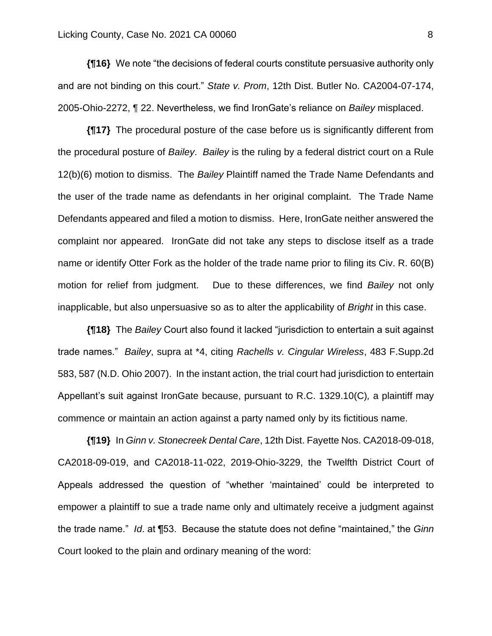**{¶16}** We note "the decisions of federal courts constitute persuasive authority only and are not binding on this court." *State v. Prom*, 12th Dist. Butler No. CA2004-07-174, 2005-Ohio-2272, ¶ 22. Nevertheless, we find IronGate's reliance on *Bailey* misplaced.

**{¶17}** The procedural posture of the case before us is significantly different from the procedural posture of *Bailey*. *Bailey* is the ruling by a federal district court on a Rule 12(b)(6) motion to dismiss. The *Bailey* Plaintiff named the Trade Name Defendants and the user of the trade name as defendants in her original complaint. The Trade Name Defendants appeared and filed a motion to dismiss. Here, IronGate neither answered the complaint nor appeared. IronGate did not take any steps to disclose itself as a trade name or identify Otter Fork as the holder of the trade name prior to filing its Civ. R. 60(B) motion for relief from judgment. Due to these differences, we find *Bailey* not only inapplicable, but also unpersuasive so as to alter the applicability of *Bright* in this case.

**{¶18}** The *Bailey* Court also found it lacked "jurisdiction to entertain a suit against trade names." *Bailey*, supra at \*4, citing *Rachells v. Cingular Wireless*, 483 F.Supp.2d 583, 587 (N.D. Ohio 2007). In the instant action, the trial court had jurisdiction to entertain Appellant's suit against IronGate because, pursuant to R.C. 1329.10(C)*,* a plaintiff may commence or maintain an action against a party named only by its fictitious name.

**{¶19}** In *Ginn v. Stonecreek Dental Care*, 12th Dist. Fayette Nos. CA2018-09-018, CA2018-09-019, and CA2018-11-022, 2019-Ohio-3229, the Twelfth District Court of Appeals addressed the question of "whether 'maintained' could be interpreted to empower a plaintiff to sue a trade name only and ultimately receive a judgment against the trade name." *Id*. at ¶53. Because the statute does not define "maintained," the *Ginn* Court looked to the plain and ordinary meaning of the word: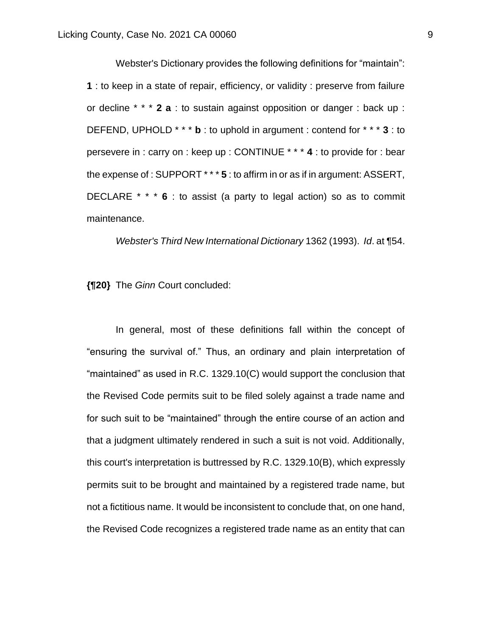Webster's Dictionary provides the following definitions for "maintain": **1** : to keep in a state of repair, efficiency, or validity : preserve from failure or decline \* \* \* **2 a** : to sustain against opposition or danger : back up : DEFEND, UPHOLD \* \* \* **b** : to uphold in argument : contend for \* \* \* **3** : to persevere in : carry on : keep up : CONTINUE \* \* \* **4** : to provide for : bear the expense of : SUPPORT \* \* \* **5** : to affirm in or as if in argument: ASSERT, DECLARE \* \* \* **6** : to assist (a party to legal action) so as to commit maintenance.

*Webster's Third New International Dictionary* 1362 (1993). *Id*. at ¶54.

**{¶20}** The *Ginn* Court concluded:

In general, most of these definitions fall within the concept of "ensuring the survival of." Thus, an ordinary and plain interpretation of "maintained" as used in R.C. 1329.10(C) would support the conclusion that the Revised Code permits suit to be filed solely against a trade name and for such suit to be "maintained" through the entire course of an action and that a judgment ultimately rendered in such a suit is not void. Additionally, this court's interpretation is buttressed by R.C. 1329.10(B), which expressly permits suit to be brought and maintained by a registered trade name, but not a fictitious name. It would be inconsistent to conclude that, on one hand, the Revised Code recognizes a registered trade name as an entity that can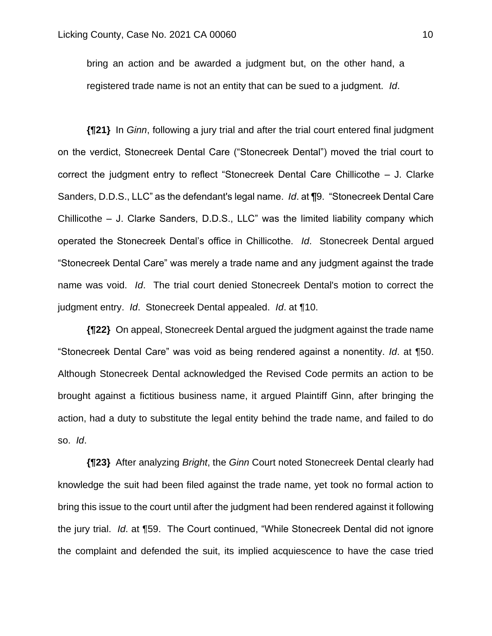bring an action and be awarded a judgment but, on the other hand, a registered trade name is not an entity that can be sued to a judgment. *Id*.

**{¶21}** In *Ginn*, following a jury trial and after the trial court entered final judgment on the verdict, Stonecreek Dental Care ("Stonecreek Dental") moved the trial court to correct the judgment entry to reflect "Stonecreek Dental Care Chillicothe – J. Clarke Sanders, D.D.S., LLC" as the defendant's legal name. *Id*. at ¶9. "Stonecreek Dental Care Chillicothe – J. Clarke Sanders, D.D.S., LLC" was the limited liability company which operated the Stonecreek Dental's office in Chillicothe. *Id*. Stonecreek Dental argued "Stonecreek Dental Care" was merely a trade name and any judgment against the trade name was void. *Id*. The trial court denied Stonecreek Dental's motion to correct the judgment entry. *Id*. Stonecreek Dental appealed. *Id*. at ¶10.

**{¶22}** On appeal, Stonecreek Dental argued the judgment against the trade name "Stonecreek Dental Care" was void as being rendered against a nonentity. *Id*. at ¶50. Although Stonecreek Dental acknowledged the Revised Code permits an action to be brought against a fictitious business name, it argued Plaintiff Ginn, after bringing the action, had a duty to substitute the legal entity behind the trade name, and failed to do so. *Id*.

**{¶23}** After analyzing *Bright*, the *Ginn* Court noted Stonecreek Dental clearly had knowledge the suit had been filed against the trade name, yet took no formal action to bring this issue to the court until after the judgment had been rendered against it following the jury trial. *Id*. at ¶59. The Court continued, "While Stonecreek Dental did not ignore the complaint and defended the suit, its implied acquiescence to have the case tried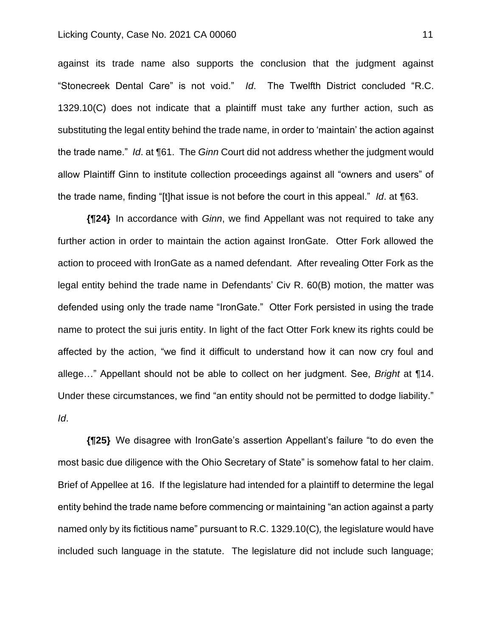#### Licking County, Case No. 2021 CA 00060 11 11

against its trade name also supports the conclusion that the judgment against "Stonecreek Dental Care" is not void." *Id*. The Twelfth District concluded "R.C. 1329.10(C) does not indicate that a plaintiff must take any further action, such as substituting the legal entity behind the trade name, in order to 'maintain' the action against the trade name." *Id*. at ¶61. The *Ginn* Court did not address whether the judgment would allow Plaintiff Ginn to institute collection proceedings against all "owners and users" of the trade name, finding "[t]hat issue is not before the court in this appeal." *Id*. at ¶63.

**{¶24}** In accordance with *Ginn*, we find Appellant was not required to take any further action in order to maintain the action against IronGate. Otter Fork allowed the action to proceed with IronGate as a named defendant. After revealing Otter Fork as the legal entity behind the trade name in Defendants' Civ R. 60(B) motion, the matter was defended using only the trade name "IronGate." Otter Fork persisted in using the trade name to protect the sui juris entity. In light of the fact Otter Fork knew its rights could be affected by the action, "we find it difficult to understand how it can now cry foul and allege…" Appellant should not be able to collect on her judgment. See, *Bright* at ¶14. Under these circumstances, we find "an entity should not be permitted to dodge liability." *Id*.

**{¶25}** We disagree with IronGate's assertion Appellant's failure "to do even the most basic due diligence with the Ohio Secretary of State" is somehow fatal to her claim. Brief of Appellee at 16. If the legislature had intended for a plaintiff to determine the legal entity behind the trade name before commencing or maintaining "an action against a party named only by its fictitious name" pursuant to R.C. 1329.10(C)*,* the legislature would have included such language in the statute. The legislature did not include such language;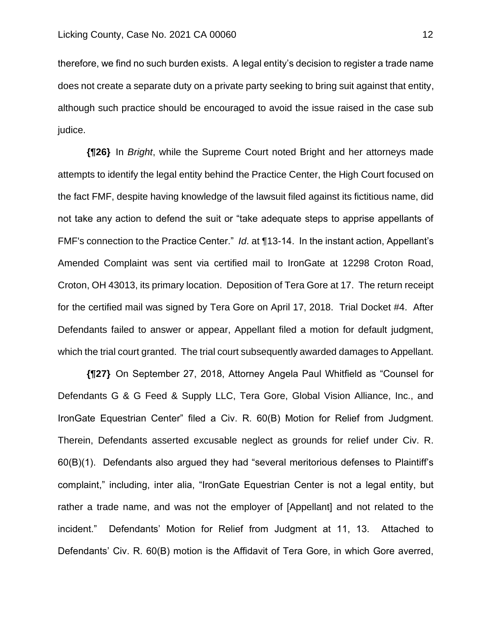therefore, we find no such burden exists. A legal entity's decision to register a trade name does not create a separate duty on a private party seeking to bring suit against that entity, although such practice should be encouraged to avoid the issue raised in the case sub judice.

**{¶26}** In *Bright*, while the Supreme Court noted Bright and her attorneys made attempts to identify the legal entity behind the Practice Center, the High Court focused on the fact FMF, despite having knowledge of the lawsuit filed against its fictitious name, did not take any action to defend the suit or "take adequate steps to apprise appellants of FMF's connection to the Practice Center." *Id*. at ¶13-14. In the instant action, Appellant's Amended Complaint was sent via certified mail to IronGate at 12298 Croton Road, Croton, OH 43013, its primary location. Deposition of Tera Gore at 17. The return receipt for the certified mail was signed by Tera Gore on April 17, 2018. Trial Docket #4. After Defendants failed to answer or appear, Appellant filed a motion for default judgment, which the trial court granted. The trial court subsequently awarded damages to Appellant.

**{¶27}** On September 27, 2018, Attorney Angela Paul Whitfield as "Counsel for Defendants G & G Feed & Supply LLC, Tera Gore, Global Vision Alliance, Inc., and IronGate Equestrian Center" filed a Civ. R. 60(B) Motion for Relief from Judgment. Therein, Defendants asserted excusable neglect as grounds for relief under Civ. R. 60(B)(1). Defendants also argued they had "several meritorious defenses to Plaintiff's complaint," including, inter alia, "IronGate Equestrian Center is not a legal entity, but rather a trade name, and was not the employer of [Appellant] and not related to the incident." Defendants' Motion for Relief from Judgment at 11, 13. Attached to Defendants' Civ. R. 60(B) motion is the Affidavit of Tera Gore, in which Gore averred,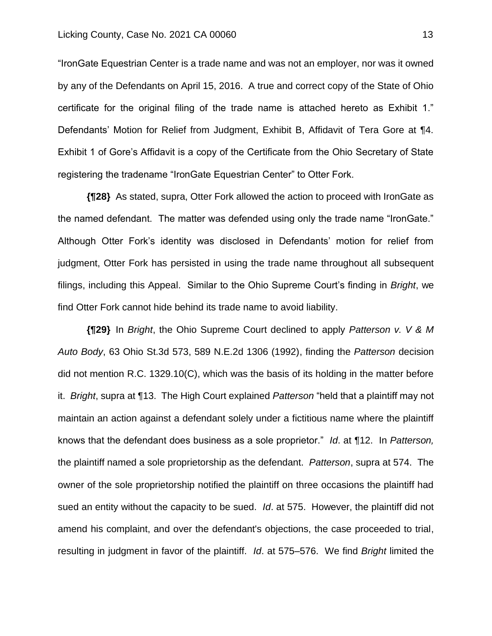#### Licking County, Case No. 2021 CA 00060 13

"IronGate Equestrian Center is a trade name and was not an employer, nor was it owned by any of the Defendants on April 15, 2016. A true and correct copy of the State of Ohio certificate for the original filing of the trade name is attached hereto as Exhibit 1." Defendants' Motion for Relief from Judgment, Exhibit B, Affidavit of Tera Gore at ¶4. Exhibit 1 of Gore's Affidavit is a copy of the Certificate from the Ohio Secretary of State registering the tradename "IronGate Equestrian Center" to Otter Fork.

**{¶28}** As stated, supra, Otter Fork allowed the action to proceed with IronGate as the named defendant. The matter was defended using only the trade name "IronGate." Although Otter Fork's identity was disclosed in Defendants' motion for relief from judgment, Otter Fork has persisted in using the trade name throughout all subsequent filings, including this Appeal. Similar to the Ohio Supreme Court's finding in *Bright*, we find Otter Fork cannot hide behind its trade name to avoid liability.

**{¶29}** In *Bright*, the Ohio Supreme Court declined to apply *Patterson v. V & M Auto Body*, 63 Ohio St.3d 573, 589 N.E.2d 1306 (1992), finding the *Patterson* decision did not mention R.C. 1329.10(C), which was the basis of its holding in the matter before it. *Bright*, supra at ¶13. The High Court explained *Patterson* "held that a plaintiff may not maintain an action against a defendant solely under a fictitious name where the plaintiff knows that the defendant does business as a sole proprietor." *Id*. at ¶12. In *Patterson,* the plaintiff named a sole proprietorship as the defendant. *Patterson*, supra at 574. The owner of the sole proprietorship notified the plaintiff on three occasions the plaintiff had sued an entity without the capacity to be sued. *Id*. at 575. However, the plaintiff did not amend his complaint, and over the defendant's objections, the case proceeded to trial, resulting in judgment in favor of the plaintiff. *Id*. at 575–576. We find *Bright* limited the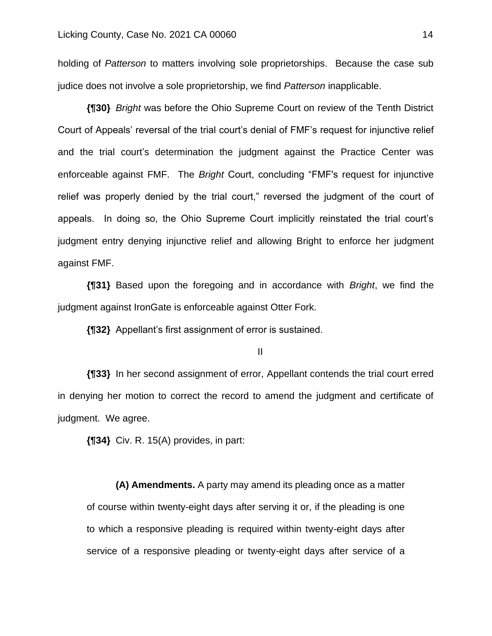holding of *Patterson* to matters involving sole proprietorships. Because the case sub judice does not involve a sole proprietorship, we find *Patterson* inapplicable.

**{¶30}** *Bright* was before the Ohio Supreme Court on review of the Tenth District Court of Appeals' reversal of the trial court's denial of FMF's request for injunctive relief and the trial court's determination the judgment against the Practice Center was enforceable against FMF. The *Bright* Court, concluding "FMF's request for injunctive relief was properly denied by the trial court," reversed the judgment of the court of appeals. In doing so, the Ohio Supreme Court implicitly reinstated the trial court's judgment entry denying injunctive relief and allowing Bright to enforce her judgment against FMF.

**{¶31}** Based upon the foregoing and in accordance with *Bright*, we find the judgment against IronGate is enforceable against Otter Fork.

**{¶32}** Appellant's first assignment of error is sustained.

II

**{¶33}** In her second assignment of error, Appellant contends the trial court erred in denying her motion to correct the record to amend the judgment and certificate of judgment. We agree.

**{¶34}** Civ. R. 15(A) provides, in part:

**(A) Amendments.** A party may amend its pleading once as a matter of course within twenty-eight days after serving it or, if the pleading is one to which a responsive pleading is required within twenty-eight days after service of a responsive pleading or twenty-eight days after service of a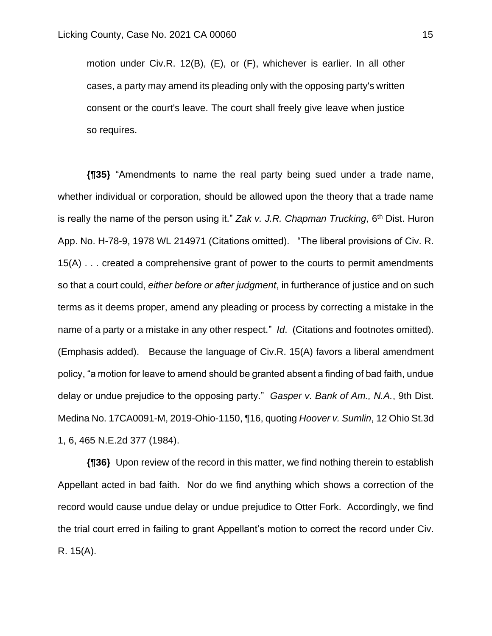motion under Civ.R. 12(B), (E), or (F), whichever is earlier. In all other cases, a party may amend its pleading only with the opposing party's written consent or the court's leave. The court shall freely give leave when justice so requires.

**{¶35}** "Amendments to name the real party being sued under a trade name, whether individual or corporation, should be allowed upon the theory that a trade name is really the name of the person using it." *Zak v. J.R. Chapman Trucking*, 6th Dist. Huron App. No. H-78-9, 1978 WL 214971 (Citations omitted). "The liberal provisions of Civ. R. 15(A) . . . created a comprehensive grant of power to the courts to permit amendments so that a court could, *either before or after judgment*, in furtherance of justice and on such terms as it deems proper, amend any pleading or process by correcting a mistake in the name of a party or a mistake in any other respect." *Id*. (Citations and footnotes omitted). (Emphasis added). Because the language of Civ.R. 15(A) favors a liberal amendment policy, "a motion for leave to amend should be granted absent a finding of bad faith, undue delay or undue prejudice to the opposing party." *Gasper v. Bank of Am., N.A.*, 9th Dist. Medina No. 17CA0091-M, 2019-Ohio-1150, ¶16, quoting *Hoover v. Sumlin*, 12 Ohio St.3d 1, 6, 465 N.E.2d 377 (1984).

**{¶36}** Upon review of the record in this matter, we find nothing therein to establish Appellant acted in bad faith. Nor do we find anything which shows a correction of the record would cause undue delay or undue prejudice to Otter Fork. Accordingly, we find the trial court erred in failing to grant Appellant's motion to correct the record under Civ. R. 15(A).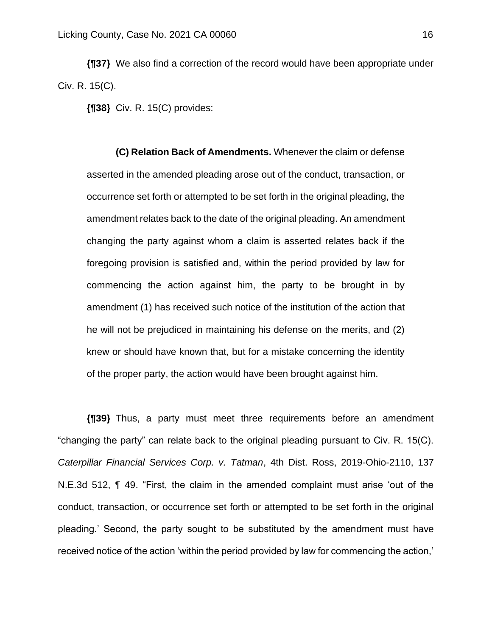**{¶37}** We also find a correction of the record would have been appropriate under Civ. R. 15(C).

**{¶38}** Civ. R. 15(C) provides:

**(C) Relation Back of Amendments.** Whenever the claim or defense asserted in the amended pleading arose out of the conduct, transaction, or occurrence set forth or attempted to be set forth in the original pleading, the amendment relates back to the date of the original pleading. An amendment changing the party against whom a claim is asserted relates back if the foregoing provision is satisfied and, within the period provided by law for commencing the action against him, the party to be brought in by amendment (1) has received such notice of the institution of the action that he will not be prejudiced in maintaining his defense on the merits, and (2) knew or should have known that, but for a mistake concerning the identity of the proper party, the action would have been brought against him.

**{¶39}** Thus, a party must meet three requirements before an amendment "changing the party" can relate back to the original pleading pursuant to Civ. R. 15(C). *Caterpillar Financial Services Corp. v. Tatman*, 4th Dist. Ross, 2019-Ohio-2110, 137 N.E.3d 512, ¶ 49. "First, the claim in the amended complaint must arise 'out of the conduct, transaction, or occurrence set forth or attempted to be set forth in the original pleading.' Second, the party sought to be substituted by the amendment must have received notice of the action 'within the period provided by law for commencing the action,'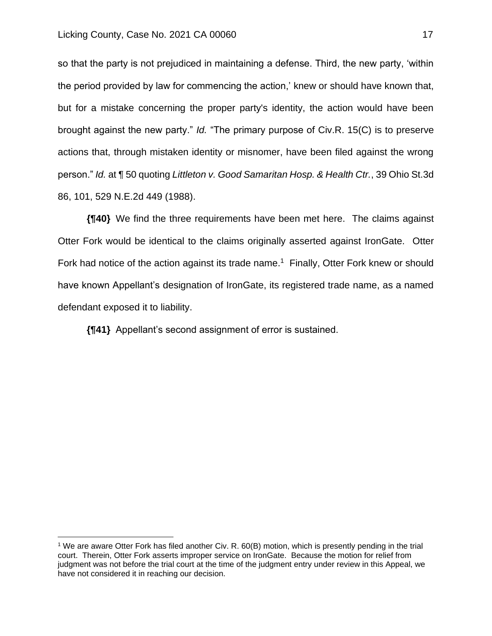so that the party is not prejudiced in maintaining a defense. Third, the new party, 'within the period provided by law for commencing the action,' knew or should have known that, but for a mistake concerning the proper party's identity, the action would have been brought against the new party." *Id.* "The primary purpose of Civ.R. 15(C) is to preserve actions that, through mistaken identity or misnomer, have been filed against the wrong person." *Id.* at ¶ 50 quoting *Littleton v. Good Samaritan Hosp. & Health Ctr.*, 39 Ohio St.3d 86, 101, 529 N.E.2d 449 (1988).

**{¶40}** We find the three requirements have been met here. The claims against Otter Fork would be identical to the claims originally asserted against IronGate. Otter Fork had notice of the action against its trade name.<sup>1</sup> Finally, Otter Fork knew or should have known Appellant's designation of IronGate, its registered trade name, as a named defendant exposed it to liability.

**{¶41}** Appellant's second assignment of error is sustained.

<sup>1</sup> We are aware Otter Fork has filed another Civ. R. 60(B) motion, which is presently pending in the trial court. Therein, Otter Fork asserts improper service on IronGate. Because the motion for relief from judgment was not before the trial court at the time of the judgment entry under review in this Appeal, we have not considered it in reaching our decision.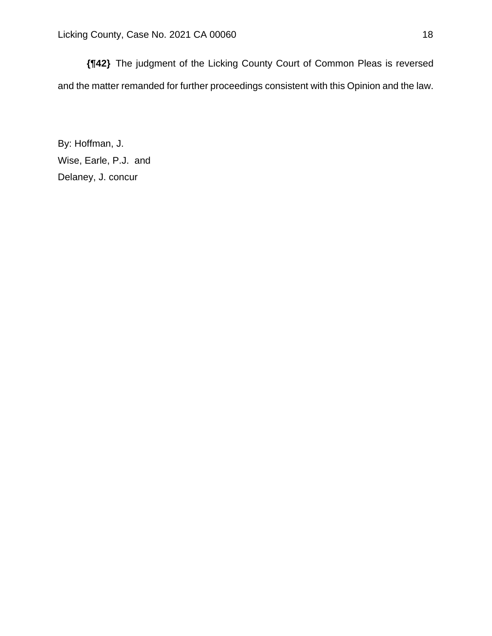**{¶42}** The judgment of the Licking County Court of Common Pleas is reversed and the matter remanded for further proceedings consistent with this Opinion and the law.

By: Hoffman, J. Wise, Earle, P.J. and Delaney, J. concur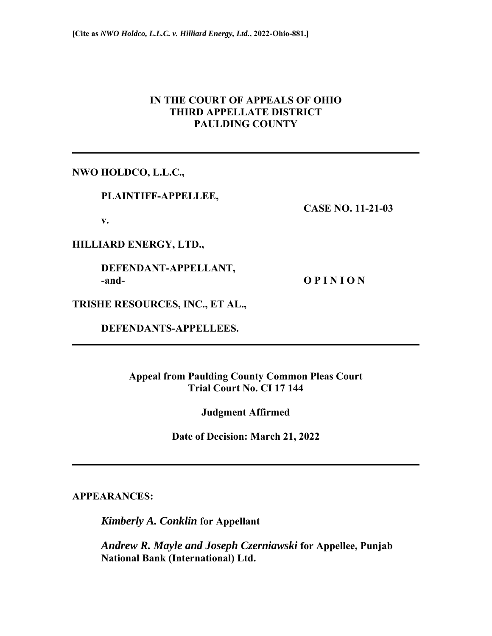# **IN THE COURT OF APPEALS OF OHIO THIRD APPELLATE DISTRICT PAULDING COUNTY**

**NWO HOLDCO, L.L.C.,** 

 **PLAINTIFF-APPELLEE,** 

 **CASE NO. 11-21-03** 

 **v.** 

**HILLIARD ENERGY, LTD.,** 

 **DEFENDANT-APPELLANT, and- O P I N I O N** 

**TRISHE RESOURCES, INC., ET AL.,** 

 **DEFENDANTS-APPELLEES.** 

**Appeal from Paulding County Common Pleas Court Trial Court No. CI 17 144** 

**Judgment Affirmed** 

**Date of Decision: March 21, 2022** 

**APPEARANCES:** 

*Kimberly A. Conklin* **for Appellant** 

 *Andrew R. Mayle and Joseph Czerniawski* **for Appellee, Punjab National Bank (International) Ltd.**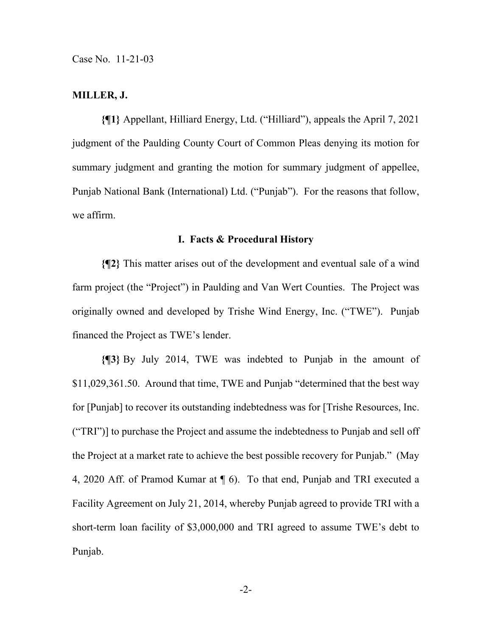#### **MILLER, J.**

**{¶1}** Appellant, Hilliard Energy, Ltd. ("Hilliard"), appeals the April 7, 2021 judgment of the Paulding County Court of Common Pleas denying its motion for summary judgment and granting the motion for summary judgment of appellee, Punjab National Bank (International) Ltd. ("Punjab"). For the reasons that follow, we affirm.

#### **I. Facts & Procedural History**

**{¶2}** This matter arises out of the development and eventual sale of a wind farm project (the "Project") in Paulding and Van Wert Counties. The Project was originally owned and developed by Trishe Wind Energy, Inc. ("TWE"). Punjab financed the Project as TWE's lender.

**{¶3}** By July 2014, TWE was indebted to Punjab in the amount of \$11,029,361.50. Around that time, TWE and Punjab "determined that the best way for [Punjab] to recover its outstanding indebtedness was for [Trishe Resources, Inc. ("TRI")] to purchase the Project and assume the indebtedness to Punjab and sell off the Project at a market rate to achieve the best possible recovery for Punjab." (May 4, 2020 Aff. of Pramod Kumar at ¶ 6). To that end, Punjab and TRI executed a Facility Agreement on July 21, 2014, whereby Punjab agreed to provide TRI with a short-term loan facility of \$3,000,000 and TRI agreed to assume TWE's debt to Punjab.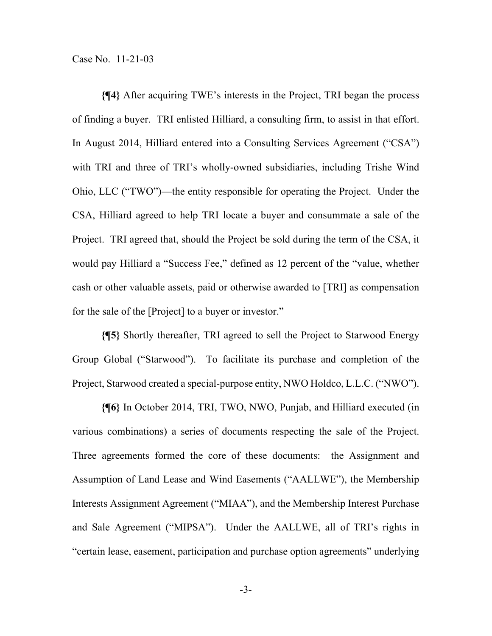**{¶4}** After acquiring TWE's interests in the Project, TRI began the process of finding a buyer. TRI enlisted Hilliard, a consulting firm, to assist in that effort. In August 2014, Hilliard entered into a Consulting Services Agreement ("CSA") with TRI and three of TRI's wholly-owned subsidiaries, including Trishe Wind Ohio, LLC ("TWO")—the entity responsible for operating the Project. Under the CSA, Hilliard agreed to help TRI locate a buyer and consummate a sale of the Project. TRI agreed that, should the Project be sold during the term of the CSA, it would pay Hilliard a "Success Fee," defined as 12 percent of the "value, whether cash or other valuable assets, paid or otherwise awarded to [TRI] as compensation for the sale of the [Project] to a buyer or investor."

**{¶5}** Shortly thereafter, TRI agreed to sell the Project to Starwood Energy Group Global ("Starwood"). To facilitate its purchase and completion of the Project, Starwood created a special-purpose entity, NWO Holdco, L.L.C. ("NWO").

**{¶6}** In October 2014, TRI, TWO, NWO, Punjab, and Hilliard executed (in various combinations) a series of documents respecting the sale of the Project. Three agreements formed the core of these documents: the Assignment and Assumption of Land Lease and Wind Easements ("AALLWE"), the Membership Interests Assignment Agreement ("MIAA"), and the Membership Interest Purchase and Sale Agreement ("MIPSA"). Under the AALLWE, all of TRI's rights in "certain lease, easement, participation and purchase option agreements" underlying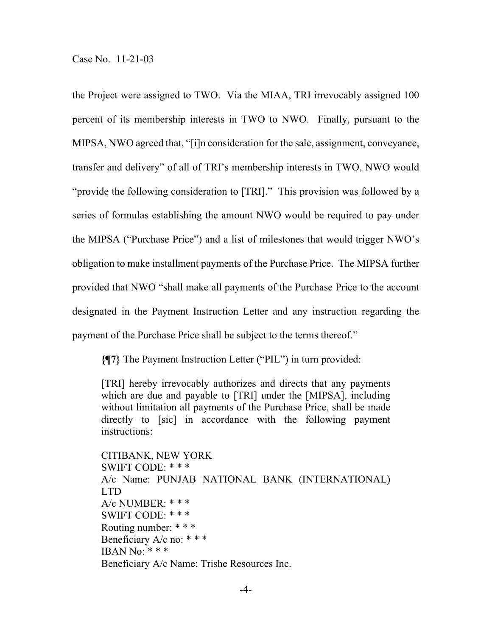the Project were assigned to TWO. Via the MIAA, TRI irrevocably assigned 100 percent of its membership interests in TWO to NWO. Finally, pursuant to the MIPSA, NWO agreed that, "[i]n consideration for the sale, assignment, conveyance, transfer and delivery" of all of TRI's membership interests in TWO, NWO would "provide the following consideration to [TRI]." This provision was followed by a series of formulas establishing the amount NWO would be required to pay under the MIPSA ("Purchase Price") and a list of milestones that would trigger NWO's obligation to make installment payments of the Purchase Price. The MIPSA further provided that NWO "shall make all payments of the Purchase Price to the account designated in the Payment Instruction Letter and any instruction regarding the payment of the Purchase Price shall be subject to the terms thereof."

**{¶7}** The Payment Instruction Letter ("PIL") in turn provided:

[TRI] hereby irrevocably authorizes and directs that any payments which are due and payable to [TRI] under the [MIPSA], including without limitation all payments of the Purchase Price, shall be made directly to [sic] in accordance with the following payment instructions:

CITIBANK, NEW YORK SWIFT CODE: \* \* \* A/c Name: PUNJAB NATIONAL BANK (INTERNATIONAL) LTD A/c NUMBER: \* \* \* SWIFT CODE: \* \* \* Routing number: \* \* \* Beneficiary A/c no: \* \* \* IBAN No:  $***$ Beneficiary A/c Name: Trishe Resources Inc.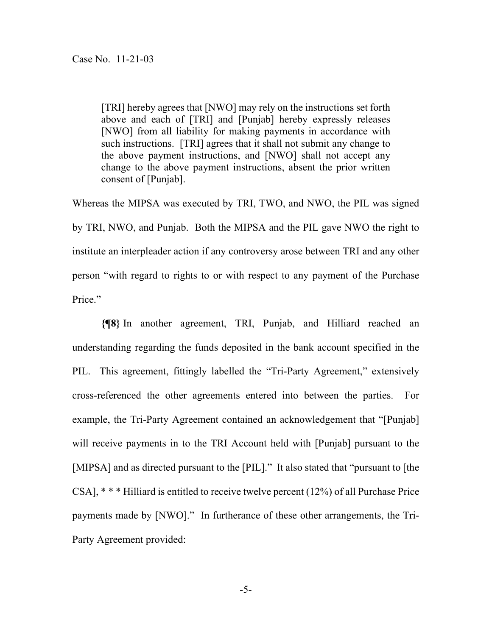[TRI] hereby agrees that [NWO] may rely on the instructions set forth above and each of [TRI] and [Punjab] hereby expressly releases [NWO] from all liability for making payments in accordance with such instructions. [TRI] agrees that it shall not submit any change to the above payment instructions, and [NWO] shall not accept any change to the above payment instructions, absent the prior written consent of [Punjab].

Whereas the MIPSA was executed by TRI, TWO, and NWO, the PIL was signed by TRI, NWO, and Punjab. Both the MIPSA and the PIL gave NWO the right to institute an interpleader action if any controversy arose between TRI and any other person "with regard to rights to or with respect to any payment of the Purchase Price."

**{¶8}** In another agreement, TRI, Punjab, and Hilliard reached an understanding regarding the funds deposited in the bank account specified in the PIL. This agreement, fittingly labelled the "Tri-Party Agreement," extensively cross-referenced the other agreements entered into between the parties. For example, the Tri-Party Agreement contained an acknowledgement that "[Punjab] will receive payments in to the TRI Account held with [Punjab] pursuant to the [MIPSA] and as directed pursuant to the [PIL]." It also stated that "pursuant to [the CSA], \* \* \* Hilliard is entitled to receive twelve percent (12%) of all Purchase Price payments made by [NWO]." In furtherance of these other arrangements, the Tri-Party Agreement provided: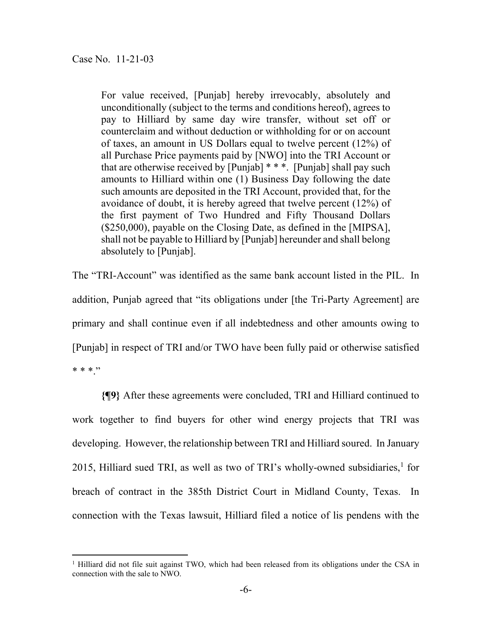For value received, [Punjab] hereby irrevocably, absolutely and unconditionally (subject to the terms and conditions hereof), agrees to pay to Hilliard by same day wire transfer, without set off or counterclaim and without deduction or withholding for or on account of taxes, an amount in US Dollars equal to twelve percent (12%) of all Purchase Price payments paid by [NWO] into the TRI Account or that are otherwise received by [Punjab] \* \* \*. [Punjab] shall pay such amounts to Hilliard within one (1) Business Day following the date such amounts are deposited in the TRI Account, provided that, for the avoidance of doubt, it is hereby agreed that twelve percent (12%) of the first payment of Two Hundred and Fifty Thousand Dollars (\$250,000), payable on the Closing Date, as defined in the [MIPSA], shall not be payable to Hilliard by [Punjab] hereunder and shall belong absolutely to [Punjab].

The "TRI-Account" was identified as the same bank account listed in the PIL. In addition, Punjab agreed that "its obligations under [the Tri-Party Agreement] are primary and shall continue even if all indebtedness and other amounts owing to [Punjab] in respect of TRI and/or TWO have been fully paid or otherwise satisfied  $* * * "$ 

**{¶9}** After these agreements were concluded, TRI and Hilliard continued to work together to find buyers for other wind energy projects that TRI was developing. However, the relationship between TRI and Hilliard soured. In January 2015, Hilliard sued TRI, as well as two of TRI's wholly-owned subsidiaries, $<sup>1</sup>$  for</sup> breach of contract in the 385th District Court in Midland County, Texas. In connection with the Texas lawsuit, Hilliard filed a notice of lis pendens with the

<sup>&</sup>lt;sup>1</sup> Hilliard did not file suit against TWO, which had been released from its obligations under the CSA in connection with the sale to NWO.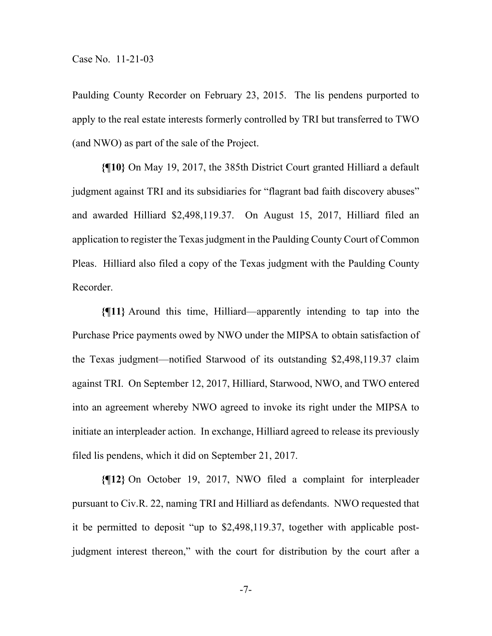Paulding County Recorder on February 23, 2015. The lis pendens purported to apply to the real estate interests formerly controlled by TRI but transferred to TWO (and NWO) as part of the sale of the Project.

**{¶10}** On May 19, 2017, the 385th District Court granted Hilliard a default judgment against TRI and its subsidiaries for "flagrant bad faith discovery abuses" and awarded Hilliard \$2,498,119.37. On August 15, 2017, Hilliard filed an application to register the Texas judgment in the Paulding County Court of Common Pleas. Hilliard also filed a copy of the Texas judgment with the Paulding County Recorder.

**{¶11}** Around this time, Hilliard—apparently intending to tap into the Purchase Price payments owed by NWO under the MIPSA to obtain satisfaction of the Texas judgment—notified Starwood of its outstanding \$2,498,119.37 claim against TRI. On September 12, 2017, Hilliard, Starwood, NWO, and TWO entered into an agreement whereby NWO agreed to invoke its right under the MIPSA to initiate an interpleader action. In exchange, Hilliard agreed to release its previously filed lis pendens, which it did on September 21, 2017.

**{¶12}** On October 19, 2017, NWO filed a complaint for interpleader pursuant to Civ.R. 22, naming TRI and Hilliard as defendants. NWO requested that it be permitted to deposit "up to \$2,498,119.37, together with applicable postjudgment interest thereon," with the court for distribution by the court after a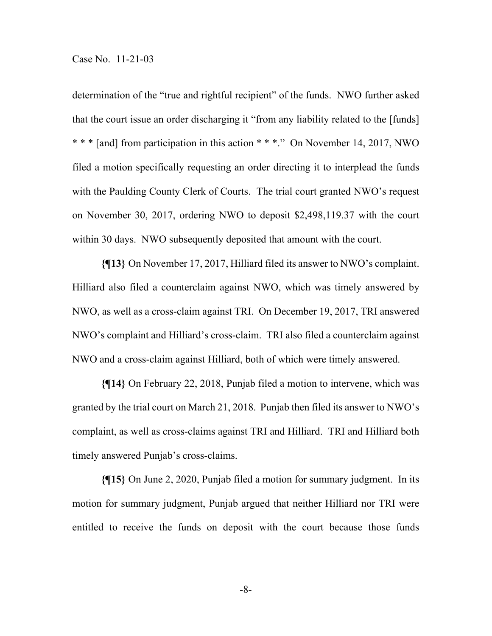determination of the "true and rightful recipient" of the funds. NWO further asked that the court issue an order discharging it "from any liability related to the [funds] \* \* \* [and] from participation in this action \* \* \*." On November 14, 2017, NWO filed a motion specifically requesting an order directing it to interplead the funds with the Paulding County Clerk of Courts. The trial court granted NWO's request on November 30, 2017, ordering NWO to deposit \$2,498,119.37 with the court within 30 days. NWO subsequently deposited that amount with the court.

**{¶13}** On November 17, 2017, Hilliard filed its answer to NWO's complaint. Hilliard also filed a counterclaim against NWO, which was timely answered by NWO, as well as a cross-claim against TRI. On December 19, 2017, TRI answered NWO's complaint and Hilliard's cross-claim. TRI also filed a counterclaim against NWO and a cross-claim against Hilliard, both of which were timely answered.

**{¶14}** On February 22, 2018, Punjab filed a motion to intervene, which was granted by the trial court on March 21, 2018. Punjab then filed its answer to NWO's complaint, as well as cross-claims against TRI and Hilliard. TRI and Hilliard both timely answered Punjab's cross-claims.

**{¶15}** On June 2, 2020, Punjab filed a motion for summary judgment. In its motion for summary judgment, Punjab argued that neither Hilliard nor TRI were entitled to receive the funds on deposit with the court because those funds

-8-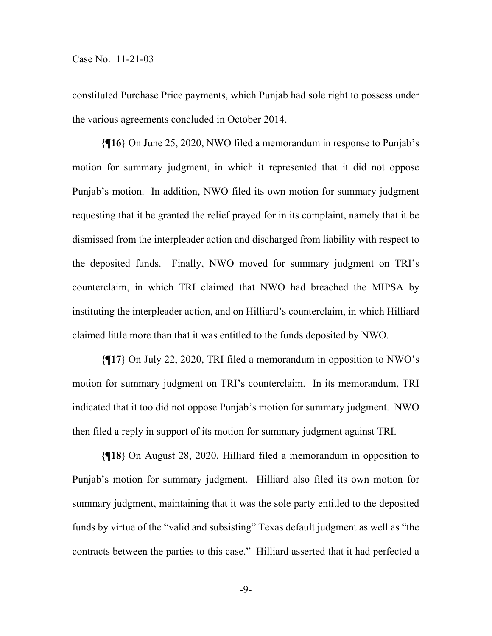constituted Purchase Price payments, which Punjab had sole right to possess under the various agreements concluded in October 2014.

**{¶16}** On June 25, 2020, NWO filed a memorandum in response to Punjab's motion for summary judgment, in which it represented that it did not oppose Punjab's motion. In addition, NWO filed its own motion for summary judgment requesting that it be granted the relief prayed for in its complaint, namely that it be dismissed from the interpleader action and discharged from liability with respect to the deposited funds. Finally, NWO moved for summary judgment on TRI's counterclaim, in which TRI claimed that NWO had breached the MIPSA by instituting the interpleader action, and on Hilliard's counterclaim, in which Hilliard claimed little more than that it was entitled to the funds deposited by NWO.

**{¶17}** On July 22, 2020, TRI filed a memorandum in opposition to NWO's motion for summary judgment on TRI's counterclaim. In its memorandum, TRI indicated that it too did not oppose Punjab's motion for summary judgment. NWO then filed a reply in support of its motion for summary judgment against TRI.

**{¶18}** On August 28, 2020, Hilliard filed a memorandum in opposition to Punjab's motion for summary judgment. Hilliard also filed its own motion for summary judgment, maintaining that it was the sole party entitled to the deposited funds by virtue of the "valid and subsisting" Texas default judgment as well as "the contracts between the parties to this case." Hilliard asserted that it had perfected a

-9-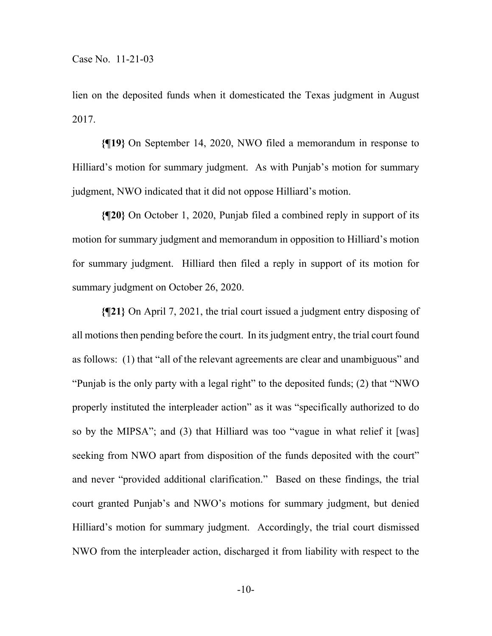lien on the deposited funds when it domesticated the Texas judgment in August 2017.

**{¶19}** On September 14, 2020, NWO filed a memorandum in response to Hilliard's motion for summary judgment. As with Punjab's motion for summary judgment, NWO indicated that it did not oppose Hilliard's motion.

**{¶20}** On October 1, 2020, Punjab filed a combined reply in support of its motion for summary judgment and memorandum in opposition to Hilliard's motion for summary judgment. Hilliard then filed a reply in support of its motion for summary judgment on October 26, 2020.

**{¶21}** On April 7, 2021, the trial court issued a judgment entry disposing of all motions then pending before the court. In its judgment entry, the trial court found as follows: (1) that "all of the relevant agreements are clear and unambiguous" and "Punjab is the only party with a legal right" to the deposited funds; (2) that "NWO properly instituted the interpleader action" as it was "specifically authorized to do so by the MIPSA"; and (3) that Hilliard was too "vague in what relief it [was] seeking from NWO apart from disposition of the funds deposited with the court" and never "provided additional clarification." Based on these findings, the trial court granted Punjab's and NWO's motions for summary judgment, but denied Hilliard's motion for summary judgment. Accordingly, the trial court dismissed NWO from the interpleader action, discharged it from liability with respect to the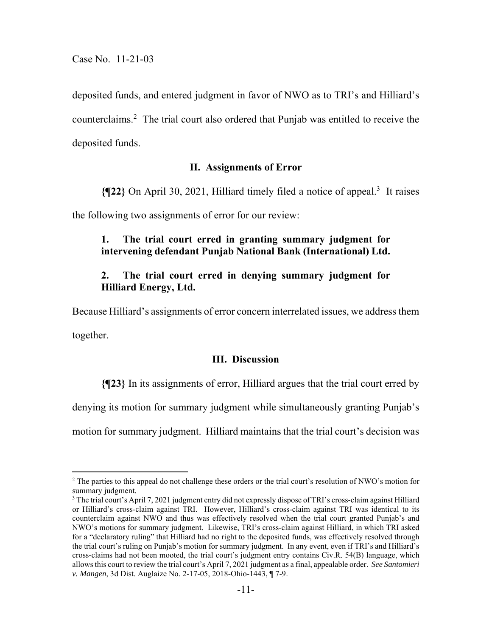deposited funds, and entered judgment in favor of NWO as to TRI's and Hilliard's counterclaims.2 The trial court also ordered that Punjab was entitled to receive the deposited funds.

## **II. Assignments of Error**

**{¶22}** On April 30, 2021, Hilliard timely filed a notice of appeal.3 It raises

the following two assignments of error for our review:

## **1. The trial court erred in granting summary judgment for intervening defendant Punjab National Bank (International) Ltd.**

## **2. The trial court erred in denying summary judgment for Hilliard Energy, Ltd.**

Because Hilliard's assignments of error concern interrelated issues, we address them

together.

### **III. Discussion**

**{¶23}** In its assignments of error, Hilliard argues that the trial court erred by

denying its motion for summary judgment while simultaneously granting Punjab's

motion for summary judgment. Hilliard maintains that the trial court's decision was

<sup>&</sup>lt;sup>2</sup> The parties to this appeal do not challenge these orders or the trial court's resolution of NWO's motion for summary judgment.

<sup>&</sup>lt;sup>3</sup> The trial court's April 7, 2021 judgment entry did not expressly dispose of TRI's cross-claim against Hilliard or Hilliard's cross-claim against TRI. However, Hilliard's cross-claim against TRI was identical to its counterclaim against NWO and thus was effectively resolved when the trial court granted Punjab's and NWO's motions for summary judgment. Likewise, TRI's cross-claim against Hilliard, in which TRI asked for a "declaratory ruling" that Hilliard had no right to the deposited funds, was effectively resolved through the trial court's ruling on Punjab's motion for summary judgment. In any event, even if TRI's and Hilliard's cross-claims had not been mooted, the trial court's judgment entry contains Civ.R. 54(B) language, which allows this court to review the trial court's April 7, 2021 judgment as a final, appealable order. *See Santomieri v. Mangen*, 3d Dist. Auglaize No. 2-17-05, 2018-Ohio-1443, ¶ 7-9.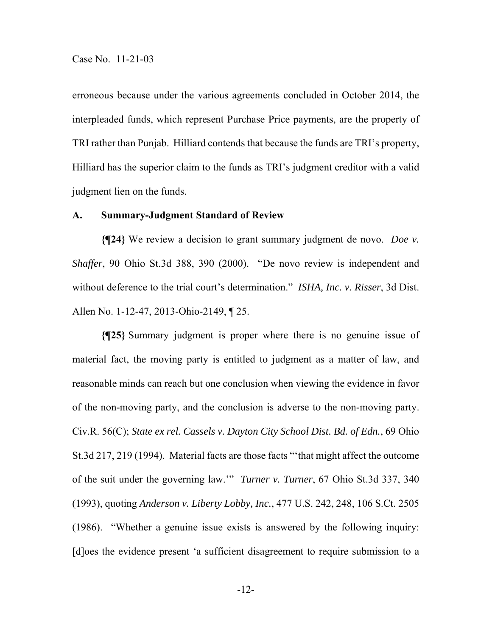erroneous because under the various agreements concluded in October 2014, the interpleaded funds, which represent Purchase Price payments, are the property of TRI rather than Punjab. Hilliard contends that because the funds are TRI's property, Hilliard has the superior claim to the funds as TRI's judgment creditor with a valid judgment lien on the funds.

### **A. Summary-Judgment Standard of Review**

**{¶24}** We review a decision to grant summary judgment de novo. *Doe v. Shaffer*, 90 Ohio St.3d 388, 390 (2000). "De novo review is independent and without deference to the trial court's determination." *ISHA, Inc. v. Risser*, 3d Dist. Allen No. 1-12-47, 2013-Ohio-2149, ¶ 25.

**{¶25}** Summary judgment is proper where there is no genuine issue of material fact, the moving party is entitled to judgment as a matter of law, and reasonable minds can reach but one conclusion when viewing the evidence in favor of the non-moving party, and the conclusion is adverse to the non-moving party. Civ.R. 56(C); *State ex rel. Cassels v. Dayton City School Dist. Bd. of Edn.*, 69 Ohio St.3d 217, 219 (1994). Material facts are those facts "'that might affect the outcome of the suit under the governing law.'" *Turner v. Turner*, 67 Ohio St.3d 337, 340 (1993), quoting *Anderson v. Liberty Lobby, Inc.*, 477 U.S. 242, 248, 106 S.Ct. 2505 (1986). "Whether a genuine issue exists is answered by the following inquiry: [d]oes the evidence present 'a sufficient disagreement to require submission to a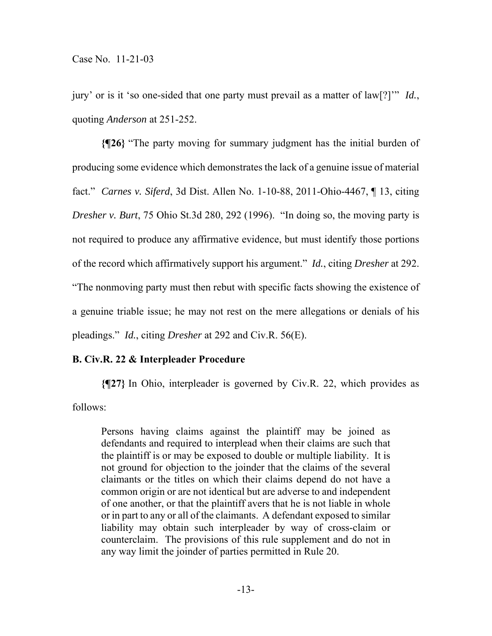jury' or is it 'so one-sided that one party must prevail as a matter of law[?]'" *Id.*, quoting *Anderson* at 251-252.

**{¶26}** "The party moving for summary judgment has the initial burden of producing some evidence which demonstrates the lack of a genuine issue of material fact." *Carnes v. Siferd*, 3d Dist. Allen No. 1-10-88, 2011-Ohio-4467, ¶ 13, citing *Dresher v. Burt*, 75 Ohio St.3d 280, 292 (1996). "In doing so, the moving party is not required to produce any affirmative evidence, but must identify those portions of the record which affirmatively support his argument." *Id.*, citing *Dresher* at 292. "The nonmoving party must then rebut with specific facts showing the existence of a genuine triable issue; he may not rest on the mere allegations or denials of his pleadings." *Id.*, citing *Dresher* at 292 and Civ.R. 56(E).

### **B. Civ.R. 22 & Interpleader Procedure**

**{¶27}** In Ohio, interpleader is governed by Civ.R. 22, which provides as follows:

Persons having claims against the plaintiff may be joined as defendants and required to interplead when their claims are such that the plaintiff is or may be exposed to double or multiple liability. It is not ground for objection to the joinder that the claims of the several claimants or the titles on which their claims depend do not have a common origin or are not identical but are adverse to and independent of one another, or that the plaintiff avers that he is not liable in whole or in part to any or all of the claimants. A defendant exposed to similar liability may obtain such interpleader by way of cross-claim or counterclaim. The provisions of this rule supplement and do not in any way limit the joinder of parties permitted in Rule 20.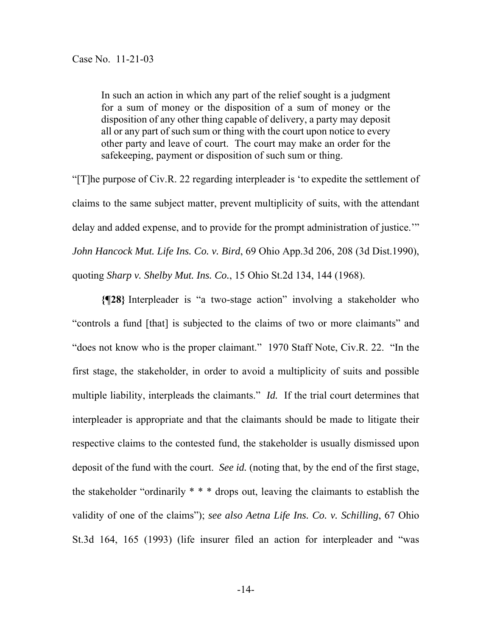In such an action in which any part of the relief sought is a judgment for a sum of money or the disposition of a sum of money or the disposition of any other thing capable of delivery, a party may deposit all or any part of such sum or thing with the court upon notice to every other party and leave of court. The court may make an order for the safekeeping, payment or disposition of such sum or thing.

"[T]he purpose of Civ.R. 22 regarding interpleader is 'to expedite the settlement of claims to the same subject matter, prevent multiplicity of suits, with the attendant delay and added expense, and to provide for the prompt administration of justice.'" *John Hancock Mut. Life Ins. Co. v. Bird*, 69 Ohio App.3d 206, 208 (3d Dist.1990), quoting *Sharp v. Shelby Mut. Ins. Co.*, 15 Ohio St.2d 134, 144 (1968).

**{¶28}** Interpleader is "a two-stage action" involving a stakeholder who "controls a fund [that] is subjected to the claims of two or more claimants" and "does not know who is the proper claimant." 1970 Staff Note, Civ.R. 22. "In the first stage, the stakeholder, in order to avoid a multiplicity of suits and possible multiple liability, interpleads the claimants." *Id.* If the trial court determines that interpleader is appropriate and that the claimants should be made to litigate their respective claims to the contested fund, the stakeholder is usually dismissed upon deposit of the fund with the court. *See id.* (noting that, by the end of the first stage, the stakeholder "ordinarily \* \* \* drops out, leaving the claimants to establish the validity of one of the claims"); *see also Aetna Life Ins. Co. v. Schilling*, 67 Ohio St.3d 164, 165 (1993) (life insurer filed an action for interpleader and "was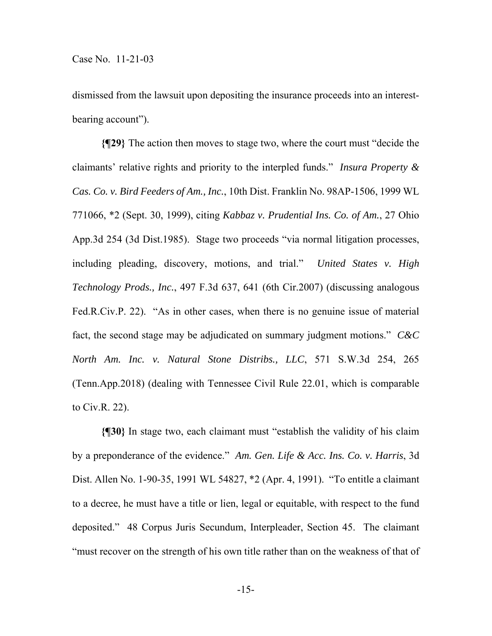dismissed from the lawsuit upon depositing the insurance proceeds into an interestbearing account").

**{¶29}** The action then moves to stage two, where the court must "decide the claimants' relative rights and priority to the interpled funds." *Insura Property & Cas. Co. v. Bird Feeders of Am., Inc.*, 10th Dist. Franklin No. 98AP-1506, 1999 WL 771066, \*2 (Sept. 30, 1999), citing *Kabbaz v. Prudential Ins. Co. of Am.*, 27 Ohio App.3d 254 (3d Dist.1985). Stage two proceeds "via normal litigation processes, including pleading, discovery, motions, and trial." *United States v. High Technology Prods., Inc.*, 497 F.3d 637, 641 (6th Cir.2007) (discussing analogous Fed.R.Civ.P. 22). "As in other cases, when there is no genuine issue of material fact, the second stage may be adjudicated on summary judgment motions." *C&C North Am. Inc. v. Natural Stone Distribs., LLC*, 571 S.W.3d 254, 265 (Tenn.App.2018) (dealing with Tennessee Civil Rule 22.01, which is comparable to Civ.R. 22).

**{¶30}** In stage two, each claimant must "establish the validity of his claim by a preponderance of the evidence." *Am. Gen. Life & Acc. Ins. Co. v. Harris*, 3d Dist. Allen No. 1-90-35, 1991 WL 54827, \*2 (Apr. 4, 1991). "To entitle a claimant to a decree, he must have a title or lien, legal or equitable, with respect to the fund deposited." 48 Corpus Juris Secundum, Interpleader, Section 45. The claimant "must recover on the strength of his own title rather than on the weakness of that of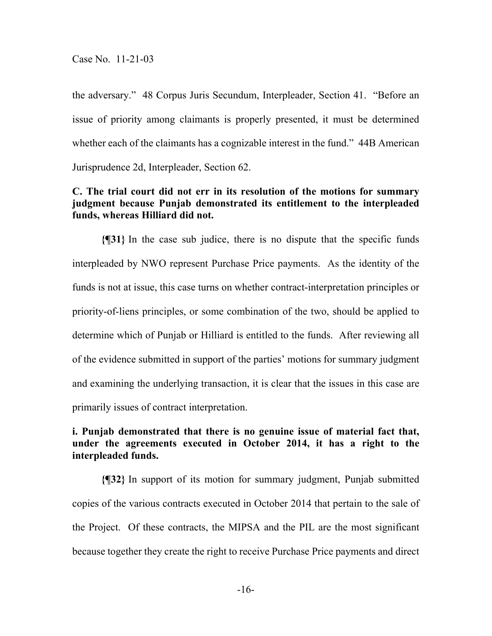the adversary." 48 Corpus Juris Secundum, Interpleader, Section 41. "Before an issue of priority among claimants is properly presented, it must be determined whether each of the claimants has a cognizable interest in the fund." 44B American Jurisprudence 2d, Interpleader, Section 62.

# **C. The trial court did not err in its resolution of the motions for summary judgment because Punjab demonstrated its entitlement to the interpleaded funds, whereas Hilliard did not.**

**{¶31}** In the case sub judice, there is no dispute that the specific funds interpleaded by NWO represent Purchase Price payments. As the identity of the funds is not at issue, this case turns on whether contract-interpretation principles or priority-of-liens principles, or some combination of the two, should be applied to determine which of Punjab or Hilliard is entitled to the funds. After reviewing all of the evidence submitted in support of the parties' motions for summary judgment and examining the underlying transaction, it is clear that the issues in this case are primarily issues of contract interpretation.

# **i. Punjab demonstrated that there is no genuine issue of material fact that, under the agreements executed in October 2014, it has a right to the interpleaded funds.**

**{¶32}** In support of its motion for summary judgment, Punjab submitted copies of the various contracts executed in October 2014 that pertain to the sale of the Project. Of these contracts, the MIPSA and the PIL are the most significant because together they create the right to receive Purchase Price payments and direct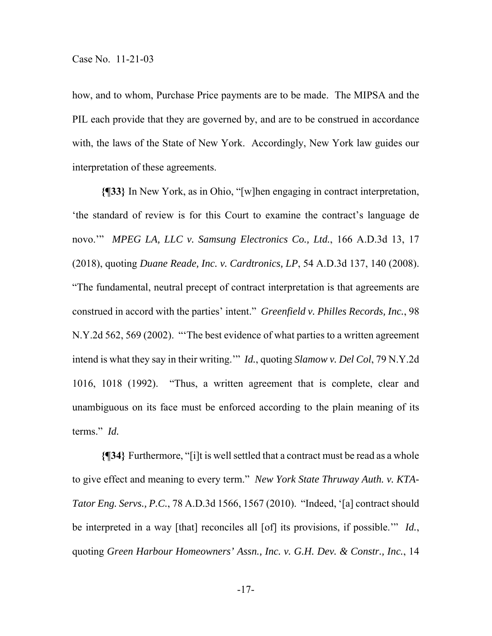how, and to whom, Purchase Price payments are to be made. The MIPSA and the PIL each provide that they are governed by, and are to be construed in accordance with, the laws of the State of New York. Accordingly, New York law guides our interpretation of these agreements.

**{¶33}** In New York, as in Ohio, "[w]hen engaging in contract interpretation, 'the standard of review is for this Court to examine the contract's language de novo.'" *MPEG LA, LLC v. Samsung Electronics Co., Ltd.*, 166 A.D.3d 13, 17 (2018), quoting *Duane Reade, Inc. v. Cardtronics, LP*, 54 A.D.3d 137, 140 (2008). "The fundamental, neutral precept of contract interpretation is that agreements are construed in accord with the parties' intent." *Greenfield v. Philles Records, Inc.*, 98 N.Y.2d 562, 569 (2002). "'The best evidence of what parties to a written agreement intend is what they say in their writing.'" *Id.*, quoting *Slamow v. Del Col*, 79 N.Y.2d 1016, 1018 (1992). "Thus, a written agreement that is complete, clear and unambiguous on its face must be enforced according to the plain meaning of its terms." *Id.*

**{¶34}** Furthermore, "[i]t is well settled that a contract must be read as a whole to give effect and meaning to every term." *New York State Thruway Auth. v. KTA-Tator Eng. Servs., P.C.*, 78 A.D.3d 1566, 1567 (2010). "Indeed, '[a] contract should be interpreted in a way [that] reconciles all [of] its provisions, if possible.'" *Id.*, quoting *Green Harbour Homeowners' Assn., Inc. v. G.H. Dev. & Constr., Inc.*, 14

-17-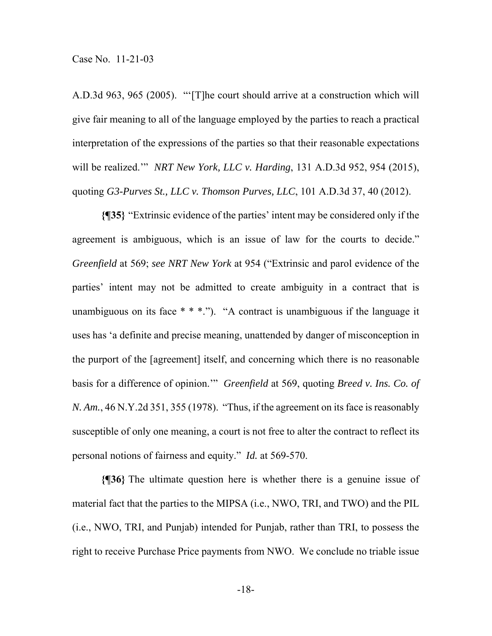A.D.3d 963, 965 (2005). "'[T]he court should arrive at a construction which will give fair meaning to all of the language employed by the parties to reach a practical interpretation of the expressions of the parties so that their reasonable expectations will be realized.'" *NRT New York, LLC v. Harding*, 131 A.D.3d 952, 954 (2015), quoting *G3-Purves St., LLC v. Thomson Purves, LLC*, 101 A.D.3d 37, 40 (2012).

**{¶35}** "Extrinsic evidence of the parties' intent may be considered only if the agreement is ambiguous, which is an issue of law for the courts to decide." *Greenfield* at 569; *see NRT New York* at 954 ("Extrinsic and parol evidence of the parties' intent may not be admitted to create ambiguity in a contract that is unambiguous on its face \* \* \*."). "A contract is unambiguous if the language it uses has 'a definite and precise meaning, unattended by danger of misconception in the purport of the [agreement] itself, and concerning which there is no reasonable basis for a difference of opinion.'" *Greenfield* at 569, quoting *Breed v. Ins. Co. of N. Am.*, 46 N.Y.2d 351, 355 (1978). "Thus, if the agreement on its face is reasonably susceptible of only one meaning, a court is not free to alter the contract to reflect its personal notions of fairness and equity." *Id.* at 569-570.

**{¶36}** The ultimate question here is whether there is a genuine issue of material fact that the parties to the MIPSA (i.e., NWO, TRI, and TWO) and the PIL (i.e., NWO, TRI, and Punjab) intended for Punjab, rather than TRI, to possess the right to receive Purchase Price payments from NWO. We conclude no triable issue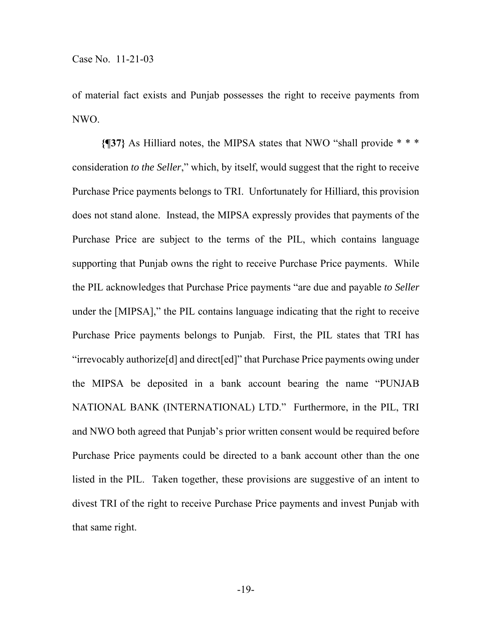of material fact exists and Punjab possesses the right to receive payments from NWO.

**{¶37}** As Hilliard notes, the MIPSA states that NWO "shall provide \* \* \* consideration *to the Seller*," which, by itself, would suggest that the right to receive Purchase Price payments belongs to TRI. Unfortunately for Hilliard, this provision does not stand alone. Instead, the MIPSA expressly provides that payments of the Purchase Price are subject to the terms of the PIL, which contains language supporting that Punjab owns the right to receive Purchase Price payments. While the PIL acknowledges that Purchase Price payments "are due and payable *to Seller* under the [MIPSA]," the PIL contains language indicating that the right to receive Purchase Price payments belongs to Punjab. First, the PIL states that TRI has "irrevocably authorize[d] and direct[ed]" that Purchase Price payments owing under the MIPSA be deposited in a bank account bearing the name "PUNJAB NATIONAL BANK (INTERNATIONAL) LTD." Furthermore, in the PIL, TRI and NWO both agreed that Punjab's prior written consent would be required before Purchase Price payments could be directed to a bank account other than the one listed in the PIL. Taken together, these provisions are suggestive of an intent to divest TRI of the right to receive Purchase Price payments and invest Punjab with that same right.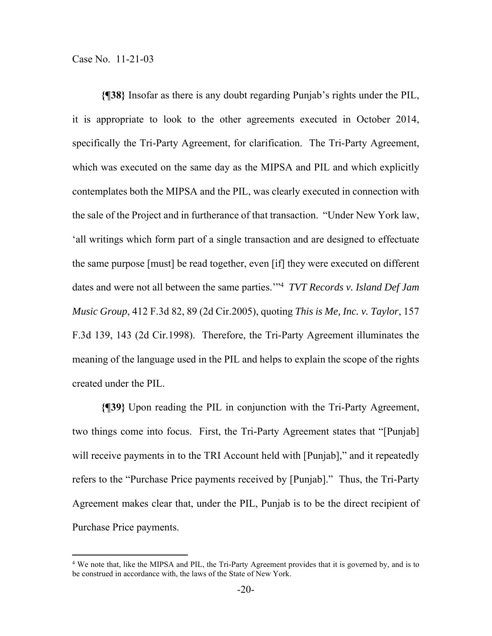**{¶38}** Insofar as there is any doubt regarding Punjab's rights under the PIL, it is appropriate to look to the other agreements executed in October 2014, specifically the Tri-Party Agreement, for clarification. The Tri-Party Agreement, which was executed on the same day as the MIPSA and PIL and which explicitly contemplates both the MIPSA and the PIL, was clearly executed in connection with the sale of the Project and in furtherance of that transaction. "Under New York law, 'all writings which form part of a single transaction and are designed to effectuate the same purpose [must] be read together, even [if] they were executed on different dates and were not all between the same parties.'"4 *TVT Records v. Island Def Jam Music Group*, 412 F.3d 82, 89 (2d Cir.2005), quoting *This is Me, Inc. v. Taylor*, 157 F.3d 139, 143 (2d Cir.1998). Therefore, the Tri-Party Agreement illuminates the meaning of the language used in the PIL and helps to explain the scope of the rights created under the PIL.

**{¶39}** Upon reading the PIL in conjunction with the Tri-Party Agreement, two things come into focus. First, the Tri-Party Agreement states that "[Punjab] will receive payments in to the TRI Account held with [Punjab]," and it repeatedly refers to the "Purchase Price payments received by [Punjab]." Thus, the Tri-Party Agreement makes clear that, under the PIL, Punjab is to be the direct recipient of Purchase Price payments.

<sup>&</sup>lt;sup>4</sup> We note that, like the MIPSA and PIL, the Tri-Party Agreement provides that it is governed by, and is to be construed in accordance with, the laws of the State of New York.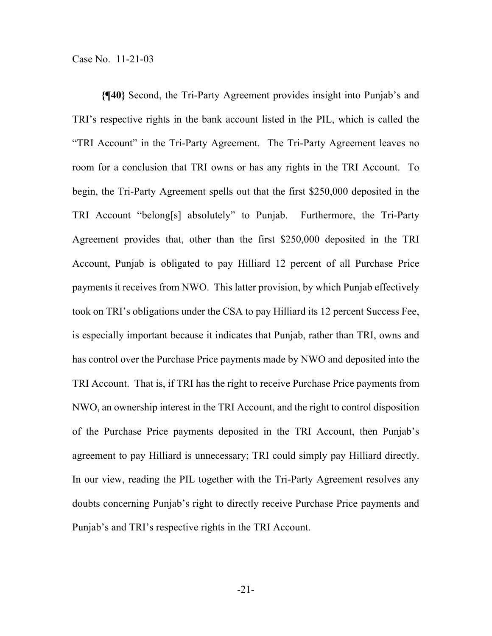**{¶40}** Second, the Tri-Party Agreement provides insight into Punjab's and TRI's respective rights in the bank account listed in the PIL, which is called the "TRI Account" in the Tri-Party Agreement. The Tri-Party Agreement leaves no room for a conclusion that TRI owns or has any rights in the TRI Account. To begin, the Tri-Party Agreement spells out that the first \$250,000 deposited in the TRI Account "belong[s] absolutely" to Punjab. Furthermore, the Tri-Party Agreement provides that, other than the first \$250,000 deposited in the TRI Account, Punjab is obligated to pay Hilliard 12 percent of all Purchase Price payments it receives from NWO. This latter provision, by which Punjab effectively took on TRI's obligations under the CSA to pay Hilliard its 12 percent Success Fee, is especially important because it indicates that Punjab, rather than TRI, owns and has control over the Purchase Price payments made by NWO and deposited into the TRI Account. That is, if TRI has the right to receive Purchase Price payments from NWO, an ownership interest in the TRI Account, and the right to control disposition of the Purchase Price payments deposited in the TRI Account, then Punjab's agreement to pay Hilliard is unnecessary; TRI could simply pay Hilliard directly. In our view, reading the PIL together with the Tri-Party Agreement resolves any doubts concerning Punjab's right to directly receive Purchase Price payments and Punjab's and TRI's respective rights in the TRI Account.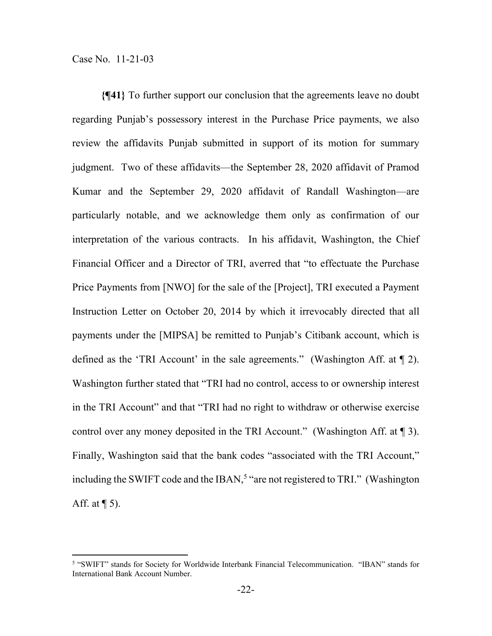**{¶41}** To further support our conclusion that the agreements leave no doubt regarding Punjab's possessory interest in the Purchase Price payments, we also review the affidavits Punjab submitted in support of its motion for summary judgment. Two of these affidavits—the September 28, 2020 affidavit of Pramod Kumar and the September 29, 2020 affidavit of Randall Washington—are particularly notable, and we acknowledge them only as confirmation of our interpretation of the various contracts. In his affidavit, Washington, the Chief Financial Officer and a Director of TRI, averred that "to effectuate the Purchase Price Payments from [NWO] for the sale of the [Project], TRI executed a Payment Instruction Letter on October 20, 2014 by which it irrevocably directed that all payments under the [MIPSA] be remitted to Punjab's Citibank account, which is defined as the 'TRI Account' in the sale agreements." (Washington Aff. at ¶ 2). Washington further stated that "TRI had no control, access to or ownership interest in the TRI Account" and that "TRI had no right to withdraw or otherwise exercise control over any money deposited in the TRI Account." (Washington Aff. at ¶ 3). Finally, Washington said that the bank codes "associated with the TRI Account," including the SWIFT code and the IBAN,<sup>5</sup> "are not registered to TRI." (Washington Aff. at  $\P$  5).

<sup>5</sup> "SWIFT" stands for Society for Worldwide Interbank Financial Telecommunication. "IBAN" stands for International Bank Account Number.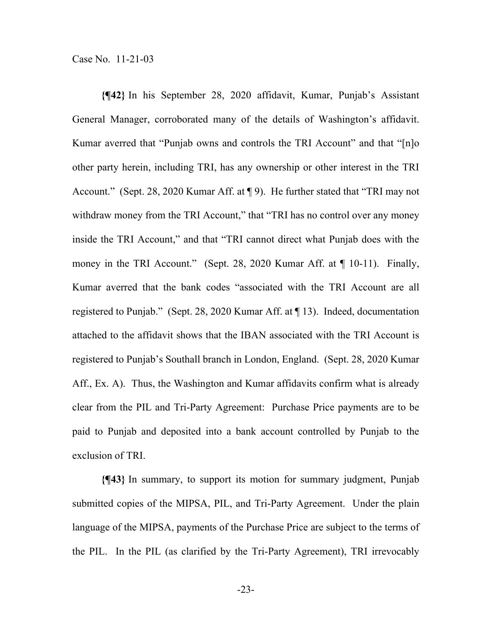**{¶42}** In his September 28, 2020 affidavit, Kumar, Punjab's Assistant General Manager, corroborated many of the details of Washington's affidavit. Kumar averred that "Punjab owns and controls the TRI Account" and that "[n]o other party herein, including TRI, has any ownership or other interest in the TRI Account." (Sept. 28, 2020 Kumar Aff. at ¶ 9). He further stated that "TRI may not withdraw money from the TRI Account," that "TRI has no control over any money inside the TRI Account," and that "TRI cannot direct what Punjab does with the money in the TRI Account." (Sept. 28, 2020 Kumar Aff. at ¶ 10-11). Finally, Kumar averred that the bank codes "associated with the TRI Account are all registered to Punjab." (Sept. 28, 2020 Kumar Aff. at ¶ 13). Indeed, documentation attached to the affidavit shows that the IBAN associated with the TRI Account is registered to Punjab's Southall branch in London, England. (Sept. 28, 2020 Kumar Aff., Ex. A). Thus, the Washington and Kumar affidavits confirm what is already clear from the PIL and Tri-Party Agreement: Purchase Price payments are to be paid to Punjab and deposited into a bank account controlled by Punjab to the exclusion of TRI.

**{¶43}** In summary, to support its motion for summary judgment, Punjab submitted copies of the MIPSA, PIL, and Tri-Party Agreement. Under the plain language of the MIPSA, payments of the Purchase Price are subject to the terms of the PIL. In the PIL (as clarified by the Tri-Party Agreement), TRI irrevocably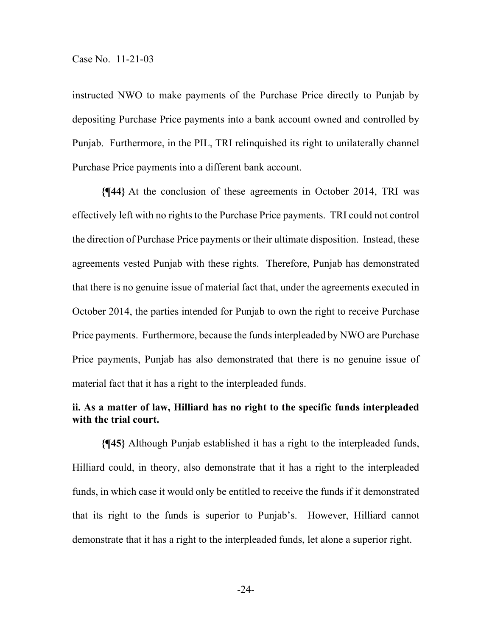instructed NWO to make payments of the Purchase Price directly to Punjab by depositing Purchase Price payments into a bank account owned and controlled by Punjab. Furthermore, in the PIL, TRI relinquished its right to unilaterally channel Purchase Price payments into a different bank account.

**{¶44}** At the conclusion of these agreements in October 2014, TRI was effectively left with no rights to the Purchase Price payments. TRI could not control the direction of Purchase Price payments or their ultimate disposition. Instead, these agreements vested Punjab with these rights. Therefore, Punjab has demonstrated that there is no genuine issue of material fact that, under the agreements executed in October 2014, the parties intended for Punjab to own the right to receive Purchase Price payments. Furthermore, because the funds interpleaded by NWO are Purchase Price payments, Punjab has also demonstrated that there is no genuine issue of material fact that it has a right to the interpleaded funds.

# **ii. As a matter of law, Hilliard has no right to the specific funds interpleaded with the trial court.**

**{¶45}** Although Punjab established it has a right to the interpleaded funds, Hilliard could, in theory, also demonstrate that it has a right to the interpleaded funds, in which case it would only be entitled to receive the funds if it demonstrated that its right to the funds is superior to Punjab's. However, Hilliard cannot demonstrate that it has a right to the interpleaded funds, let alone a superior right.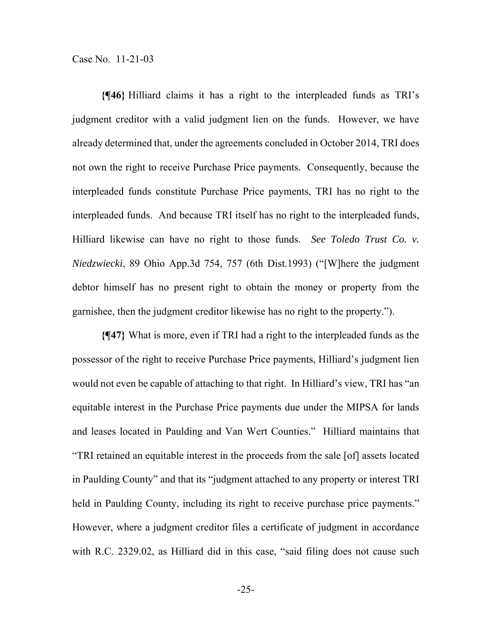**{¶46}** Hilliard claims it has a right to the interpleaded funds as TRI's judgment creditor with a valid judgment lien on the funds. However, we have already determined that, under the agreements concluded in October 2014, TRI does not own the right to receive Purchase Price payments. Consequently, because the interpleaded funds constitute Purchase Price payments, TRI has no right to the interpleaded funds. And because TRI itself has no right to the interpleaded funds, Hilliard likewise can have no right to those funds. *See Toledo Trust Co. v. Niedzwiecki*, 89 Ohio App.3d 754, 757 (6th Dist.1993) ("[W]here the judgment debtor himself has no present right to obtain the money or property from the garnishee, then the judgment creditor likewise has no right to the property.").

**{¶47}** What is more, even if TRI had a right to the interpleaded funds as the possessor of the right to receive Purchase Price payments, Hilliard's judgment lien would not even be capable of attaching to that right. In Hilliard's view, TRI has "an equitable interest in the Purchase Price payments due under the MIPSA for lands and leases located in Paulding and Van Wert Counties." Hilliard maintains that "TRI retained an equitable interest in the proceeds from the sale [of] assets located in Paulding County" and that its "judgment attached to any property or interest TRI held in Paulding County, including its right to receive purchase price payments." However, where a judgment creditor files a certificate of judgment in accordance with R.C. 2329.02, as Hilliard did in this case, "said filing does not cause such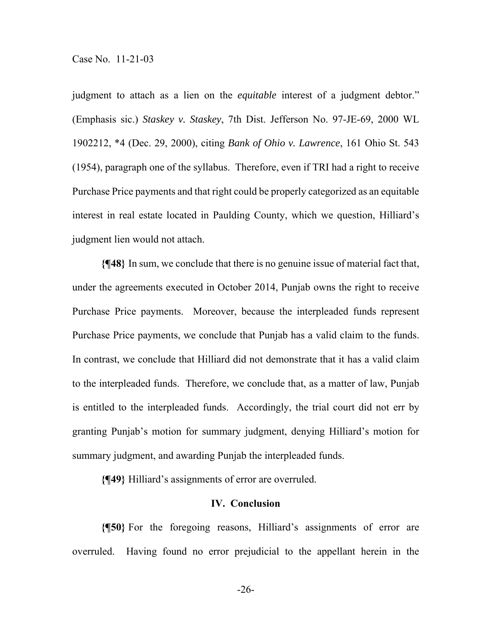judgment to attach as a lien on the *equitable* interest of a judgment debtor." (Emphasis sic.) *Staskey v. Staskey*, 7th Dist. Jefferson No. 97-JE-69, 2000 WL 1902212, \*4 (Dec. 29, 2000), citing *Bank of Ohio v. Lawrence*, 161 Ohio St. 543 (1954), paragraph one of the syllabus. Therefore, even if TRI had a right to receive Purchase Price payments and that right could be properly categorized as an equitable interest in real estate located in Paulding County, which we question, Hilliard's judgment lien would not attach.

**{¶48}** In sum, we conclude that there is no genuine issue of material fact that, under the agreements executed in October 2014, Punjab owns the right to receive Purchase Price payments. Moreover, because the interpleaded funds represent Purchase Price payments, we conclude that Punjab has a valid claim to the funds. In contrast, we conclude that Hilliard did not demonstrate that it has a valid claim to the interpleaded funds. Therefore, we conclude that, as a matter of law, Punjab is entitled to the interpleaded funds. Accordingly, the trial court did not err by granting Punjab's motion for summary judgment, denying Hilliard's motion for summary judgment, and awarding Punjab the interpleaded funds.

**{¶49}** Hilliard's assignments of error are overruled.

#### **IV. Conclusion**

**{¶50}** For the foregoing reasons, Hilliard's assignments of error are overruled. Having found no error prejudicial to the appellant herein in the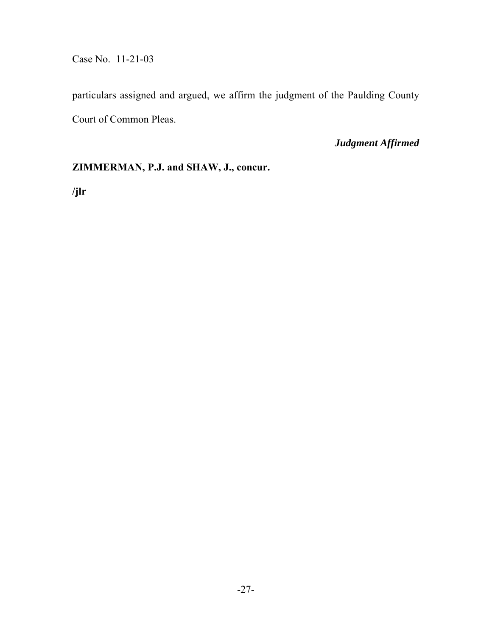Case No. 11-21-03

particulars assigned and argued, we affirm the judgment of the Paulding County Court of Common Pleas.

*Judgment Affirmed* 

## **ZIMMERMAN, P.J. and SHAW, J., concur.**

**/jlr**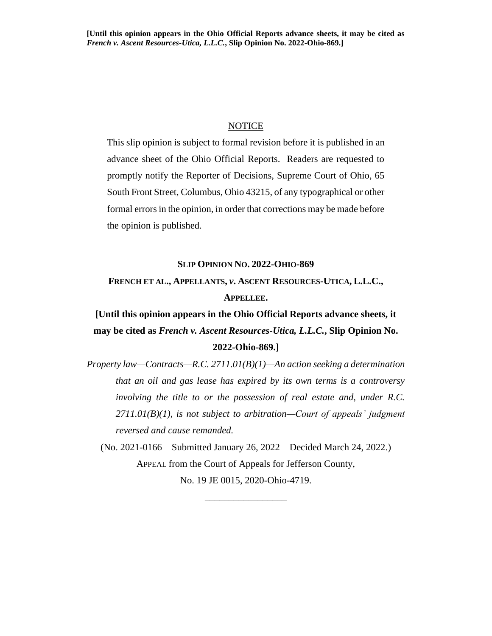#### NOTICE

This slip opinion is subject to formal revision before it is published in an advance sheet of the Ohio Official Reports. Readers are requested to promptly notify the Reporter of Decisions, Supreme Court of Ohio, 65 South Front Street, Columbus, Ohio 43215, of any typographical or other formal errors in the opinion, in order that corrections may be made before the opinion is published.

#### **SLIP OPINION NO. 2022-OHIO-869**

# **FRENCH ET AL., APPELLANTS,** *v***. ASCENT RESOURCES-UTICA, L.L.C., APPELLEE.**

**[Until this opinion appears in the Ohio Official Reports advance sheets, it may be cited as** *French v. Ascent Resources-Utica, L.L.C.***, Slip Opinion No. 2022-Ohio-869.]**

*Property law—Contracts—R.C. 2711.01(B)(1)—An action seeking a determination that an oil and gas lease has expired by its own terms is a controversy involving the title to or the possession of real estate and, under R.C. 2711.01(B)(1), is not subject to arbitration—Court of appeals' judgment reversed and cause remanded.*

(No. 2021-0166—Submitted January 26, 2022—Decided March 24, 2022.) APPEAL from the Court of Appeals for Jefferson County, No. 19 JE 0015, 2020-Ohio-4719.

\_\_\_\_\_\_\_\_\_\_\_\_\_\_\_\_\_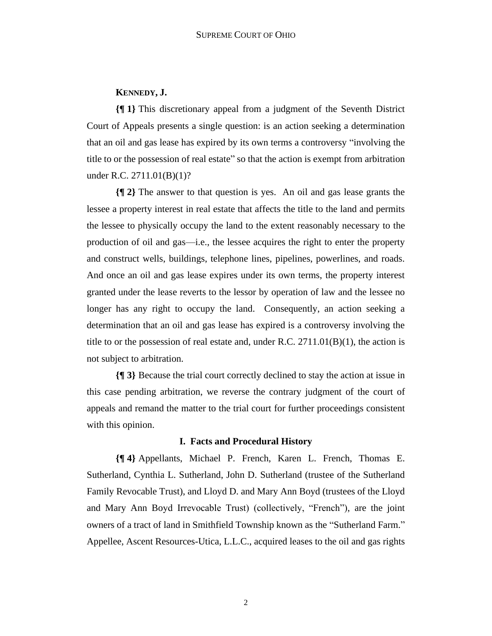#### **KENNEDY, J.**

**{¶ 1}** This discretionary appeal from a judgment of the Seventh District Court of Appeals presents a single question: is an action seeking a determination that an oil and gas lease has expired by its own terms a controversy "involving the title to or the possession of real estate" so that the action is exempt from arbitration under R.C. 2711.01(B)(1)?

**{¶ 2}** The answer to that question is yes. An oil and gas lease grants the lessee a property interest in real estate that affects the title to the land and permits the lessee to physically occupy the land to the extent reasonably necessary to the production of oil and gas—i.e., the lessee acquires the right to enter the property and construct wells, buildings, telephone lines, pipelines, powerlines, and roads. And once an oil and gas lease expires under its own terms, the property interest granted under the lease reverts to the lessor by operation of law and the lessee no longer has any right to occupy the land. Consequently, an action seeking a determination that an oil and gas lease has expired is a controversy involving the title to or the possession of real estate and, under R.C.  $2711.01(B)(1)$ , the action is not subject to arbitration.

**{¶ 3}** Because the trial court correctly declined to stay the action at issue in this case pending arbitration, we reverse the contrary judgment of the court of appeals and remand the matter to the trial court for further proceedings consistent with this opinion.

#### **I. Facts and Procedural History**

**{¶ 4}** Appellants, Michael P. French, Karen L. French, Thomas E. Sutherland, Cynthia L. Sutherland, John D. Sutherland (trustee of the Sutherland Family Revocable Trust), and Lloyd D. and Mary Ann Boyd (trustees of the Lloyd and Mary Ann Boyd Irrevocable Trust) (collectively, "French"), are the joint owners of a tract of land in Smithfield Township known as the "Sutherland Farm." Appellee, Ascent Resources-Utica, L.L.C., acquired leases to the oil and gas rights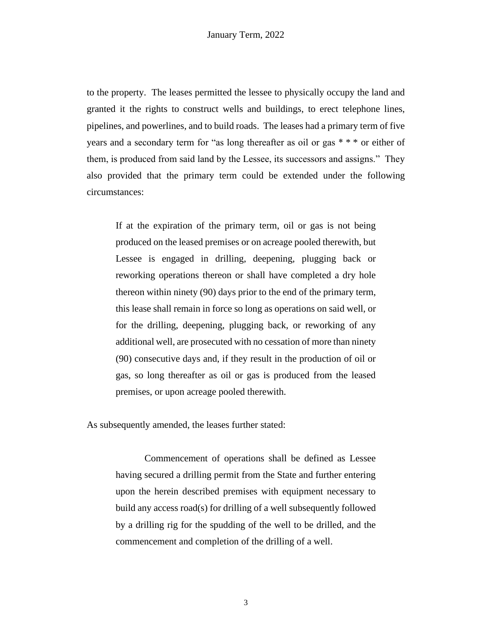to the property. The leases permitted the lessee to physically occupy the land and granted it the rights to construct wells and buildings, to erect telephone lines, pipelines, and powerlines, and to build roads. The leases had a primary term of five years and a secondary term for "as long thereafter as oil or gas \* \* \* or either of them, is produced from said land by the Lessee, its successors and assigns." They also provided that the primary term could be extended under the following circumstances:

If at the expiration of the primary term, oil or gas is not being produced on the leased premises or on acreage pooled therewith, but Lessee is engaged in drilling, deepening, plugging back or reworking operations thereon or shall have completed a dry hole thereon within ninety (90) days prior to the end of the primary term, this lease shall remain in force so long as operations on said well, or for the drilling, deepening, plugging back, or reworking of any additional well, are prosecuted with no cessation of more than ninety (90) consecutive days and, if they result in the production of oil or gas, so long thereafter as oil or gas is produced from the leased premises, or upon acreage pooled therewith.

As subsequently amended, the leases further stated:

Commencement of operations shall be defined as Lessee having secured a drilling permit from the State and further entering upon the herein described premises with equipment necessary to build any access road(s) for drilling of a well subsequently followed by a drilling rig for the spudding of the well to be drilled, and the commencement and completion of the drilling of a well.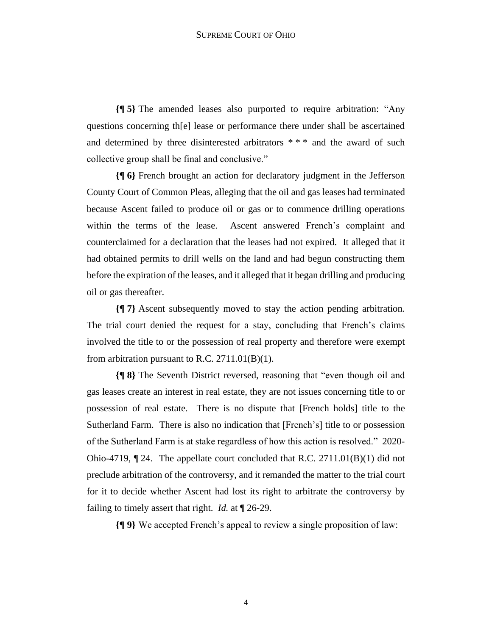**{¶ 5}** The amended leases also purported to require arbitration: "Any questions concerning th[e] lease or performance there under shall be ascertained and determined by three disinterested arbitrators \* \* \* and the award of such collective group shall be final and conclusive."

**{¶ 6}** French brought an action for declaratory judgment in the Jefferson County Court of Common Pleas, alleging that the oil and gas leases had terminated because Ascent failed to produce oil or gas or to commence drilling operations within the terms of the lease. Ascent answered French's complaint and counterclaimed for a declaration that the leases had not expired. It alleged that it had obtained permits to drill wells on the land and had begun constructing them before the expiration of the leases, and it alleged that it began drilling and producing oil or gas thereafter.

**{¶ 7}** Ascent subsequently moved to stay the action pending arbitration. The trial court denied the request for a stay, concluding that French's claims involved the title to or the possession of real property and therefore were exempt from arbitration pursuant to R.C.  $2711.01(B)(1)$ .

**{¶ 8}** The Seventh District reversed, reasoning that "even though oil and gas leases create an interest in real estate, they are not issues concerning title to or possession of real estate. There is no dispute that [French holds] title to the Sutherland Farm. There is also no indication that [French's] title to or possession of the Sutherland Farm is at stake regardless of how this action is resolved." 2020- Ohio-4719, ¶ 24. The appellate court concluded that R.C. 2711.01(B)(1) did not preclude arbitration of the controversy, and it remanded the matter to the trial court for it to decide whether Ascent had lost its right to arbitrate the controversy by failing to timely assert that right. *Id.* at ¶ 26-29.

**{¶ 9}** We accepted French's appeal to review a single proposition of law: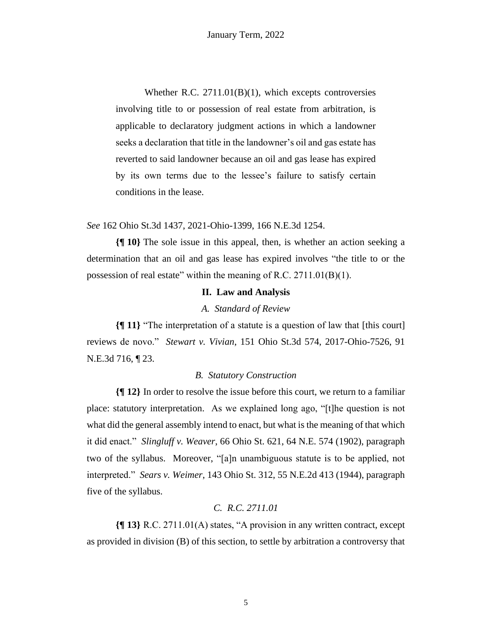Whether R.C. 2711.01(B)(1), which excepts controversies involving title to or possession of real estate from arbitration, is applicable to declaratory judgment actions in which a landowner seeks a declaration that title in the landowner's oil and gas estate has reverted to said landowner because an oil and gas lease has expired by its own terms due to the lessee's failure to satisfy certain conditions in the lease.

*See* 162 Ohio St.3d 1437, 2021-Ohio-1399, 166 N.E.3d 1254.

**{¶ 10}** The sole issue in this appeal, then, is whether an action seeking a determination that an oil and gas lease has expired involves "the title to or the possession of real estate" within the meaning of R.C. 2711.01(B)(1).

#### **II. Law and Analysis**

#### *A. Standard of Review*

**{¶ 11}** "The interpretation of a statute is a question of law that [this court] reviews de novo." *Stewart v. Vivian*, 151 Ohio St.3d 574, 2017-Ohio-7526, 91 N.E.3d 716, ¶ 23.

#### *B. Statutory Construction*

**{¶ 12}** In order to resolve the issue before this court, we return to a familiar place: statutory interpretation. As we explained long ago, "[t]he question is not what did the general assembly intend to enact, but what is the meaning of that which it did enact." *Slingluff v. Weaver*, 66 Ohio St. 621, 64 N.E. 574 (1902), paragraph two of the syllabus. Moreover, "[a]n unambiguous statute is to be applied, not interpreted." *Sears v. Weimer*, 143 Ohio St. 312, 55 N.E.2d 413 (1944), paragraph five of the syllabus.

### *C. R.C. 2711.01*

**{¶ 13}** R.C. 2711.01(A) states, "A provision in any written contract, except as provided in division (B) of this section, to settle by arbitration a controversy that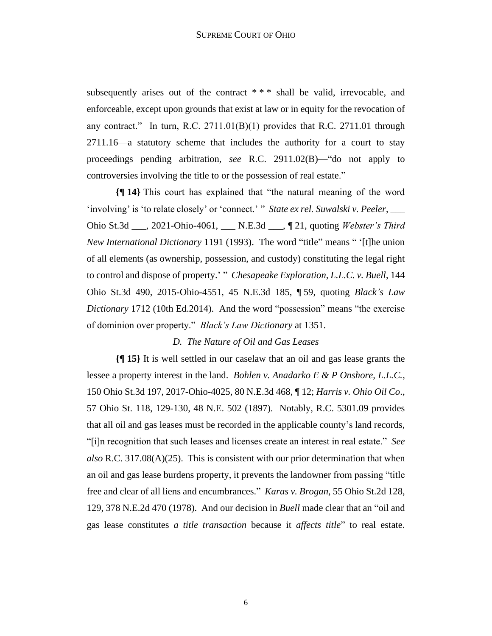subsequently arises out of the contract \*\*\* shall be valid, irrevocable, and enforceable, except upon grounds that exist at law or in equity for the revocation of any contract." In turn, R.C. 2711.01(B)(1) provides that R.C. 2711.01 through 2711.16—a statutory scheme that includes the authority for a court to stay proceedings pending arbitration, *see* R.C. 2911.02(B)—"do not apply to controversies involving the title to or the possession of real estate."

**{¶ 14}** This court has explained that "the natural meaning of the word 'involving' is 'to relate closely' or 'connect.' " *State ex rel. Suwalski v. Peeler*, \_\_\_ Ohio St.3d \_\_\_, 2021-Ohio-4061, \_\_\_ N.E.3d \_\_\_, ¶ 21, quoting *Webster's Third New International Dictionary* 1191 (1993). The word "title" means " '[t]he union of all elements (as ownership, possession, and custody) constituting the legal right to control and dispose of property.' " *Chesapeake Exploration, L.L.C. v. Buell*, 144 Ohio St.3d 490, 2015-Ohio-4551, 45 N.E.3d 185, ¶ 59, quoting *Black's Law Dictionary* 1712 (10th Ed.2014). And the word "possession" means "the exercise of dominion over property." *Black's Law Dictionary* at 1351.

#### *D. The Nature of Oil and Gas Leases*

**{¶ 15}** It is well settled in our caselaw that an oil and gas lease grants the lessee a property interest in the land. *Bohlen v. Anadarko E & P Onshore, L.L.C.*, 150 Ohio St.3d 197, 2017-Ohio-4025, 80 N.E.3d 468, ¶ 12; *Harris v. Ohio Oil Co*., 57 Ohio St. 118, 129-130, 48 N.E. 502 (1897). Notably, R.C. 5301.09 provides that all oil and gas leases must be recorded in the applicable county's land records, "[i]n recognition that such leases and licenses create an interest in real estate." *See also* R.C. 317.08(A)(25). This is consistent with our prior determination that when an oil and gas lease burdens property, it prevents the landowner from passing "title free and clear of all liens and encumbrances." *Karas v. Brogan*, 55 Ohio St.2d 128, 129, 378 N.E.2d 470 (1978). And our decision in *Buell* made clear that an "oil and gas lease constitutes *a title transaction* because it *affects title*" to real estate.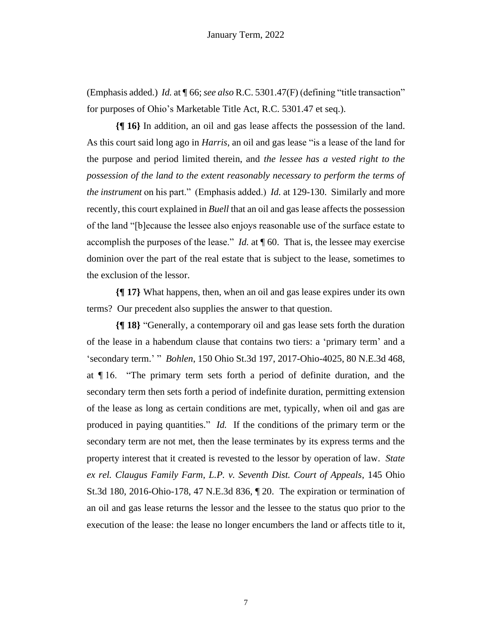(Emphasis added.) *Id.* at ¶ 66; *see also* R.C. 5301.47(F) (defining "title transaction" for purposes of Ohio's Marketable Title Act, R.C. 5301.47 et seq.).

**{¶ 16}** In addition, an oil and gas lease affects the possession of the land. As this court said long ago in *Harris*, an oil and gas lease "is a lease of the land for the purpose and period limited therein, and *the lessee has a vested right to the possession of the land to the extent reasonably necessary to perform the terms of the instrument* on his part." (Emphasis added.) *Id.* at 129-130. Similarly and more recently, this court explained in *Buell* that an oil and gas lease affects the possession of the land "[b]ecause the lessee also enjoys reasonable use of the surface estate to accomplish the purposes of the lease." *Id.* at ¶ 60. That is, the lessee may exercise dominion over the part of the real estate that is subject to the lease, sometimes to the exclusion of the lessor.

**{¶ 17}** What happens, then, when an oil and gas lease expires under its own terms? Our precedent also supplies the answer to that question.

**{¶ 18}** "Generally, a contemporary oil and gas lease sets forth the duration of the lease in a habendum clause that contains two tiers: a 'primary term' and a 'secondary term.' " *Bohlen*, 150 Ohio St.3d 197, 2017-Ohio-4025, 80 N.E.3d 468, at ¶ 16. "The primary term sets forth a period of definite duration, and the secondary term then sets forth a period of indefinite duration, permitting extension of the lease as long as certain conditions are met, typically, when oil and gas are produced in paying quantities." *Id.* If the conditions of the primary term or the secondary term are not met, then the lease terminates by its express terms and the property interest that it created is revested to the lessor by operation of law. *State ex rel. Claugus Family Farm, L.P. v. Seventh Dist. Court of Appeals*, 145 Ohio St.3d 180, 2016-Ohio-178, 47 N.E.3d 836, ¶ 20. The expiration or termination of an oil and gas lease returns the lessor and the lessee to the status quo prior to the execution of the lease: the lease no longer encumbers the land or affects title to it,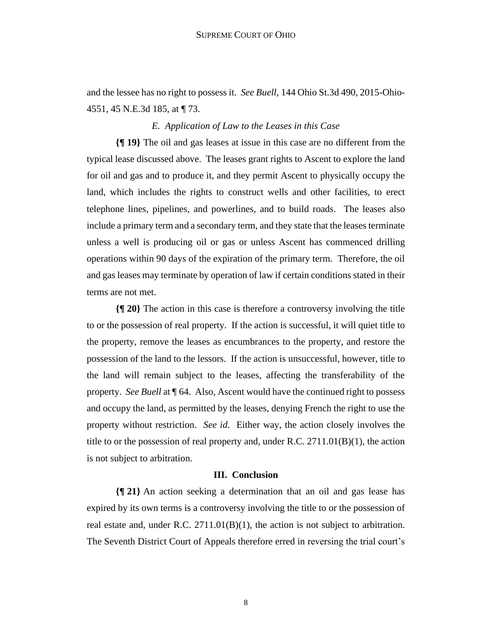and the lessee has no right to possess it. *See Buell*, 144 Ohio St.3d 490, 2015-Ohio-4551, 45 N.E.3d 185, at ¶ 73.

#### *E. Application of Law to the Leases in this Case*

**{¶ 19}** The oil and gas leases at issue in this case are no different from the typical lease discussed above. The leases grant rights to Ascent to explore the land for oil and gas and to produce it, and they permit Ascent to physically occupy the land, which includes the rights to construct wells and other facilities, to erect telephone lines, pipelines, and powerlines, and to build roads. The leases also include a primary term and a secondary term, and they state that the leases terminate unless a well is producing oil or gas or unless Ascent has commenced drilling operations within 90 days of the expiration of the primary term. Therefore, the oil and gas leases may terminate by operation of law if certain conditions stated in their terms are not met.

**{¶ 20}** The action in this case is therefore a controversy involving the title to or the possession of real property. If the action is successful, it will quiet title to the property, remove the leases as encumbrances to the property, and restore the possession of the land to the lessors. If the action is unsuccessful, however, title to the land will remain subject to the leases, affecting the transferability of the property. *See Buell* at ¶ 64. Also, Ascent would have the continued right to possess and occupy the land, as permitted by the leases, denying French the right to use the property without restriction. *See id*. Either way, the action closely involves the title to or the possession of real property and, under R.C.  $2711.01(B)(1)$ , the action is not subject to arbitration.

#### **III. Conclusion**

**{¶ 21}** An action seeking a determination that an oil and gas lease has expired by its own terms is a controversy involving the title to or the possession of real estate and, under R.C.  $2711.01(B)(1)$ , the action is not subject to arbitration. The Seventh District Court of Appeals therefore erred in reversing the trial court's